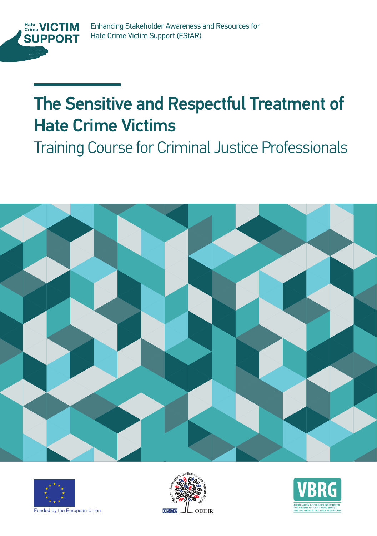

## The Sensitive and Respectful Treatment of Hate Crime Victims Hate Crime Victims

Training Course Training Course for Criminal Justice Professionals







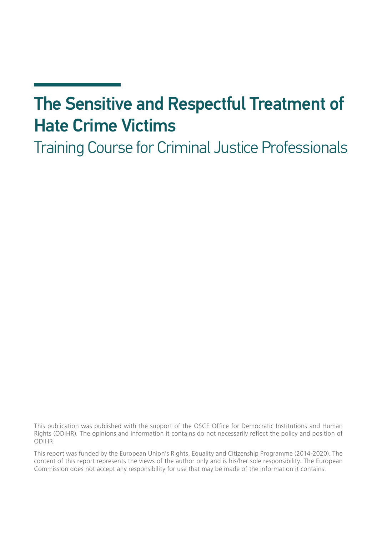## The Sensitive and Respectful Treatment of Hate Crime Victims

Training Course for Criminal Justice Professionals

This publication was published with the support of the OSCE Office for Democratic Institutions and Human Rights (ODIHR). The opinions and information it contains do not necessarily reflect the policy and position of ODIHR.

This report was funded by the European Union's Rights, Equality and Citizenship Programme (2014-2020). The content of this report represents the views of the author only and is his/her sole responsibility. The European Commission does not accept any responsibility for use that may be made of the information it contains.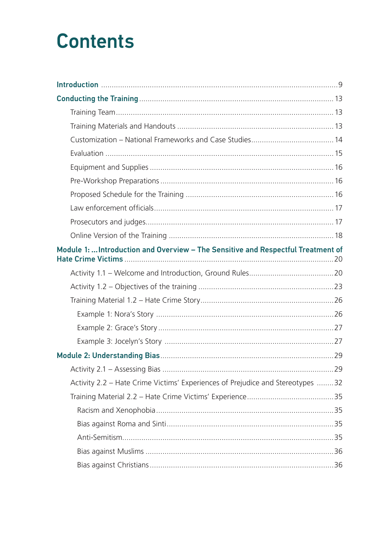## **Contents**

| Module 1:  Introduction and Overview - The Sensitive and Respectful Treatment of |  |
|----------------------------------------------------------------------------------|--|
|                                                                                  |  |
|                                                                                  |  |
|                                                                                  |  |
|                                                                                  |  |
|                                                                                  |  |
|                                                                                  |  |
|                                                                                  |  |
|                                                                                  |  |
| Activity 2.2 - Hate Crime Victims' Experiences of Prejudice and Stereotypes 32   |  |
|                                                                                  |  |
|                                                                                  |  |
|                                                                                  |  |
|                                                                                  |  |
|                                                                                  |  |
|                                                                                  |  |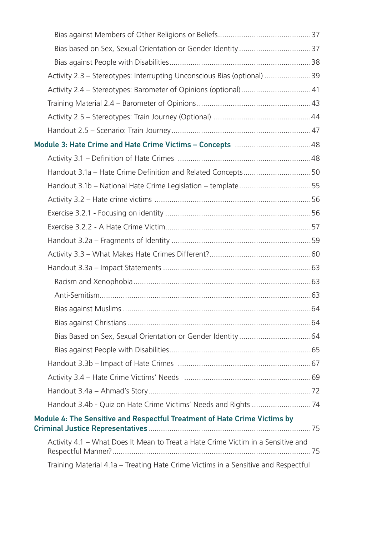| Activity 2.3 - Stereotypes: Interrupting Unconscious Bias (optional) 39            |  |
|------------------------------------------------------------------------------------|--|
|                                                                                    |  |
|                                                                                    |  |
|                                                                                    |  |
|                                                                                    |  |
|                                                                                    |  |
|                                                                                    |  |
| Handout 3.1a - Hate Crime Definition and Related Concepts50                        |  |
| Handout 3.1b - National Hate Crime Legislation - template55                        |  |
|                                                                                    |  |
|                                                                                    |  |
|                                                                                    |  |
|                                                                                    |  |
|                                                                                    |  |
|                                                                                    |  |
|                                                                                    |  |
|                                                                                    |  |
|                                                                                    |  |
|                                                                                    |  |
|                                                                                    |  |
|                                                                                    |  |
|                                                                                    |  |
|                                                                                    |  |
|                                                                                    |  |
|                                                                                    |  |
| Module 4: The Sensitive and Respectful Treatment of Hate Crime Victims by          |  |
| Activity 4.1 - What Does It Mean to Treat a Hate Crime Victim in a Sensitive and   |  |
| Training Material 4.1a - Treating Hate Crime Victims in a Sensitive and Respectful |  |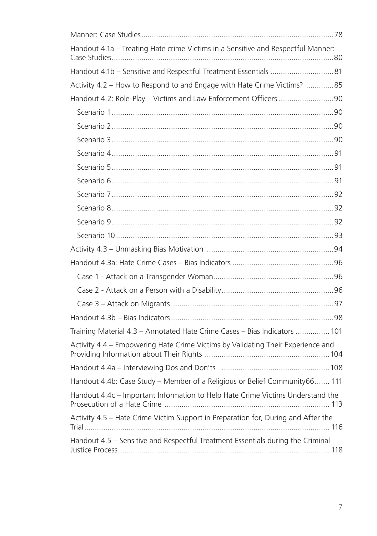| Handout 4.1a - Treating Hate crime Victims in a Sensitive and Respectful Manner:  |  |
|-----------------------------------------------------------------------------------|--|
|                                                                                   |  |
| Activity 4.2 - How to Respond to and Engage with Hate Crime Victims? 85           |  |
| Handout 4.2: Role-Play - Victims and Law Enforcement Officers 90                  |  |
|                                                                                   |  |
|                                                                                   |  |
|                                                                                   |  |
|                                                                                   |  |
|                                                                                   |  |
|                                                                                   |  |
|                                                                                   |  |
|                                                                                   |  |
|                                                                                   |  |
|                                                                                   |  |
|                                                                                   |  |
|                                                                                   |  |
|                                                                                   |  |
|                                                                                   |  |
|                                                                                   |  |
|                                                                                   |  |
| Training Material 4.3 - Annotated Hate Crime Cases - Bias Indicators  101         |  |
| Activity 4.4 - Empowering Hate Crime Victims by Validating Their Experience and   |  |
|                                                                                   |  |
| Handout 4.4b: Case Study - Member of a Religious or Belief Community66 111        |  |
| Handout 4.4c - Important Information to Help Hate Crime Victims Understand the    |  |
| Activity 4.5 - Hate Crime Victim Support in Preparation for, During and After the |  |
| Handout 4.5 - Sensitive and Respectful Treatment Essentials during the Criminal   |  |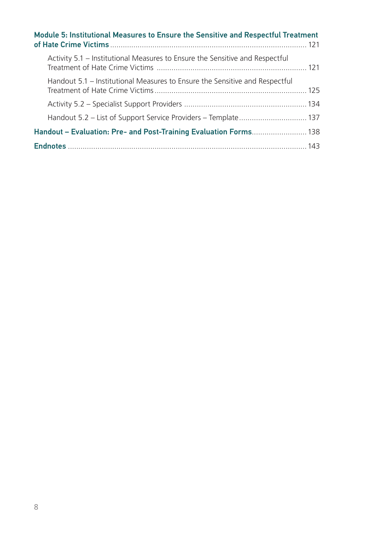| Module 5: Institutional Measures to Ensure the Sensitive and Respectful Treatment |  |  |
|-----------------------------------------------------------------------------------|--|--|
| Activity 5.1 – Institutional Measures to Ensure the Sensitive and Respectful      |  |  |
| Handout 5.1 – Institutional Measures to Ensure the Sensitive and Respectful       |  |  |
|                                                                                   |  |  |
|                                                                                   |  |  |
| Handout – Evaluation: Pre- and Post-Training Evaluation Forms 138                 |  |  |
|                                                                                   |  |  |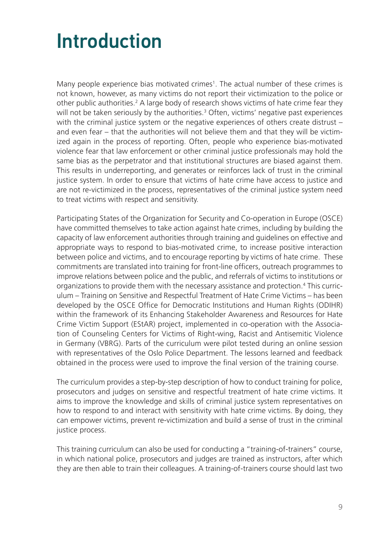## Introduction

Many people experience bias motivated crimes<sup>1</sup>. The actual number of these crimes is not known, however, as many victims do not report their victimization to the police or other public authorities.<sup>2</sup> A large body of research shows victims of hate crime fear they will not be taken seriously by the authorities.<sup>3</sup> Often, victims' negative past experiences with the criminal justice system or the negative experiences of others create distrust – and even fear – that the authorities will not believe them and that they will be victimized again in the process of reporting. Often, people who experience bias-motivated violence fear that law enforcement or other criminal justice professionals may hold the same bias as the perpetrator and that institutional structures are biased against them. This results in underreporting, and generates or reinforces lack of trust in the criminal justice system. In order to ensure that victims of hate crime have access to justice and are not re-victimized in the process, representatives of the criminal justice system need to treat victims with respect and sensitivity.

Participating States of the Organization for Security and Co-operation in Europe (OSCE) have committed themselves to take action against hate crimes, including by building the capacity of law enforcement authorities through training and guidelines on effective and appropriate ways to respond to bias-motivated crime, to increase positive interaction between police and victims, and to encourage reporting by victims of hate crime. These commitments are translated into training for front-line officers, outreach programmes to improve relations between police and the public, and referrals of victims to institutions or organizations to provide them with the necessary assistance and protection.4 This curriculum – Training on Sensitive and Respectful Treatment of Hate Crime Victims – has been developed by the OSCE Office for Democratic Institutions and Human Rights (ODIHR) within the framework of its Enhancing Stakeholder Awareness and Resources for Hate Crime Victim Support (EStAR) project, implemented in co-operation with the Association of Counseling Centers for Victims of Right-wing, Racist and Antisemitic Violence in Germany (VBRG). Parts of the curriculum were pilot tested during an online session with representatives of the Oslo Police Department. The lessons learned and feedback obtained in the process were used to improve the final version of the training course.

The curriculum provides a step-by-step description of how to conduct training for police, prosecutors and judges on sensitive and respectful treatment of hate crime victims. It aims to improve the knowledge and skills of criminal justice system representatives on how to respond to and interact with sensitivity with hate crime victims. By doing, they can empower victims, prevent re-victimization and build a sense of trust in the criminal justice process.

This training curriculum can also be used for conducting a "training-of-trainers" course, in which national police, prosecutors and judges are trained as instructors, after which they are then able to train their colleagues. A training-of-trainers course should last two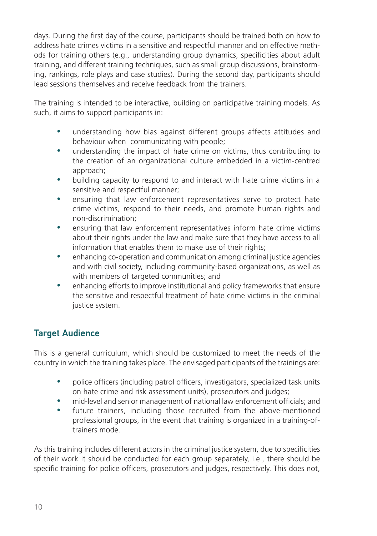days. During the first day of the course, participants should be trained both on how to address hate crimes victims in a sensitive and respectful manner and on effective methods for training others (e.g., understanding group dynamics, specificities about adult training, and different training techniques, such as small group discussions, brainstorming, rankings, role plays and case studies). During the second day, participants should lead sessions themselves and receive feedback from the trainers.

The training is intended to be interactive, building on participative training models. As such, it aims to support participants in:

- understanding how bias against different groups affects attitudes and behaviour when communicating with people;
- understanding the impact of hate crime on victims, thus contributing to the creation of an organizational culture embedded in a victim-centred approach;
- building capacity to respond to and interact with hate crime victims in a sensitive and respectful manner;
- ensuring that law enforcement representatives serve to protect hate crime victims, respond to their needs, and promote human rights and non-discrimination;
- ensuring that law enforcement representatives inform hate crime victims about their rights under the law and make sure that they have access to all information that enables them to make use of their rights;
- enhancing co-operation and communication among criminal justice agencies and with civil society, including community-based organizations, as well as with members of targeted communities; and
- enhancing efforts to improve institutional and policy frameworks that ensure the sensitive and respectful treatment of hate crime victims in the criminal justice system.

#### Target Audience

This is a general curriculum, which should be customized to meet the needs of the country in which the training takes place. The envisaged participants of the trainings are:

- police officers (including patrol officers, investigators, specialized task units on hate crime and risk assessment units), prosecutors and judges;
- mid-level and senior management of national law enforcement officials; and
- future trainers, including those recruited from the above-mentioned professional groups, in the event that training is organized in a training-oftrainers mode.

As this training includes different actors in the criminal justice system, due to specificities of their work it should be conducted for each group separately, i.e., there should be specific training for police officers, prosecutors and judges, respectively. This does not,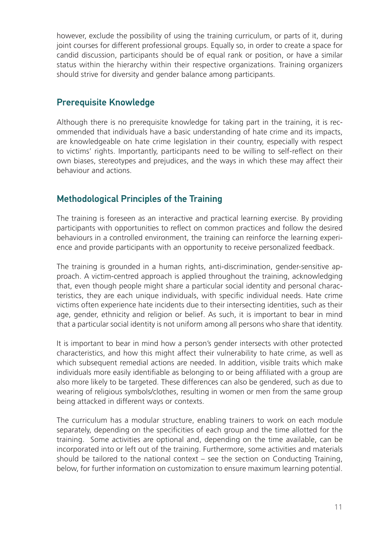however, exclude the possibility of using the training curriculum, or parts of it, during joint courses for different professional groups. Equally so, in order to create a space for candid discussion, participants should be of equal rank or position, or have a similar status within the hierarchy within their respective organizations. Training organizers should strive for diversity and gender balance among participants.

#### Prerequisite Knowledge

Although there is no prerequisite knowledge for taking part in the training, it is recommended that individuals have a basic understanding of hate crime and its impacts, are knowledgeable on hate crime legislation in their country, especially with respect to victims' rights. Importantly, participants need to be willing to self-reflect on their own biases, stereotypes and prejudices, and the ways in which these may affect their behaviour and actions.

#### Methodological Principles of the Training

The training is foreseen as an interactive and practical learning exercise. By providing participants with opportunities to reflect on common practices and follow the desired behaviours in a controlled environment, the training can reinforce the learning experience and provide participants with an opportunity to receive personalized feedback.

The training is grounded in a human rights, anti-discrimination, gender-sensitive approach. A victim-centred approach is applied throughout the training, acknowledging that, even though people might share a particular social identity and personal characteristics, they are each unique individuals, with specific individual needs. Hate crime victims often experience hate incidents due to their intersecting identities, such as their age, gender, ethnicity and religion or belief. As such, it is important to bear in mind that a particular social identity is not uniform among all persons who share that identity.

It is important to bear in mind how a person's gender intersects with other protected characteristics, and how this might affect their vulnerability to hate crime, as well as which subsequent remedial actions are needed. In addition, visible traits which make individuals more easily identifiable as belonging to or being affiliated with a group are also more likely to be targeted. These differences can also be gendered, such as due to wearing of religious symbols/clothes, resulting in women or men from the same group being attacked in different ways or contexts.

The curriculum has a modular structure, enabling trainers to work on each module separately, depending on the specificities of each group and the time allotted for the training. Some activities are optional and, depending on the time available, can be incorporated into or left out of the training. Furthermore, some activities and materials should be tailored to the national context  $-$  see the section on Conducting Training, below, for further information on customization to ensure maximum learning potential.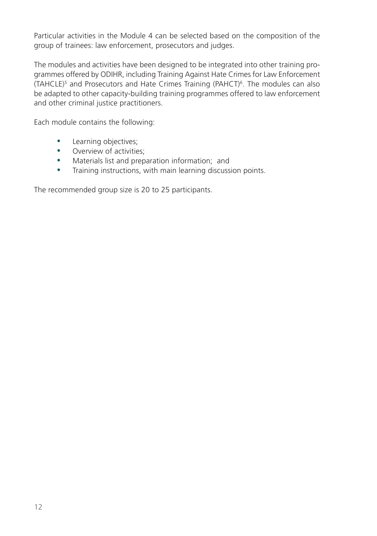Particular activities in the Module 4 can be selected based on the composition of the group of trainees: law enforcement, prosecutors and judges.

The modules and activities have been designed to be integrated into other training programmes offered by ODIHR, including Training Against Hate Crimes for Law Enforcement (TAHCLE)<sup>5</sup> and Prosecutors and Hate Crimes Training (PAHCT)<sup>6</sup>. The modules can also be adapted to other capacity-building training programmes offered to law enforcement and other criminal justice practitioners.

Each module contains the following:

- Learning objectives;
- Overview of activities;
- Materials list and preparation information; and
- Training instructions, with main learning discussion points.

The recommended group size is 20 to 25 participants.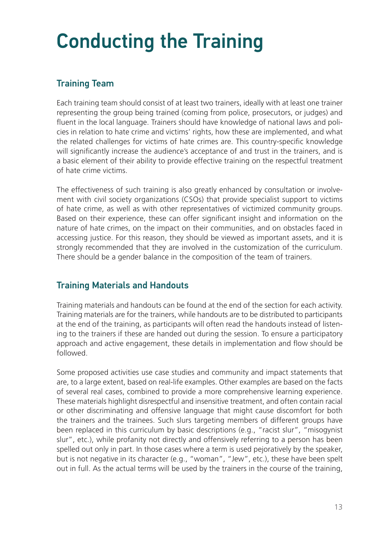## Conducting the Training

#### Training Team

Each training team should consist of at least two trainers, ideally with at least one trainer representing the group being trained (coming from police, prosecutors, or judges) and fluent in the local language. Trainers should have knowledge of national laws and policies in relation to hate crime and victims' rights, how these are implemented, and what the related challenges for victims of hate crimes are. This country-specific knowledge will significantly increase the audience's acceptance of and trust in the trainers, and is a basic element of their ability to provide effective training on the respectful treatment of hate crime victims.

The effectiveness of such training is also greatly enhanced by consultation or involvement with civil society organizations (CSOs) that provide specialist support to victims of hate crime, as well as with other representatives of victimized community groups. Based on their experience, these can offer significant insight and information on the nature of hate crimes, on the impact on their communities, and on obstacles faced in accessing justice. For this reason, they should be viewed as important assets, and it is strongly recommended that they are involved in the customization of the curriculum. There should be a gender balance in the composition of the team of trainers.

#### Training Materials and Handouts

Training materials and handouts can be found at the end of the section for each activity. Training materials are for the trainers, while handouts are to be distributed to participants at the end of the training, as participants will often read the handouts instead of listening to the trainers if these are handed out during the session. To ensure a participatory approach and active engagement, these details in implementation and flow should be followed.

Some proposed activities use case studies and community and impact statements that are, to a large extent, based on real-life examples. Other examples are based on the facts of several real cases, combined to provide a more comprehensive learning experience. These materials highlight disrespectful and insensitive treatment, and often contain racial or other discriminating and offensive language that might cause discomfort for both the trainers and the trainees. Such slurs targeting members of different groups have been replaced in this curriculum by basic descriptions (e.g., "racist slur", "misogynist slur", etc.), while profanity not directly and offensively referring to a person has been spelled out only in part. In those cases where a term is used pejoratively by the speaker, but is not negative in its character (e.g., "woman", "Jew", etc.), these have been spelt out in full. As the actual terms will be used by the trainers in the course of the training,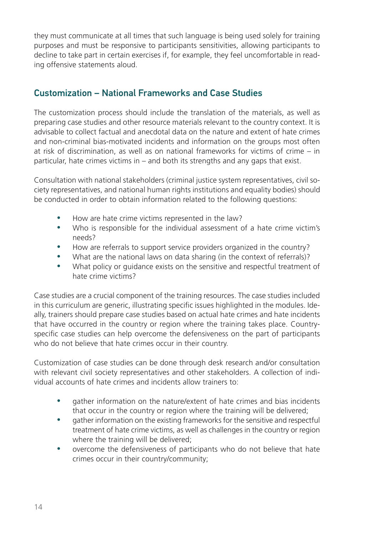they must communicate at all times that such language is being used solely for training purposes and must be responsive to participants sensitivities, allowing participants to decline to take part in certain exercises if, for example, they feel uncomfortable in reading offensive statements aloud.

#### Customization – National Frameworks and Case Studies

The customization process should include the translation of the materials, as well as preparing case studies and other resource materials relevant to the country context. It is advisable to collect factual and anecdotal data on the nature and extent of hate crimes and non-criminal bias-motivated incidents and information on the groups most often at risk of discrimination, as well as on national frameworks for victims of crime – in particular, hate crimes victims in – and both its strengths and any gaps that exist.

Consultation with national stakeholders (criminal justice system representatives, civil society representatives, and national human rights institutions and equality bodies) should be conducted in order to obtain information related to the following questions:

- How are hate crime victims represented in the law?
- Who is responsible for the individual assessment of a hate crime victim's needs?
- How are referrals to support service providers organized in the country?
- What are the national laws on data sharing (in the context of referrals)?
- What policy or quidance exists on the sensitive and respectful treatment of hate crime victims?

Case studies are a crucial component of the training resources. The case studies included in this curriculum are generic, illustrating specific issues highlighted in the modules. Ideally, trainers should prepare case studies based on actual hate crimes and hate incidents that have occurred in the country or region where the training takes place. Countryspecific case studies can help overcome the defensiveness on the part of participants who do not believe that hate crimes occur in their country.

Customization of case studies can be done through desk research and/or consultation with relevant civil society representatives and other stakeholders. A collection of individual accounts of hate crimes and incidents allow trainers to:

- gather information on the nature/extent of hate crimes and bias incidents that occur in the country or region where the training will be delivered;
- gather information on the existing frameworks for the sensitive and respectful treatment of hate crime victims, as well as challenges in the country or region where the training will be delivered;
- overcome the defensiveness of participants who do not believe that hate crimes occur in their country/community;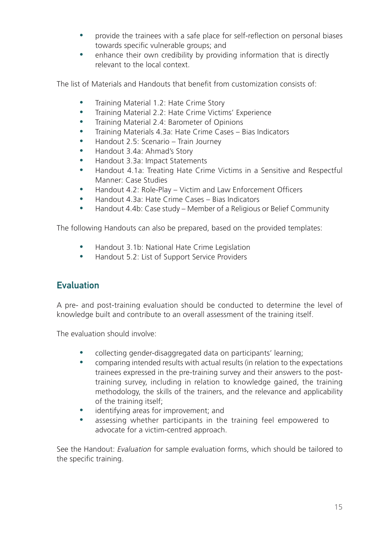- provide the trainees with a safe place for self-reflection on personal biases towards specific vulnerable groups; and
- enhance their own credibility by providing information that is directly relevant to the local context.

The list of Materials and Handouts that benefit from customization consists of:

- Training Material 1.2: Hate Crime Story
- Training Material 2.2: Hate Crime Victims' Experience
- Training Material 2.4: Barometer of Opinions
- Training Materials 4.3a: Hate Crime Cases Bias Indicators
- Handout 2.5: Scenario Train Journey
- Handout 3.4a: Ahmad's Story
- Handout 3.3a: Impact Statements
- y Handout 4.1a: Treating Hate Crime Victims in a Sensitive and Respectful Manner: Case Studies
- Handout 4.2: Role-Play Victim and Law Enforcement Officers
- Handout 4.3a: Hate Crime Cases Bias Indicators
- y Handout 4.4b: Case study Member of a Religious or Belief Community

The following Handouts can also be prepared, based on the provided templates:

- Handout 3.1b: National Hate Crime Legislation
- Handout 5.2: List of Support Service Providers

#### **Evaluation**

A pre- and post-training evaluation should be conducted to determine the level of knowledge built and contribute to an overall assessment of the training itself.

The evaluation should involve:

- collecting gender-disaggregated data on participants' learning;
- comparing intended results with actual results (in relation to the expectations trainees expressed in the pre-training survey and their answers to the posttraining survey, including in relation to knowledge gained, the training methodology, the skills of the trainers, and the relevance and applicability of the training itself;
- identifying areas for improvement; and
- assessing whether participants in the training feel empowered to advocate for a victim-centred approach.

See the Handout: *Evaluation* for sample evaluation forms, which should be tailored to the specific training.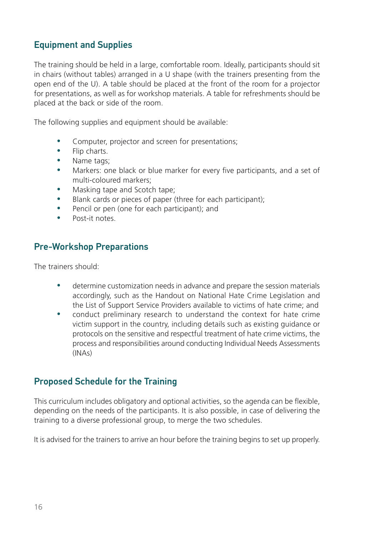#### Equipment and Supplies

The training should be held in a large, comfortable room. Ideally, participants should sit in chairs (without tables) arranged in a U shape (with the trainers presenting from the open end of the U). A table should be placed at the front of the room for a projector for presentations, as well as for workshop materials. A table for refreshments should be placed at the back or side of the room.

The following supplies and equipment should be available:

- Computer, projector and screen for presentations;
- $\bullet$  Flip charts.
- Name tags;
- Markers: one black or blue marker for every five participants, and a set of multi-coloured markers;
- Masking tape and Scotch tape;
- Blank cards or pieces of paper (three for each participant);
- Pencil or pen (one for each participant); and
- $\bullet$  Post-it notes.

#### Pre-Workshop Preparations

The trainers should:

- determine customization needs in advance and prepare the session materials accordingly, such as the Handout on National Hate Crime Legislation and the List of Support Service Providers available to victims of hate crime; and
- conduct preliminary research to understand the context for hate crime victim support in the country, including details such as existing guidance or protocols on the sensitive and respectful treatment of hate crime victims, the process and responsibilities around conducting Individual Needs Assessments (INAs)

#### Proposed Schedule for the Training

This curriculum includes obligatory and optional activities, so the agenda can be flexible, depending on the needs of the participants. It is also possible, in case of delivering the training to a diverse professional group, to merge the two schedules.

It is advised for the trainers to arrive an hour before the training begins to set up properly.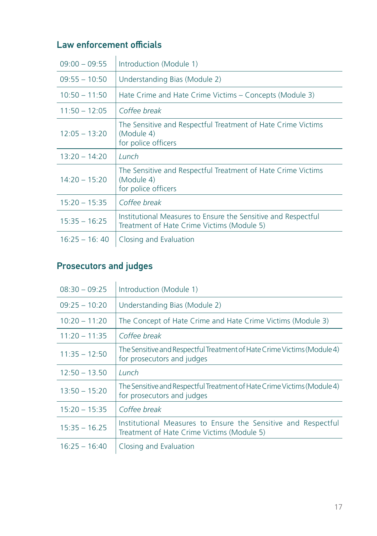#### Law enforcement officials

| $09:00 - 09:55$ | Introduction (Module 1)                                                                                     |
|-----------------|-------------------------------------------------------------------------------------------------------------|
| $09:55 - 10:50$ | Understanding Bias (Module 2)                                                                               |
| $10:50 - 11:50$ | Hate Crime and Hate Crime Victims – Concepts (Module 3)                                                     |
| $11:50 - 12:05$ | Coffee break                                                                                                |
| $12:05 - 13:20$ | The Sensitive and Respectful Treatment of Hate Crime Victims<br>(Module 4)<br>for police officers           |
| $13:20 - 14:20$ | Lunch                                                                                                       |
| $14:20 - 15:20$ | The Sensitive and Respectful Treatment of Hate Crime Victims<br>(Module 4)<br>for police officers           |
| $15:20 - 15:35$ | Coffee break                                                                                                |
| $15:35 - 16:25$ | Institutional Measures to Ensure the Sensitive and Respectful<br>Treatment of Hate Crime Victims (Module 5) |
| $16:25 - 16:40$ | Closing and Evaluation                                                                                      |

### Prosecutors and judges

| $08:30 - 09:25$ | Introduction (Module 1)                                                                                     |
|-----------------|-------------------------------------------------------------------------------------------------------------|
| $09:25 - 10:20$ | Understanding Bias (Module 2)                                                                               |
| $10:20 - 11:20$ | The Concept of Hate Crime and Hate Crime Victims (Module 3)                                                 |
| $11:20 - 11:35$ | Coffee break                                                                                                |
| $11:35 - 12:50$ | The Sensitive and Respectful Treatment of Hate Crime Victims (Module 4)<br>for prosecutors and judges       |
| $12:50 - 13.50$ | Lunch                                                                                                       |
| $13:50 - 15:20$ | The Sensitive and Respectful Treatment of Hate Crime Victims (Module 4)<br>for prosecutors and judges       |
| $15:20 - 15:35$ | Coffee break                                                                                                |
| $15:35 - 16.25$ | Institutional Measures to Ensure the Sensitive and Respectful<br>Treatment of Hate Crime Victims (Module 5) |
| $16:25 - 16:40$ | Closing and Evaluation                                                                                      |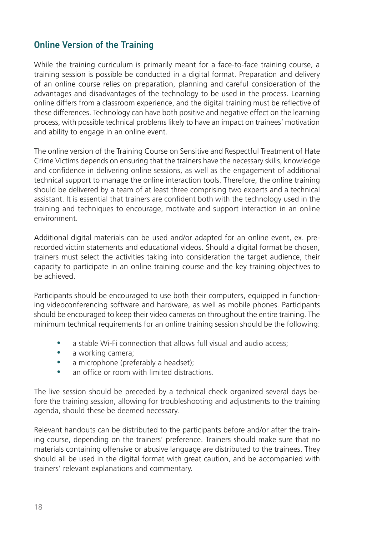#### Online Version of the Training

While the training curriculum is primarily meant for a face-to-face training course, a training session is possible be conducted in a digital format. Preparation and delivery of an online course relies on preparation, planning and careful consideration of the advantages and disadvantages of the technology to be used in the process. Learning online differs from a classroom experience, and the digital training must be reflective of these differences. Technology can have both positive and negative effect on the learning process, with possible technical problems likely to have an impact on trainees' motivation and ability to engage in an online event.

The online version of the Training Course on Sensitive and Respectful Treatment of Hate Crime Victims depends on ensuring that the trainers have the necessary skills, knowledge and confidence in delivering online sessions, as well as the engagement of additional technical support to manage the online interaction tools. Therefore, the online training should be delivered by a team of at least three comprising two experts and a technical assistant. It is essential that trainers are confident both with the technology used in the training and techniques to encourage, motivate and support interaction in an online environment.

Additional digital materials can be used and/or adapted for an online event, ex. prerecorded victim statements and educational videos. Should a digital format be chosen, trainers must select the activities taking into consideration the target audience, their capacity to participate in an online training course and the key training objectives to be achieved.

Participants should be encouraged to use both their computers, equipped in functioning videoconferencing software and hardware, as well as mobile phones. Participants should be encouraged to keep their video cameras on throughout the entire training. The minimum technical requirements for an online training session should be the following:

- a stable Wi-Fi connection that allows full visual and audio access;
- a working camera;
- a microphone (preferably a headset):
- an office or room with limited distractions.

The live session should be preceded by a technical check organized several days before the training session, allowing for troubleshooting and adjustments to the training agenda, should these be deemed necessary.

Relevant handouts can be distributed to the participants before and/or after the training course, depending on the trainers' preference. Trainers should make sure that no materials containing offensive or abusive language are distributed to the trainees. They should all be used in the digital format with great caution, and be accompanied with trainers' relevant explanations and commentary.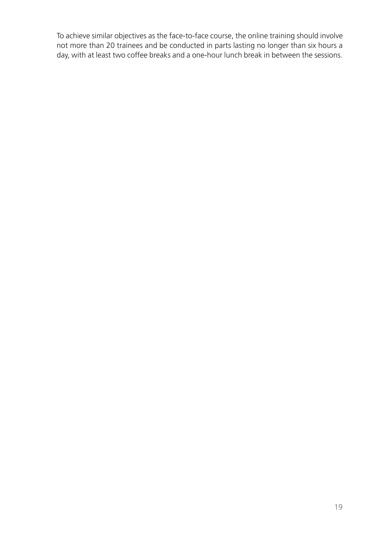To achieve similar objectives as the face-to-face course, the online training should involve not more than 20 trainees and be conducted in parts lasting no longer than six hours a day, with at least two coffee breaks and a one-hour lunch break in between the sessions.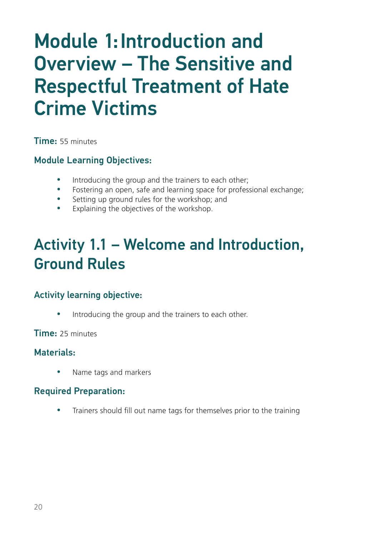## Module 1:Introduction and Overview – The Sensitive and Respectful Treatment of Hate Crime Victims

Time: 55 minutes

#### Module Learning Objectives:

- Introducing the group and the trainers to each other;
- Fostering an open, safe and learning space for professional exchange;
- Setting up ground rules for the workshop; and
- Explaining the objectives of the workshop.

### Activity 1.1 – Welcome and Introduction, Ground Rules

#### Activity learning objective:

Introducing the group and the trainers to each other.

Time: 25 minutes

#### Materials:

Name tags and markers

#### Required Preparation:

Trainers should fill out name tags for themselves prior to the training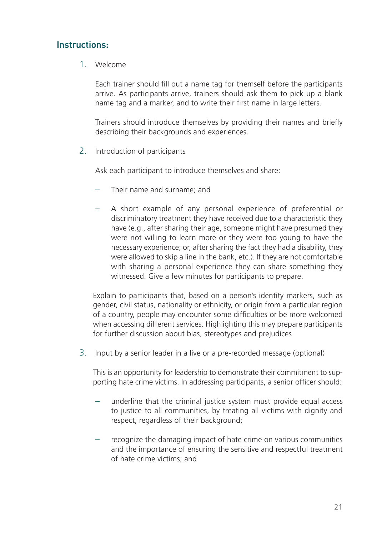#### Instructions:

1. Welcome

Each trainer should fill out a name tag for themself before the participants arrive. As participants arrive, trainers should ask them to pick up a blank name tag and a marker, and to write their first name in large letters.

Trainers should introduce themselves by providing their names and briefly describing their backgrounds and experiences.

2. Introduction of participants

Ask each participant to introduce themselves and share:

- Their name and surname; and
- A short example of any personal experience of preferential or discriminatory treatment they have received due to a characteristic they have (e.g., after sharing their age, someone might have presumed they were not willing to learn more or they were too young to have the necessary experience; or, after sharing the fact they had a disability, they were allowed to skip a line in the bank, etc.). If they are not comfortable with sharing a personal experience they can share something they witnessed. Give a few minutes for participants to prepare.

Explain to participants that, based on a person's identity markers, such as gender, civil status, nationality or ethnicity, or origin from a particular region of a country, people may encounter some difficulties or be more welcomed when accessing different services. Highlighting this may prepare participants for further discussion about bias, stereotypes and prejudices

3. Input by a senior leader in a live or a pre-recorded message (optional)

This is an opportunity for leadership to demonstrate their commitment to supporting hate crime victims. In addressing participants, a senior officer should:

- underline that the criminal justice system must provide equal access to justice to all communities, by treating all victims with dignity and respect, regardless of their background;
- recognize the damaging impact of hate crime on various communities and the importance of ensuring the sensitive and respectful treatment of hate crime victims; and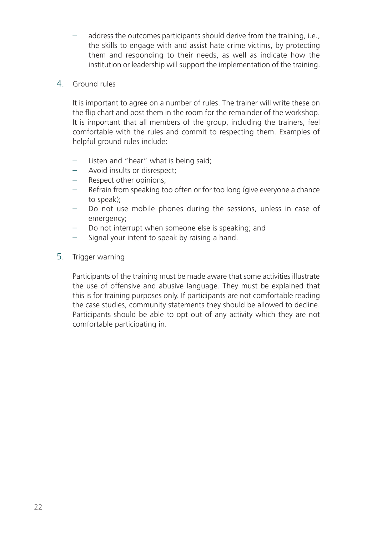- address the outcomes participants should derive from the training, i.e., the skills to engage with and assist hate crime victims, by protecting them and responding to their needs, as well as indicate how the institution or leadership will support the implementation of the training.
- 4. Ground rules

It is important to agree on a number of rules. The trainer will write these on the flip chart and post them in the room for the remainder of the workshop. It is important that all members of the group, including the trainers, feel comfortable with the rules and commit to respecting them. Examples of helpful ground rules include:

- Listen and "hear" what is being said;
- Avoid insults or disrespect;
- Respect other opinions;
- Refrain from speaking too often or for too long (give everyone a chance to speak);
- Do not use mobile phones during the sessions, unless in case of emergency;
- Do not interrupt when someone else is speaking; and
- Signal your intent to speak by raising a hand.
- 5. Trigger warning

Participants of the training must be made aware that some activities illustrate the use of offensive and abusive language. They must be explained that this is for training purposes only. If participants are not comfortable reading the case studies, community statements they should be allowed to decline. Participants should be able to opt out of any activity which they are not comfortable participating in.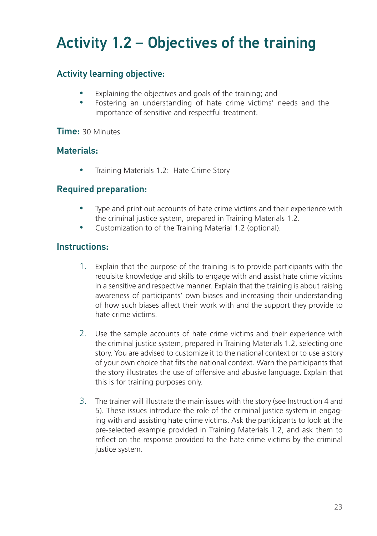## Activity 1.2 – Objectives of the training

#### Activity learning objective:

- Explaining the objectives and goals of the training; and
- Fostering an understanding of hate crime victims' needs and the importance of sensitive and respectful treatment.

#### Time: 30 Minutes

#### Materials:

Training Materials 1.2: Hate Crime Story

#### Required preparation:

- Type and print out accounts of hate crime victims and their experience with the criminal justice system, prepared in Training Materials 1.2.
- Customization to of the Training Material 1.2 (optional).

#### Instructions:

- 1. Explain that the purpose of the training is to provide participants with the requisite knowledge and skills to engage with and assist hate crime victims in a sensitive and respective manner. Explain that the training is about raising awareness of participants' own biases and increasing their understanding of how such biases affect their work with and the support they provide to hate crime victims.
- 2. Use the sample accounts of hate crime victims and their experience with the criminal justice system, prepared in Training Materials 1.2, selecting one story. You are advised to customize it to the national context or to use a story of your own choice that fits the national context. Warn the participants that the story illustrates the use of offensive and abusive language. Explain that this is for training purposes only.
- 3. The trainer will illustrate the main issues with the story (see Instruction 4 and 5). These issues introduce the role of the criminal justice system in engaging with and assisting hate crime victims. Ask the participants to look at the pre-selected example provided in Training Materials 1.2, and ask them to reflect on the response provided to the hate crime victims by the criminal justice system.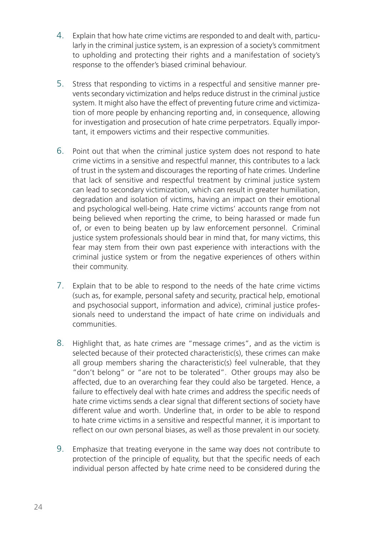- 4. Explain that how hate crime victims are responded to and dealt with, particularly in the criminal justice system, is an expression of a society's commitment to upholding and protecting their rights and a manifestation of society's response to the offender's biased criminal behaviour.
- 5. Stress that responding to victims in a respectful and sensitive manner prevents secondary victimization and helps reduce distrust in the criminal justice system. It might also have the effect of preventing future crime and victimization of more people by enhancing reporting and, in consequence, allowing for investigation and prosecution of hate crime perpetrators. Equally important, it empowers victims and their respective communities.
- 6. Point out that when the criminal justice system does not respond to hate crime victims in a sensitive and respectful manner, this contributes to a lack of trust in the system and discourages the reporting of hate crimes. Underline that lack of sensitive and respectful treatment by criminal justice system can lead to secondary victimization, which can result in greater humiliation, degradation and isolation of victims, having an impact on their emotional and psychological well-being. Hate crime victims' accounts range from not being believed when reporting the crime, to being harassed or made fun of, or even to being beaten up by law enforcement personnel. Criminal justice system professionals should bear in mind that, for many victims, this fear may stem from their own past experience with interactions with the criminal justice system or from the negative experiences of others within their community.
- 7. Explain that to be able to respond to the needs of the hate crime victims (such as, for example, personal safety and security, practical help, emotional and psychosocial support, information and advice), criminal justice professionals need to understand the impact of hate crime on individuals and communities.
- 8. Highlight that, as hate crimes are "message crimes", and as the victim is selected because of their protected characteristic(s), these crimes can make all group members sharing the characteristic(s) feel vulnerable, that they "don't belong" or "are not to be tolerated". Other groups may also be affected, due to an overarching fear they could also be targeted. Hence, a failure to effectively deal with hate crimes and address the specific needs of hate crime victims sends a clear signal that different sections of society have different value and worth. Underline that, in order to be able to respond to hate crime victims in a sensitive and respectful manner, it is important to reflect on our own personal biases, as well as those prevalent in our society.
- 9. Emphasize that treating everyone in the same way does not contribute to protection of the principle of equality, but that the specific needs of each individual person affected by hate crime need to be considered during the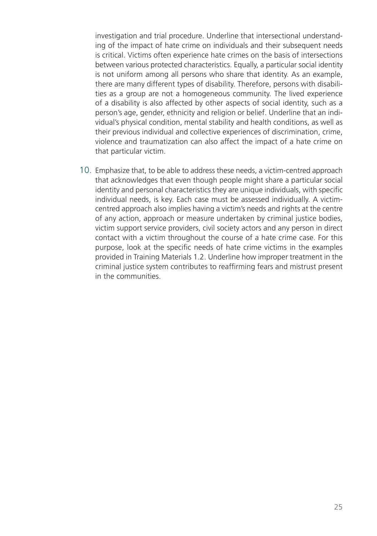investigation and trial procedure. Underline that intersectional understanding of the impact of hate crime on individuals and their subsequent needs is critical. Victims often experience hate crimes on the basis of intersections between various protected characteristics. Equally, a particular social identity is not uniform among all persons who share that identity. As an example, there are many different types of disability. Therefore, persons with disabilities as a group are not a homogeneous community. The lived experience of a disability is also affected by other aspects of social identity, such as a person's age, gender, ethnicity and religion or belief. Underline that an individual's physical condition, mental stability and health conditions, as well as their previous individual and collective experiences of discrimination, crime, violence and traumatization can also affect the impact of a hate crime on that particular victim.

10. Emphasize that, to be able to address these needs, a victim-centred approach that acknowledges that even though people might share a particular social identity and personal characteristics they are unique individuals, with specific individual needs, is key. Each case must be assessed individually. A victimcentred approach also implies having a victim's needs and rights at the centre of any action, approach or measure undertaken by criminal justice bodies, victim support service providers, civil society actors and any person in direct contact with a victim throughout the course of a hate crime case. For this purpose, look at the specific needs of hate crime victims in the examples provided in Training Materials 1.2. Underline how improper treatment in the criminal justice system contributes to reaffirming fears and mistrust present in the communities.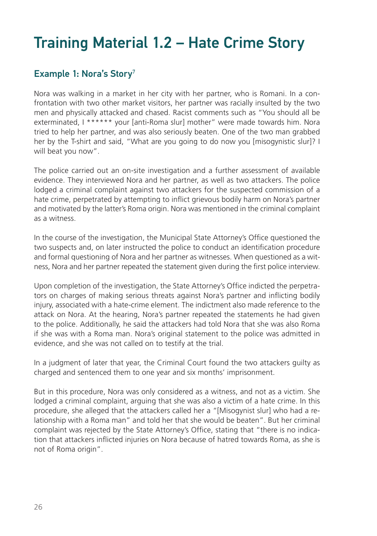### Training Material 1.2 – Hate Crime Story

#### Example 1: Nora's Story<sup>7</sup>

Nora was walking in a market in her city with her partner, who is Romani. In a confrontation with two other market visitors, her partner was racially insulted by the two men and physically attacked and chased. Racist comments such as "You should all be exterminated, I \*\*\*\*\*\* your [anti-Roma slur] mother" were made towards him. Nora tried to help her partner, and was also seriously beaten. One of the two man grabbed her by the T-shirt and said, "What are you going to do now you [misogynistic slur]? I will beat you now".

The police carried out an on-site investigation and a further assessment of available evidence. They interviewed Nora and her partner, as well as two attackers. The police lodged a criminal complaint against two attackers for the suspected commission of a hate crime, perpetrated by attempting to inflict grievous bodily harm on Nora's partner and motivated by the latter's Roma origin. Nora was mentioned in the criminal complaint as a witness.

In the course of the investigation, the Municipal State Attorney's Office questioned the two suspects and, on later instructed the police to conduct an identification procedure and formal questioning of Nora and her partner as witnesses. When questioned as a witness, Nora and her partner repeated the statement given during the first police interview.

Upon completion of the investigation, the State Attorney's Office indicted the perpetrators on charges of making serious threats against Nora's partner and inflicting bodily injury, associated with a hate-crime element. The indictment also made reference to the attack on Nora. At the hearing, Nora's partner repeated the statements he had given to the police. Additionally, he said the attackers had told Nora that she was also Roma if she was with a Roma man. Nora's original statement to the police was admitted in evidence, and she was not called on to testify at the trial.

In a judgment of later that year, the Criminal Court found the two attackers guilty as charged and sentenced them to one year and six months' imprisonment.

But in this procedure, Nora was only considered as a witness, and not as a victim. She lodged a criminal complaint, arguing that she was also a victim of a hate crime. In this procedure, she alleged that the attackers called her a "[Misogynist slur] who had a relationship with a Roma man" and told her that she would be beaten". But her criminal complaint was rejected by the State Attorney's Office, stating that "there is no indication that attackers inflicted injuries on Nora because of hatred towards Roma, as she is not of Roma origin".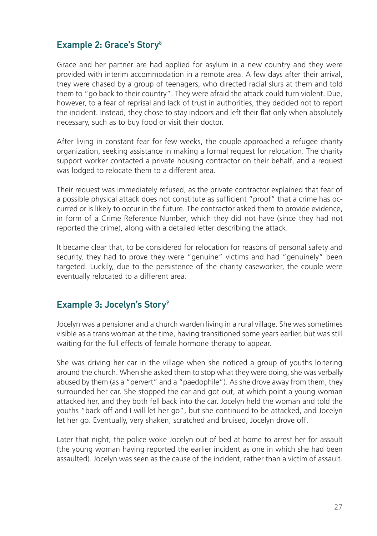#### Example 2: Grace's Story<sup>8</sup>

Grace and her partner are had applied for asylum in a new country and they were provided with interim accommodation in a remote area. A few days after their arrival, they were chased by a group of teenagers, who directed racial slurs at them and told them to "go back to their country". They were afraid the attack could turn violent. Due, however, to a fear of reprisal and lack of trust in authorities, they decided not to report the incident. Instead, they chose to stay indoors and left their flat only when absolutely necessary, such as to buy food or visit their doctor.

After living in constant fear for few weeks, the couple approached a refugee charity organization, seeking assistance in making a formal request for relocation. The charity support worker contacted a private housing contractor on their behalf, and a request was lodged to relocate them to a different area.

Their request was immediately refused, as the private contractor explained that fear of a possible physical attack does not constitute as sufficient "proof" that a crime has occurred or is likely to occur in the future. The contractor asked them to provide evidence, in form of a Crime Reference Number, which they did not have (since they had not reported the crime), along with a detailed letter describing the attack.

It became clear that, to be considered for relocation for reasons of personal safety and security, they had to prove they were "genuine" victims and had "genuinely" been targeted. Luckily, due to the persistence of the charity caseworker, the couple were eventually relocated to a different area.

#### Example 3: Jocelyn's Story<sup>9</sup>

Jocelyn was a pensioner and a church warden living in a rural village. She was sometimes visible as a trans woman at the time, having transitioned some years earlier, but was still waiting for the full effects of female hormone therapy to appear.

She was driving her car in the village when she noticed a group of youths loitering around the church. When she asked them to stop what they were doing, she was verbally abused by them (as a "pervert" and a "paedophile"). As she drove away from them, they surrounded her car. She stopped the car and got out, at which point a young woman attacked her, and they both fell back into the car. Jocelyn held the woman and told the youths "back off and I will let her go", but she continued to be attacked, and Jocelyn let her go. Eventually, very shaken, scratched and bruised, Jocelyn drove off.

Later that night, the police woke Jocelyn out of bed at home to arrest her for assault (the young woman having reported the earlier incident as one in which she had been assaulted). Jocelyn was seen as the cause of the incident, rather than a victim of assault.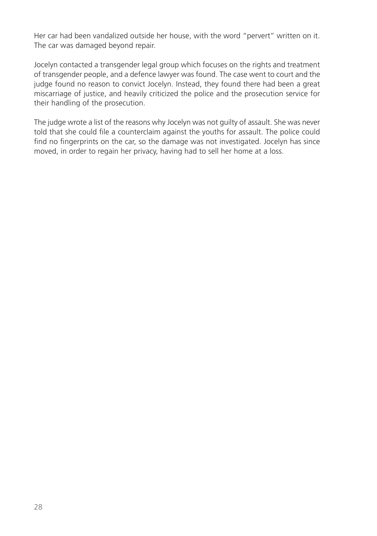Her car had been vandalized outside her house, with the word "pervert" written on it. The car was damaged beyond repair.

Jocelyn contacted a transgender legal group which focuses on the rights and treatment of transgender people, and a defence lawyer was found. The case went to court and the judge found no reason to convict Jocelyn. Instead, they found there had been a great miscarriage of justice, and heavily criticized the police and the prosecution service for their handling of the prosecution.

The judge wrote a list of the reasons why Jocelyn was not guilty of assault. She was never told that she could file a counterclaim against the youths for assault. The police could find no fingerprints on the car, so the damage was not investigated. Jocelyn has since moved, in order to regain her privacy, having had to sell her home at a loss.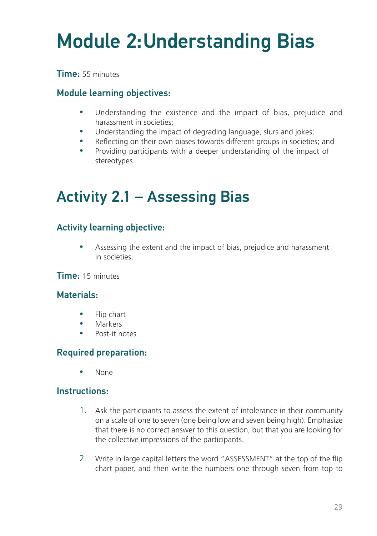# Module 2:Understanding Bias

Time: 55 minutes

#### Module learning objectives:

- Understanding the existence and the impact of bias, prejudice and harassment in societies;
- Understanding the impact of degrading language, slurs and jokes;
- Reflecting on their own biases towards different groups in societies; and
- Providing participants with a deeper understanding of the impact of stereotypes.

### Activity 2.1 – Assessing Bias

#### Activity learning objective:

• Assessing the extent and the impact of bias, prejudice and harassment in societies.

#### Time: 15 minutes

#### Materials:

- Flip chart
- Markers
- $\bullet$  Post-it notes

#### Required preparation:

 $\bullet$  None

#### Instructions:

- 1. Ask the participants to assess the extent of intolerance in their community on a scale of one to seven (one being low and seven being high). Emphasize that there is no correct answer to this question, but that you are looking for the collective impressions of the participants.
- 2. Write in large capital letters the word "ASSESSMENT" at the top of the flip chart paper, and then write the numbers one through seven from top to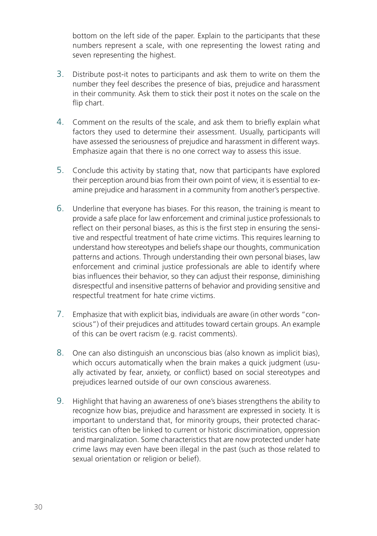bottom on the left side of the paper. Explain to the participants that these numbers represent a scale, with one representing the lowest rating and seven representing the highest.

- 3. Distribute post-it notes to participants and ask them to write on them the number they feel describes the presence of bias, prejudice and harassment in their community. Ask them to stick their post it notes on the scale on the flip chart.
- 4. Comment on the results of the scale, and ask them to briefly explain what factors they used to determine their assessment. Usually, participants will have assessed the seriousness of prejudice and harassment in different ways. Emphasize again that there is no one correct way to assess this issue.
- 5. Conclude this activity by stating that, now that participants have explored their perception around bias from their own point of view, it is essential to examine prejudice and harassment in a community from another's perspective.
- 6. Underline that everyone has biases. For this reason, the training is meant to provide a safe place for law enforcement and criminal justice professionals to reflect on their personal biases, as this is the first step in ensuring the sensitive and respectful treatment of hate crime victims. This requires learning to understand how stereotypes and beliefs shape our thoughts, communication patterns and actions. Through understanding their own personal biases, law enforcement and criminal justice professionals are able to identify where bias influences their behavior, so they can adjust their response, diminishing disrespectful and insensitive patterns of behavior and providing sensitive and respectful treatment for hate crime victims.
- 7. Emphasize that with explicit bias, individuals are aware (in other words "conscious") of their prejudices and attitudes toward certain groups. An example of this can be overt racism (e.g. racist comments).
- 8. One can also distinguish an unconscious bias (also known as implicit bias), which occurs automatically when the brain makes a quick judgment (usually activated by fear, anxiety, or conflict) based on social stereotypes and prejudices learned outside of our own conscious awareness.
- 9. Highlight that having an awareness of one's biases strengthens the ability to recognize how bias, prejudice and harassment are expressed in society. It is important to understand that, for minority groups, their protected characteristics can often be linked to current or historic discrimination, oppression and marginalization. Some characteristics that are now protected under hate crime laws may even have been illegal in the past (such as those related to sexual orientation or religion or belief).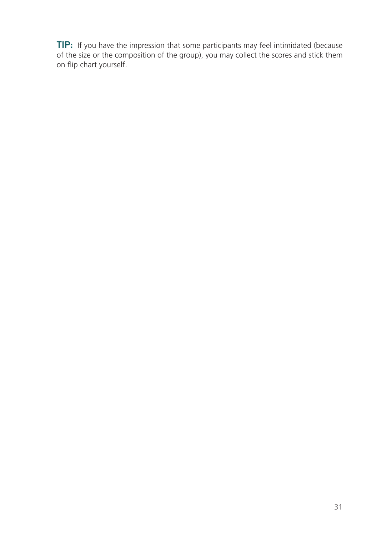TIP: If you have the impression that some participants may feel intimidated (because of the size or the composition of the group), you may collect the scores and stick them on flip chart yourself.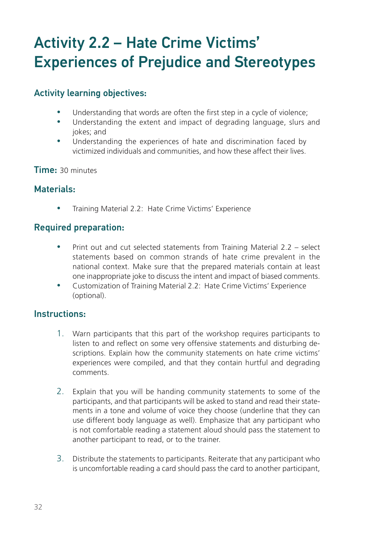### Activity 2.2 – Hate Crime Victims' Experiences of Prejudice and Stereotypes

#### Activity learning objectives:

- Understanding that words are often the first step in a cycle of violence;
- Understanding the extent and impact of degrading language, slurs and jokes; and
- Understanding the experiences of hate and discrimination faced by victimized individuals and communities, and how these affect their lives.

Time: 30 minutes

#### Materials:

Training Material 2.2: Hate Crime Victims' Experience

#### Required preparation:

- Print out and cut selected statements from Training Material 2.2 select statements based on common strands of hate crime prevalent in the national context. Make sure that the prepared materials contain at least one inappropriate joke to discuss the intent and impact of biased comments.
- y Customization of Training Material 2.2: Hate Crime Victims' Experience (optional).

#### Instructions:

- 1. Warn participants that this part of the workshop requires participants to listen to and reflect on some very offensive statements and disturbing descriptions. Explain how the community statements on hate crime victims' experiences were compiled, and that they contain hurtful and degrading comments.
- 2. Explain that you will be handing community statements to some of the participants, and that participants will be asked to stand and read their statements in a tone and volume of voice they choose (underline that they can use different body language as well). Emphasize that any participant who is not comfortable reading a statement aloud should pass the statement to another participant to read, or to the trainer.
- 3. Distribute the statements to participants. Reiterate that any participant who is uncomfortable reading a card should pass the card to another participant,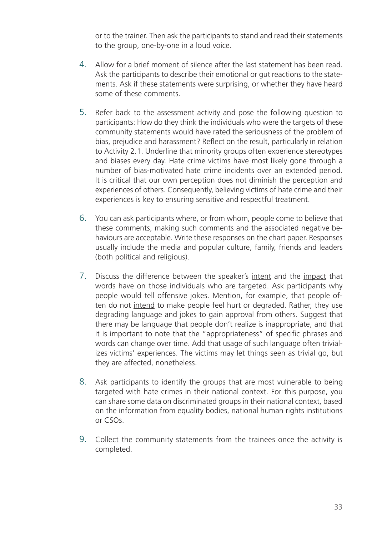or to the trainer. Then ask the participants to stand and read their statements to the group, one-by-one in a loud voice.

- 4. Allow for a brief moment of silence after the last statement has been read. Ask the participants to describe their emotional or gut reactions to the statements. Ask if these statements were surprising, or whether they have heard some of these comments.
- 5. Refer back to the assessment activity and pose the following question to participants: How do they think the individuals who were the targets of these community statements would have rated the seriousness of the problem of bias, prejudice and harassment? Reflect on the result, particularly in relation to Activity 2.1. Underline that minority groups often experience stereotypes and biases every day. Hate crime victims have most likely gone through a number of bias-motivated hate crime incidents over an extended period. It is critical that our own perception does not diminish the perception and experiences of others. Consequently, believing victims of hate crime and their experiences is key to ensuring sensitive and respectful treatment.
- 6. You can ask participants where, or from whom, people come to believe that these comments, making such comments and the associated negative behaviours are acceptable. Write these responses on the chart paper. Responses usually include the media and popular culture, family, friends and leaders (both political and religious).
- 7. Discuss the difference between the speaker's intent and the impact that words have on those individuals who are targeted. Ask participants why people would tell offensive jokes. Mention, for example, that people often do not intend to make people feel hurt or degraded. Rather, they use degrading language and jokes to gain approval from others. Suggest that there may be language that people don't realize is inappropriate, and that it is important to note that the "appropriateness" of specific phrases and words can change over time. Add that usage of such language often trivializes victims' experiences. The victims may let things seen as trivial go, but they are affected, nonetheless.
- 8. Ask participants to identify the groups that are most vulnerable to being targeted with hate crimes in their national context. For this purpose, you can share some data on discriminated groups in their national context, based on the information from equality bodies, national human rights institutions or CSOs.
- 9. Collect the community statements from the trainees once the activity is completed.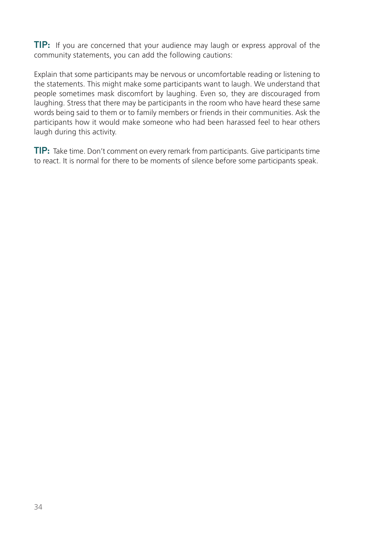**TIP:** If you are concerned that your audience may laugh or express approval of the community statements, you can add the following cautions:

Explain that some participants may be nervous or uncomfortable reading or listening to the statements. This might make some participants want to laugh. We understand that people sometimes mask discomfort by laughing. Even so, they are discouraged from laughing. Stress that there may be participants in the room who have heard these same words being said to them or to family members or friends in their communities. Ask the participants how it would make someone who had been harassed feel to hear others laugh during this activity.

TIP: Take time. Don't comment on every remark from participants. Give participants time to react. It is normal for there to be moments of silence before some participants speak.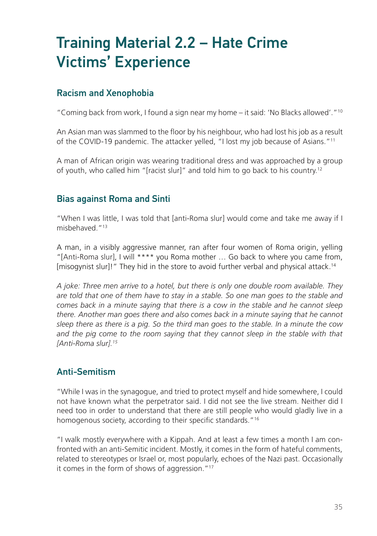### Training Material 2.2 – Hate Crime Victims' Experience

#### Racism and Xenophobia

"Coming back from work, I found a sign near my home – it said: 'No Blacks allowed'."10

An Asian man was slammed to the floor by his neighbour, who had lost his job as a result of the COVID-19 pandemic. The attacker yelled, "I lost my job because of Asians."11

A man of African origin was wearing traditional dress and was approached by a group of youth, who called him "[racist slur]" and told him to go back to his country.12

#### Bias against Roma and Sinti

"When I was little, I was told that [anti-Roma slur] would come and take me away if I misbehaved<sup>"13</sup>

A man, in a visibly aggressive manner, ran after four women of Roma origin, yelling "[Anti-Roma slur], I will \*\*\*\* you Roma mother … Go back to where you came from, [misogynist slur]!" They hid in the store to avoid further verbal and physical attack.14

*A joke: Three men arrive to a hotel, but there is only one double room available. They are told that one of them have to stay in a stable. So one man goes to the stable and comes back in a minute saying that there is a cow in the stable and he cannot sleep there. Another man goes there and also comes back in a minute saying that he cannot sleep there as there is a pig. So the third man goes to the stable. In a minute the cow*  and the pig come to the room saying that they cannot sleep in the stable with that *[Anti-Roma slur].15*

#### Anti-Semitism

"While I was in the synagogue, and tried to protect myself and hide somewhere, I could not have known what the perpetrator said. I did not see the live stream. Neither did I need too in order to understand that there are still people who would gladly live in a homogenous society, according to their specific standards."<sup>16</sup>

"I walk mostly everywhere with a Kippah. And at least a few times a month I am confronted with an anti-Semitic incident. Mostly, it comes in the form of hateful comments, related to stereotypes or Israel or, most popularly, echoes of the Nazi past. Occasionally it comes in the form of shows of aggression."<sup>17</sup>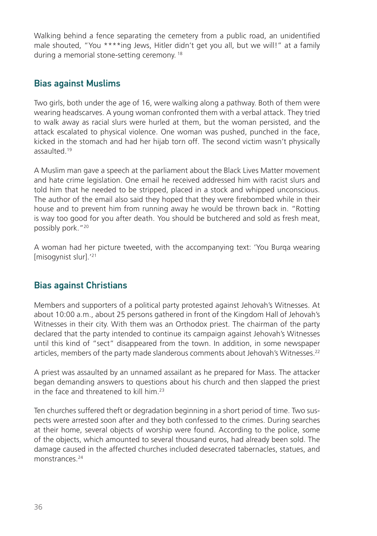Walking behind a fence separating the cemetery from a public road, an unidentified male shouted, "You \*\*\*\*ing Jews, Hitler didn't get you all, but we will!" at a family during a memorial stone-setting ceremony. 18

#### Bias against Muslims

Two girls, both under the age of 16, were walking along a pathway. Both of them were wearing headscarves. A young woman confronted them with a verbal attack. They tried to walk away as racial slurs were hurled at them, but the woman persisted, and the attack escalated to physical violence. One woman was pushed, punched in the face, kicked in the stomach and had her hijab torn off. The second victim wasn't physically assaulted.19

A Muslim man gave a speech at the parliament about the Black Lives Matter movement and hate crime legislation. One email he received addressed him with racist slurs and told him that he needed to be stripped, placed in a stock and whipped unconscious. The author of the email also said they hoped that they were firebombed while in their house and to prevent him from running away he would be thrown back in. "Rotting is way too good for you after death. You should be butchered and sold as fresh meat, possibly pork."20

A woman had her picture tweeted, with the accompanying text: 'You Burqa wearing [misogynist slur].'21

#### Bias against Christians

Members and supporters of a political party protested against Jehovah's Witnesses. At about 10:00 a.m., about 25 persons gathered in front of the Kingdom Hall of Jehovah's Witnesses in their city. With them was an Orthodox priest. The chairman of the party declared that the party intended to continue its campaign against Jehovah's Witnesses until this kind of "sect" disappeared from the town. In addition, in some newspaper articles, members of the party made slanderous comments about Jehovah's Witnesses.22

A priest was assaulted by an unnamed assailant as he prepared for Mass. The attacker began demanding answers to questions about his church and then slapped the priest in the face and threatened to kill him.23

Ten churches suffered theft or degradation beginning in a short period of time. Two suspects were arrested soon after and they both confessed to the crimes. During searches at their home, several objects of worship were found. According to the police, some of the objects, which amounted to several thousand euros, had already been sold. The damage caused in the affected churches included desecrated tabernacles, statues, and monstrances<sup>24</sup>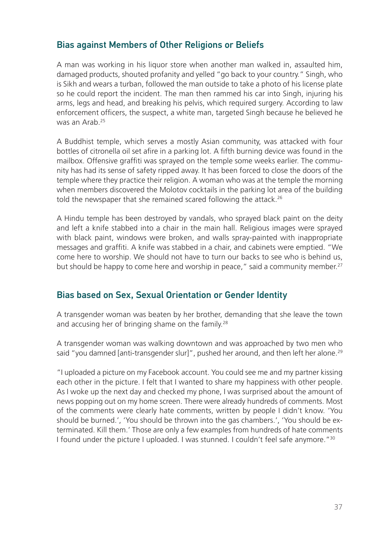### Bias against Members of Other Religions or Beliefs

A man was working in his liquor store when another man walked in, assaulted him, damaged products, shouted profanity and yelled "go back to your country." Singh, who is Sikh and wears a turban, followed the man outside to take a photo of his license plate so he could report the incident. The man then rammed his car into Singh, injuring his arms, legs and head, and breaking his pelvis, which required surgery. According to law enforcement officers, the suspect, a white man, targeted Singh because he believed he was an Arab<sup>25</sup>

A Buddhist temple, which serves a mostly Asian community, was attacked with four bottles of citronella oil set afire in a parking lot. A fifth burning device was found in the mailbox. Offensive graffiti was sprayed on the temple some weeks earlier. The community has had its sense of safety ripped away. It has been forced to close the doors of the temple where they practice their religion. A woman who was at the temple the morning when members discovered the Molotov cocktails in the parking lot area of the building told the newspaper that she remained scared following the attack.<sup>26</sup>

A Hindu temple has been destroyed by vandals, who sprayed black paint on the deity and left a knife stabbed into a chair in the main hall. Religious images were sprayed with black paint, windows were broken, and walls spray-painted with inappropriate messages and graffiti. A knife was stabbed in a chair, and cabinets were emptied. "We come here to worship. We should not have to turn our backs to see who is behind us, but should be happy to come here and worship in peace." said a community member.<sup>27</sup>

#### Bias based on Sex, Sexual Orientation or Gender Identity

A transgender woman was beaten by her brother, demanding that she leave the town and accusing her of bringing shame on the family.<sup>28</sup>

A transgender woman was walking downtown and was approached by two men who said "you damned [anti-transgender slur]", pushed her around, and then left her alone.<sup>29</sup>

"I uploaded a picture on my Facebook account. You could see me and my partner kissing each other in the picture. I felt that I wanted to share my happiness with other people. As I woke up the next day and checked my phone, I was surprised about the amount of news popping out on my home screen. There were already hundreds of comments. Most of the comments were clearly hate comments, written by people I didn't know. 'You should be burned.', 'You should be thrown into the gas chambers.', 'You should be exterminated. Kill them.' Those are only a few examples from hundreds of hate comments I found under the picture I uploaded. I was stunned. I couldn't feel safe anymore."30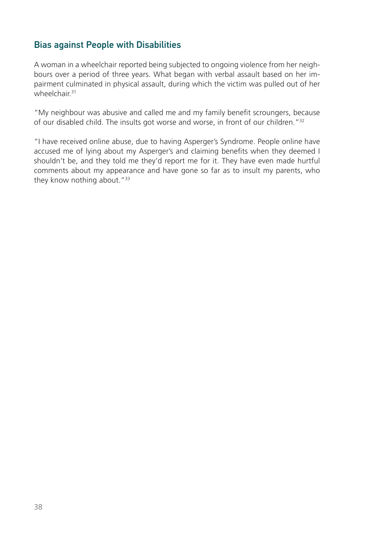### Bias against People with Disabilities

A woman in a wheelchair reported being subjected to ongoing violence from her neighbours over a period of three years. What began with verbal assault based on her impairment culminated in physical assault, during which the victim was pulled out of her wheelchair<sup>31</sup>

"My neighbour was abusive and called me and my family benefit scroungers, because of our disabled child. The insults got worse and worse, in front of our children."32

"I have received online abuse, due to having Asperger's Syndrome. People online have accused me of lying about my Asperger's and claiming benefits when they deemed I shouldn't be, and they told me they'd report me for it. They have even made hurtful comments about my appearance and have gone so far as to insult my parents, who they know nothing about."<sup>33</sup>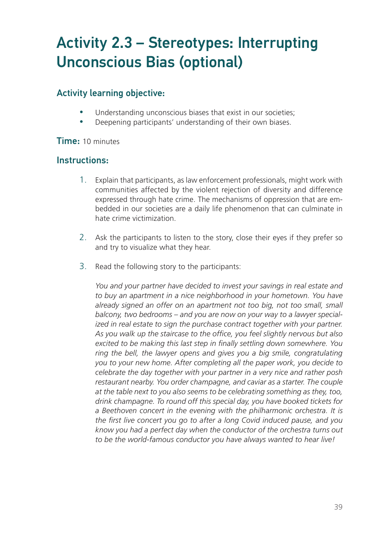## Activity 2.3 – Stereotypes: Interrupting Unconscious Bias (optional)

## Activity learning objective:

- Understanding unconscious biases that exist in our societies;
- Deepening participants' understanding of their own biases.

#### Time: 10 minutes

#### Instructions:

- 1. Explain that participants, as law enforcement professionals, might work with communities affected by the violent rejection of diversity and difference expressed through hate crime. The mechanisms of oppression that are embedded in our societies are a daily life phenomenon that can culminate in hate crime victimization.
- 2. Ask the participants to listen to the story, close their eyes if they prefer so and try to visualize what they hear.
- 3. Read the following story to the participants:

*You and your partner have decided to invest your savings in real estate and to buy an apartment in a nice neighborhood in your hometown. You have*  already signed an offer on an apartment not too big, not too small, small *balcony, two bedrooms – and you are now on your way to a lawyer specialized in real estate to sign the purchase contract together with your partner. As you walk up the staircase to the office, you feel slightly nervous but also excited to be making this last step in finally settling down somewhere. You ring the bell, the lawyer opens and gives you a big smile, congratulating you to your new home. After completing all the paper work, you decide to celebrate the day together with your partner in a very nice and rather posh*  restaurant nearby. You order champagne, and caviar as a starter. The couple *at the table next to you also seems to be celebrating something as they, too, drink champagne. To round off this special day, you have booked tickets for*  a Beethoven concert in the evening with the philharmonic orchestra. It is *the first live concert you go to after a long Covid induced pause, and you know you had a perfect day when the conductor of the orchestra turns out to be the world-famous conductor you have always wanted to hear live!*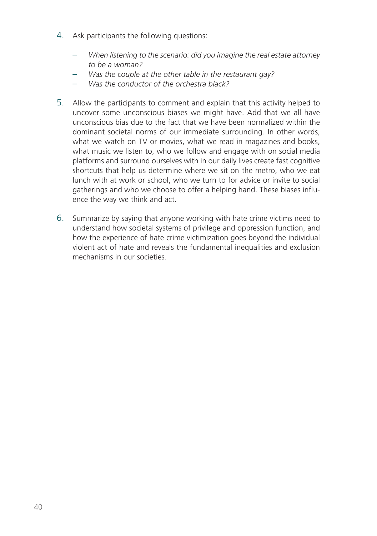- 4. Ask participants the following questions:
	- *When listening to the scenario: did you imagine the real estate attorney to be a woman?*
	- *Was the couple at the other table in the restaurant gay?*
	- *Was the conductor of the orchestra black?*
- 5. Allow the participants to comment and explain that this activity helped to uncover some unconscious biases we might have. Add that we all have unconscious bias due to the fact that we have been normalized within the dominant societal norms of our immediate surrounding. In other words, what we watch on TV or movies, what we read in magazines and books, what music we listen to, who we follow and engage with on social media platforms and surround ourselves with in our daily lives create fast cognitive shortcuts that help us determine where we sit on the metro, who we eat lunch with at work or school, who we turn to for advice or invite to social gatherings and who we choose to offer a helping hand. These biases influence the way we think and act.
- 6. Summarize by saying that anyone working with hate crime victims need to understand how societal systems of privilege and oppression function, and how the experience of hate crime victimization goes beyond the individual violent act of hate and reveals the fundamental inequalities and exclusion mechanisms in our societies.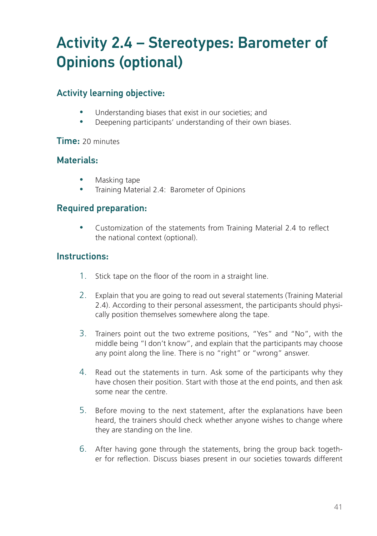## Activity 2.4 – Stereotypes: Barometer of Opinions (optional)

## Activity learning objective:

- Understanding biases that exist in our societies; and
- Deepening participants' understanding of their own biases.

#### Time: 20 minutes

#### Materials:

- Masking tape
- Training Material 2.4: Barometer of Opinions

### Required preparation:

• Customization of the statements from Training Material 2.4 to reflect the national context (optional).

### Instructions:

- 1. Stick tape on the floor of the room in a straight line.
- 2. Explain that you are going to read out several statements (Training Material 2.4). According to their personal assessment, the participants should physically position themselves somewhere along the tape.
- 3. Trainers point out the two extreme positions, "Yes" and "No", with the middle being "I don't know", and explain that the participants may choose any point along the line. There is no "right" or "wrong" answer.
- 4. Read out the statements in turn. Ask some of the participants why they have chosen their position. Start with those at the end points, and then ask some near the centre.
- 5. Before moving to the next statement, after the explanations have been heard, the trainers should check whether anyone wishes to change where they are standing on the line.
- 6. After having gone through the statements, bring the group back together for reflection. Discuss biases present in our societies towards different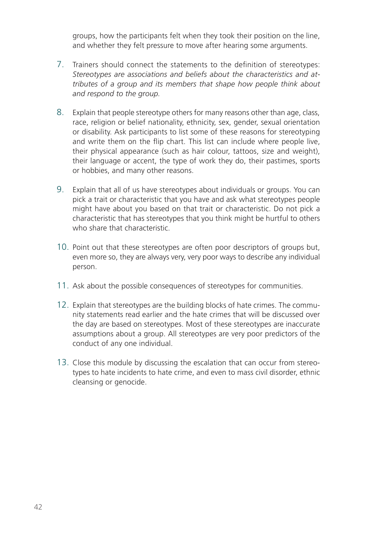groups, how the participants felt when they took their position on the line, and whether they felt pressure to move after hearing some arguments.

- 7. Trainers should connect the statements to the definition of stereotypes: *Stereotypes are associations and beliefs about the characteristics and attributes of a group and its members that shape how people think about and respond to the group.*
- 8. Explain that people stereotype others for many reasons other than age, class, race, religion or belief nationality, ethnicity, sex, gender, sexual orientation or disability. Ask participants to list some of these reasons for stereotyping and write them on the flip chart. This list can include where people live, their physical appearance (such as hair colour, tattoos, size and weight), their language or accent, the type of work they do, their pastimes, sports or hobbies, and many other reasons.
- 9. Explain that all of us have stereotypes about individuals or groups. You can pick a trait or characteristic that you have and ask what stereotypes people might have about you based on that trait or characteristic. Do not pick a characteristic that has stereotypes that you think might be hurtful to others who share that characteristic.
- 10. Point out that these stereotypes are often poor descriptors of groups but, even more so, they are always very, very poor ways to describe any individual person.
- 11. Ask about the possible consequences of stereotypes for communities.
- 12. Explain that stereotypes are the building blocks of hate crimes. The community statements read earlier and the hate crimes that will be discussed over the day are based on stereotypes. Most of these stereotypes are inaccurate assumptions about a group. All stereotypes are very poor predictors of the conduct of any one individual.
- 13. Close this module by discussing the escalation that can occur from stereotypes to hate incidents to hate crime, and even to mass civil disorder, ethnic cleansing or genocide.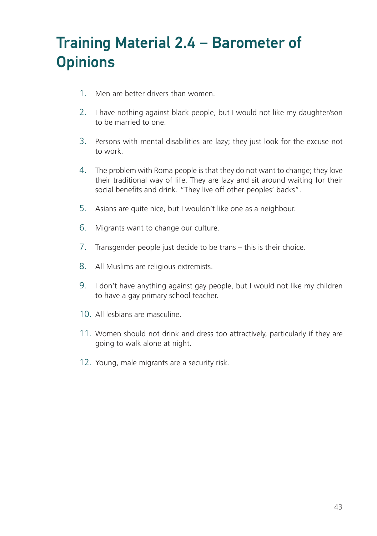## Training Material 2.4 – Barometer of **Opinions**

- 1. Men are better drivers than women.
- 2. I have nothing against black people, but I would not like my daughter/son to be married to one.
- 3. Persons with mental disabilities are lazy; they just look for the excuse not to work.
- 4. The problem with Roma people is that they do not want to change; they love their traditional way of life. They are lazy and sit around waiting for their social benefits and drink. "They live off other peoples' backs".
- 5. Asians are quite nice, but I wouldn't like one as a neighbour.
- 6. Migrants want to change our culture.
- 7. Transgender people just decide to be trans this is their choice.
- 8. All Muslims are religious extremists.
- 9. I don't have anything against gay people, but I would not like my children to have a gay primary school teacher.
- 10. All lesbians are masculine.
- 11. Women should not drink and dress too attractively, particularly if they are going to walk alone at night.
- 12. Young, male migrants are a security risk.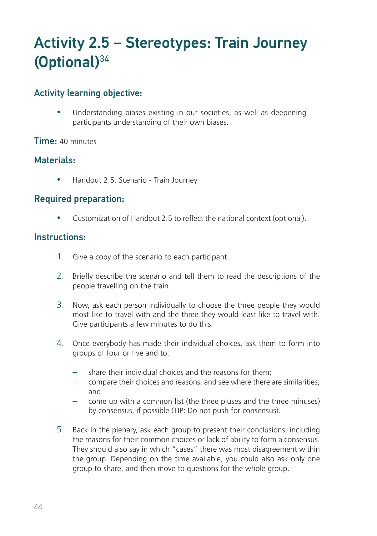## Activity 2.5 – Stereotypes: Train Journey  $(Optional)^{34}$

#### Activity learning objective:

Understanding biases existing in our societies, as well as deepening participants understanding of their own biases.

#### Time: 40 minutes

### Materials:

• Handout 2.5: Scenario - Train Journey

#### Required preparation:

Customization of Handout 2.5 to reflect the national context (optional).

#### Instructions:

- 1. Give a copy of the scenario to each participant.
- 2. Briefly describe the scenario and tell them to read the descriptions of the people travelling on the train.
- 3. Now, ask each person individually to choose the three people they would most like to travel with and the three they would least like to travel with. Give participants a few minutes to do this.
- 4. Once everybody has made their individual choices, ask them to form into groups of four or five and to:
	- share their individual choices and the reasons for them;
	- compare their choices and reasons, and see where there are similarities; and
	- come up with a common list (the three pluses and the three minuses) by consensus, if possible (TIP: Do not push for consensus).
- 5. Back in the plenary, ask each group to present their conclusions, including the reasons for their common choices or lack of ability to form a consensus. They should also say in which "cases" there was most disagreement within the group. Depending on the time available, you could also ask only one group to share, and then move to questions for the whole group.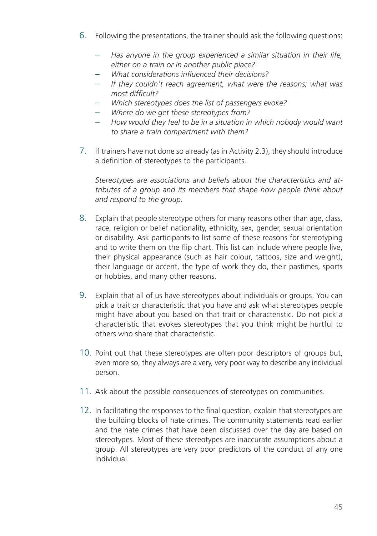- 6. Following the presentations, the trainer should ask the following questions:
	- *Has anyone in the group experienced a similar situation in their life, either on a train or in another public place?*
	- *What considerations influenced their decisions?*
	- *If they couldn't reach agreement, what were the reasons; what was most difficult?*
	- *Which stereotypes does the list of passengers evoke?*
	- *Where do we get these stereotypes from?*
	- *How would they feel to be in a situation in which nobody would want to share a train compartment with them?*
- 7. If trainers have not done so already (as in Activity 2.3), they should introduce a definition of stereotypes to the participants.

*Stereotypes are associations and beliefs about the characteristics and attributes of a group and its members that shape how people think about and respond to the group.*

- 8. Explain that people stereotype others for many reasons other than age, class, race, religion or belief nationality, ethnicity, sex, gender, sexual orientation or disability. Ask participants to list some of these reasons for stereotyping and to write them on the flip chart. This list can include where people live, their physical appearance (such as hair colour, tattoos, size and weight), their language or accent, the type of work they do, their pastimes, sports or hobbies, and many other reasons.
- 9. Explain that all of us have stereotypes about individuals or groups. You can pick a trait or characteristic that you have and ask what stereotypes people might have about you based on that trait or characteristic. Do not pick a characteristic that evokes stereotypes that you think might be hurtful to others who share that characteristic.
- 10. Point out that these stereotypes are often poor descriptors of groups but, even more so, they always are a very, very poor way to describe any individual person.
- 11. Ask about the possible consequences of stereotypes on communities.
- 12. In facilitating the responses to the final question, explain that stereotypes are the building blocks of hate crimes. The community statements read earlier and the hate crimes that have been discussed over the day are based on stereotypes. Most of these stereotypes are inaccurate assumptions about a group. All stereotypes are very poor predictors of the conduct of any one individual.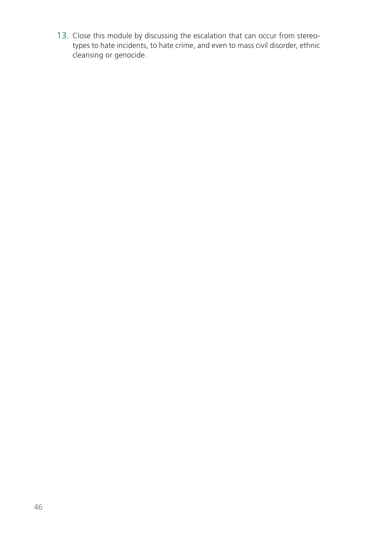13. Close this module by discussing the escalation that can occur from stereotypes to hate incidents, to hate crime, and even to mass civil disorder, ethnic cleansing or genocide.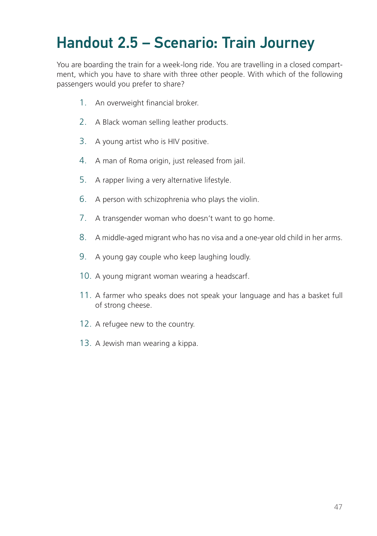## Handout 2.5 – Scenario: Train Journey

You are boarding the train for a week-long ride. You are travelling in a closed compartment, which you have to share with three other people. With which of the following passengers would you prefer to share?

- 1. An overweight financial broker.
- 2. A Black woman selling leather products.
- 3. A young artist who is HIV positive.
- 4. A man of Roma origin, just released from jail.
- 5. A rapper living a very alternative lifestyle.
- 6. A person with schizophrenia who plays the violin.
- 7. A transgender woman who doesn't want to go home.
- 8. A middle-aged migrant who has no visa and a one-year old child in her arms.
- 9. A young gay couple who keep laughing loudly.
- 10. A young migrant woman wearing a headscarf.
- 11. A farmer who speaks does not speak your language and has a basket full of strong cheese.
- 12. A refugee new to the country.
- 13. A Jewish man wearing a kippa.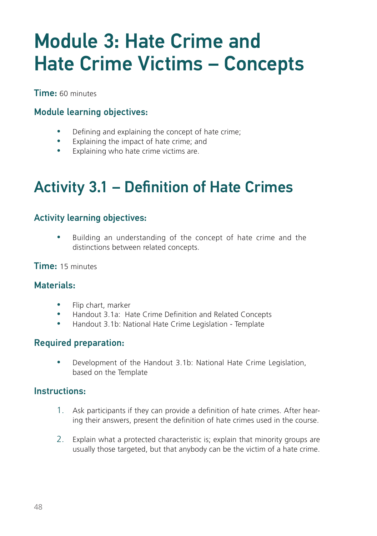# Module 3: Hate Crime and Hate Crime Victims – Concepts

Time: 60 minutes

## Module learning objectives:

- Defining and explaining the concept of hate crime;
- Explaining the impact of hate crime; and
- Explaining who hate crime victims are.

## Activity 3.1 – Definition of Hate Crimes

### Activity learning objectives:

• Building an understanding of the concept of hate crime and the distinctions between related concepts.

Time: 15 minutes

### Materials:

- Flip chart, marker
- y Handout 3.1a: Hate Crime Definition and Related Concepts
- y Handout 3.1b: National Hate Crime Legislation Template

### Required preparation:

• Development of the Handout 3.1b: National Hate Crime Legislation, based on the Template

#### Instructions:

- 1. Ask participants if they can provide a definition of hate crimes. After hearing their answers, present the definition of hate crimes used in the course.
- 2. Explain what a protected characteristic is; explain that minority groups are usually those targeted, but that anybody can be the victim of a hate crime.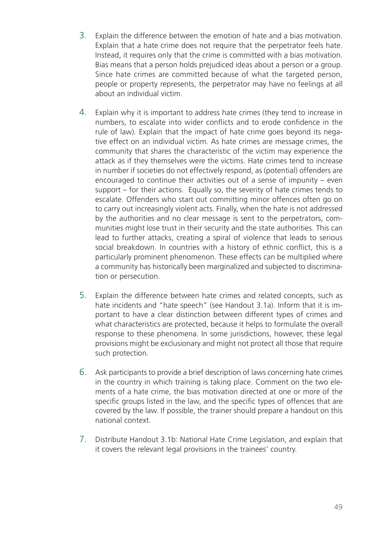- 3. Explain the difference between the emotion of hate and a bias motivation. Explain that a hate crime does not require that the perpetrator feels hate. Instead, it requires only that the crime is committed with a bias motivation. Bias means that a person holds prejudiced ideas about a person or a group. Since hate crimes are committed because of what the targeted person, people or property represents, the perpetrator may have no feelings at all about an individual victim.
- 4. Explain why it is important to address hate crimes (they tend to increase in numbers, to escalate into wider conflicts and to erode confidence in the rule of law). Explain that the impact of hate crime goes beyond its negative effect on an individual victim. As hate crimes are message crimes, the community that shares the characteristic of the victim may experience the attack as if they themselves were the victims. Hate crimes tend to increase in number if societies do not effectively respond, as (potential) offenders are encouraged to continue their activities out of a sense of impunity – even support – for their actions. Equally so, the severity of hate crimes tends to escalate. Offenders who start out committing minor offences often go on to carry out increasingly violent acts. Finally, when the hate is not addressed by the authorities and no clear message is sent to the perpetrators, communities might lose trust in their security and the state authorities. This can lead to further attacks, creating a spiral of violence that leads to serious social breakdown. In countries with a history of ethnic conflict, this is a particularly prominent phenomenon. These effects can be multiplied where a community has historically been marginalized and subjected to discrimination or persecution.
- 5. Explain the difference between hate crimes and related concepts, such as hate incidents and "hate speech" (see Handout 3.1a). Inform that it is important to have a clear distinction between different types of crimes and what characteristics are protected, because it helps to formulate the overall response to these phenomena. In some jurisdictions, however, these legal provisions might be exclusionary and might not protect all those that require such protection.
- 6. Ask participants to provide a brief description of laws concerning hate crimes in the country in which training is taking place. Comment on the two elements of a hate crime, the bias motivation directed at one or more of the specific groups listed in the law, and the specific types of offences that are covered by the law. If possible, the trainer should prepare a handout on this national context.
- 7. Distribute Handout 3.1b: National Hate Crime Legislation, and explain that it covers the relevant legal provisions in the trainees' country.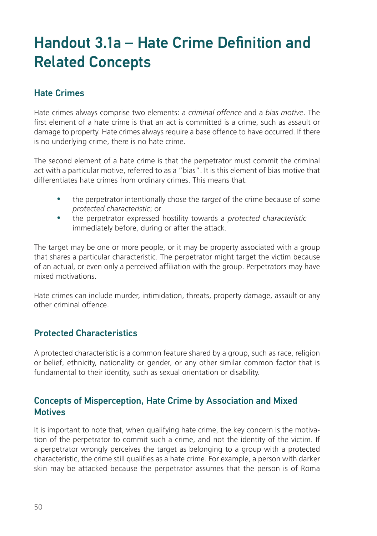## Handout 3.1a – Hate Crime Definition and Related Concepts

### Hate Crimes

Hate crimes always comprise two elements: a *criminal offence* and a *bias motive*. The first element of a hate crime is that an act is committed is a crime, such as assault or damage to property. Hate crimes always require a base offence to have occurred. If there is no underlying crime, there is no hate crime.

The second element of a hate crime is that the perpetrator must commit the criminal act with a particular motive, referred to as a "bias". It is this element of bias motive that differentiates hate crimes from ordinary crimes. This means that:

- the perpetrator intentionally chose the *target* of the crime because of some *protected characteristic*; or
- the perpetrator expressed hostility towards a *protected characteristic* immediately before, during or after the attack.

The target may be one or more people, or it may be property associated with a group that shares a particular characteristic. The perpetrator might target the victim because of an actual, or even only a perceived affiliation with the group. Perpetrators may have mixed motivations.

Hate crimes can include murder, intimidation, threats, property damage, assault or any other criminal offence.

### Protected Characteristics

A protected characteristic is a common feature shared by a group, such as race, religion or belief, ethnicity, nationality or gender, or any other similar common factor that is fundamental to their identity, such as sexual orientation or disability.

#### Concepts of Misperception, Hate Crime by Association and Mixed **Motives**

It is important to note that, when qualifying hate crime, the key concern is the motivation of the perpetrator to commit such a crime, and not the identity of the victim. If a perpetrator wrongly perceives the target as belonging to a group with a protected characteristic, the crime still qualifies as a hate crime. For example, a person with darker skin may be attacked because the perpetrator assumes that the person is of Roma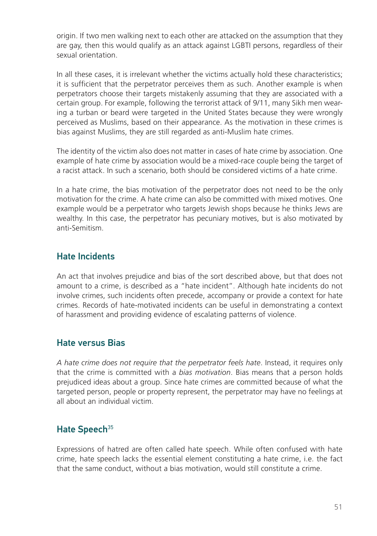origin. If two men walking next to each other are attacked on the assumption that they are gay, then this would qualify as an attack against LGBTI persons, regardless of their sexual orientation.

In all these cases, it is irrelevant whether the victims actually hold these characteristics; it is sufficient that the perpetrator perceives them as such. Another example is when perpetrators choose their targets mistakenly assuming that they are associated with a certain group. For example, following the terrorist attack of 9/11, many Sikh men wearing a turban or beard were targeted in the United States because they were wrongly perceived as Muslims, based on their appearance. As the motivation in these crimes is bias against Muslims, they are still regarded as anti-Muslim hate crimes.

The identity of the victim also does not matter in cases of hate crime by association. One example of hate crime by association would be a mixed-race couple being the target of a racist attack. In such a scenario, both should be considered victims of a hate crime.

In a hate crime, the bias motivation of the perpetrator does not need to be the only motivation for the crime. A hate crime can also be committed with mixed motives. One example would be a perpetrator who targets Jewish shops because he thinks Jews are wealthy. In this case, the perpetrator has pecuniary motives, but is also motivated by anti-Semitism.

### Hate Incidents

An act that involves prejudice and bias of the sort described above, but that does not amount to a crime, is described as a "hate incident". Although hate incidents do not involve crimes, such incidents often precede, accompany or provide a context for hate crimes. Records of hate-motivated incidents can be useful in demonstrating a context of harassment and providing evidence of escalating patterns of violence.

#### Hate versus Bias

*A hate crime does not require that the perpetrator feels hate*. Instead, it requires only that the crime is committed with a *bias motivation*. Bias means that a person holds prejudiced ideas about a group. Since hate crimes are committed because of what the targeted person, people or property represent, the perpetrator may have no feelings at all about an individual victim.

### Hate Speech<sup>35</sup>

Expressions of hatred are often called hate speech. While often confused with hate crime, hate speech lacks the essential element constituting a hate crime, i.e. the fact that the same conduct, without a bias motivation, would still constitute a crime.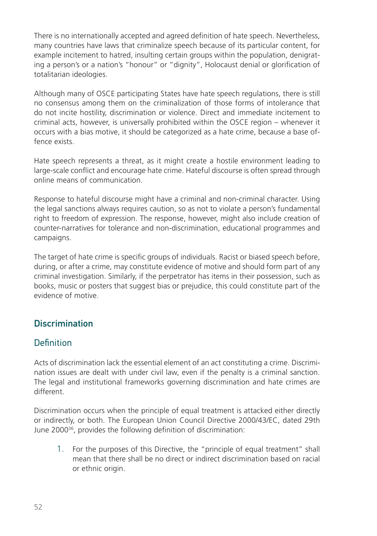There is no internationally accepted and agreed definition of hate speech. Nevertheless, many countries have laws that criminalize speech because of its particular content, for example incitement to hatred, insulting certain groups within the population, denigrating a person's or a nation's "honour" or "dignity", Holocaust denial or glorification of totalitarian ideologies.

Although many of OSCE participating States have hate speech regulations, there is still no consensus among them on the criminalization of those forms of intolerance that do not incite hostility, discrimination or violence. Direct and immediate incitement to criminal acts, however, is universally prohibited within the OSCE region – whenever it occurs with a bias motive, it should be categorized as a hate crime, because a base offence exists.

Hate speech represents a threat, as it might create a hostile environment leading to large-scale conflict and encourage hate crime. Hateful discourse is often spread through online means of communication.

Response to hateful discourse might have a criminal and non-criminal character. Using the legal sanctions always requires caution, so as not to violate a person's fundamental right to freedom of expression. The response, however, might also include creation of counter-narratives for tolerance and non-discrimination, educational programmes and campaigns.

The target of hate crime is specific groups of individuals. Racist or biased speech before, during, or after a crime, may constitute evidence of motive and should form part of any criminal investigation. Similarly, if the perpetrator has items in their possession, such as books, music or posters that suggest bias or prejudice, this could constitute part of the evidence of motive.

## **Discrimination**

### **Definition**

Acts of discrimination lack the essential element of an act constituting a crime. Discrimination issues are dealt with under civil law, even if the penalty is a criminal sanction. The legal and institutional frameworks governing discrimination and hate crimes are different.

Discrimination occurs when the principle of equal treatment is attacked either directly or indirectly, or both. The European Union Council Directive 2000/43/EC, dated 29th June 200036, provides the following definition of discrimination:

1. For the purposes of this Directive, the "principle of equal treatment" shall mean that there shall be no direct or indirect discrimination based on racial or ethnic origin.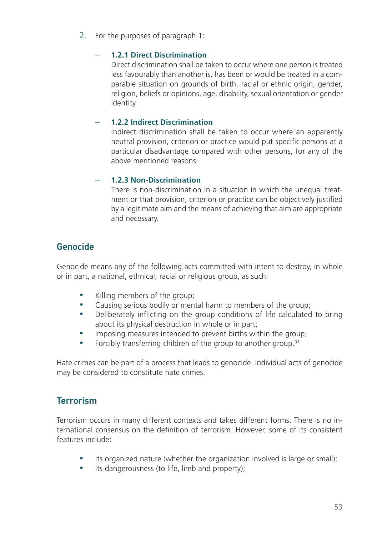2. For the purposes of paragraph 1:

#### – **1.2.1 Direct Discrimination**

Direct discrimination shall be taken to occur where one person is treated less favourably than another is, has been or would be treated in a comparable situation on grounds of birth, racial or ethnic origin, gender, religion, beliefs or opinions, age, disability, sexual orientation or gender identity.

#### – **1.2.2 Indirect Discrimination**

Indirect discrimination shall be taken to occur where an apparently neutral provision, criterion or practice would put specific persons at a particular disadvantage compared with other persons, for any of the above mentioned reasons.

#### – **1.2.3 Non-Discrimination**

There is non-discrimination in a situation in which the unequal treatment or that provision, criterion or practice can be objectively justified by a legitimate aim and the means of achieving that aim are appropriate and necessary.

### Genocide

Genocide means any of the following acts committed with intent to destroy, in whole or in part, a national, ethnical, racial or religious group, as such:

- Killing members of the group;
- Causing serious bodily or mental harm to members of the group;
- Deliberately inflicting on the group conditions of life calculated to bring about its physical destruction in whole or in part;
- Imposing measures intended to prevent births within the group;
- Forcibly transferring children of the group to another group. $37$

Hate crimes can be part of a process that leads to genocide. Individual acts of genocide may be considered to constitute hate crimes.

## **Terrorism**

Terrorism occurs in many different contexts and takes different forms. There is no international consensus on the definition of terrorism. However, some of its consistent features include:

- Its organized nature (whether the organization involved is large or small);
- Its dangerousness (to life, limb and property);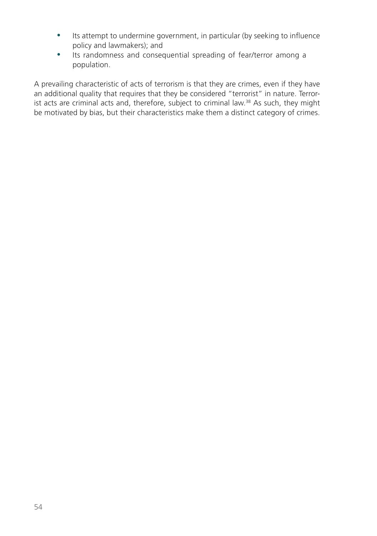- Its attempt to undermine government, in particular (by seeking to influence policy and lawmakers); and
- Its randomness and consequential spreading of fear/terror among a population.

A prevailing characteristic of acts of terrorism is that they are crimes, even if they have an additional quality that requires that they be considered "terrorist" in nature. Terrorist acts are criminal acts and, therefore, subject to criminal law.38 As such, they might be motivated by bias, but their characteristics make them a distinct category of crimes.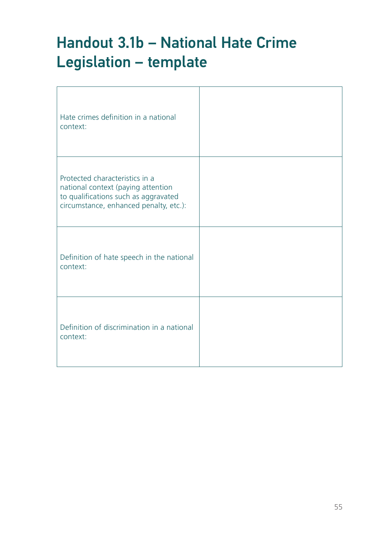## Handout 3.1b – National Hate Crime Legislation – template

| Hate crimes definition in a national<br>context:                                                                                                       |  |
|--------------------------------------------------------------------------------------------------------------------------------------------------------|--|
| Protected characteristics in a<br>national context (paying attention<br>to qualifications such as aggravated<br>circumstance, enhanced penalty, etc.): |  |
| Definition of hate speech in the national<br>context:                                                                                                  |  |
| Definition of discrimination in a national<br>context:                                                                                                 |  |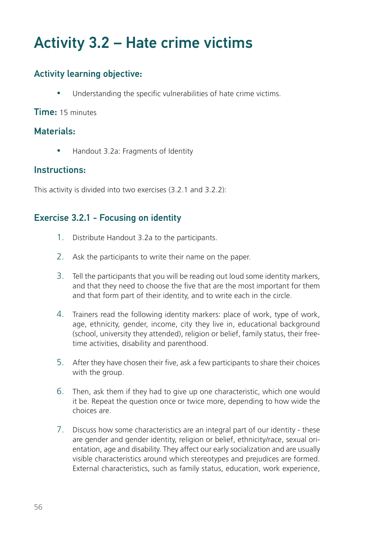## Activity 3.2 – Hate crime victims

## Activity learning objective:

Understanding the specific vulnerabilities of hate crime victims.

#### Time: 15 minutes

### Materials:

• Handout 3.2a: Fragments of Identity

#### Instructions:

This activity is divided into two exercises (3.2.1 and 3.2.2):

### Exercise 3.2.1 - Focusing on identity

- 1. Distribute Handout 3.2a to the participants.
- 2. Ask the participants to write their name on the paper.
- 3. Tell the participants that you will be reading out loud some identity markers, and that they need to choose the five that are the most important for them and that form part of their identity, and to write each in the circle.
- 4. Trainers read the following identity markers: place of work, type of work, age, ethnicity, gender, income, city they live in, educational background (school, university they attended), religion or belief, family status, their freetime activities, disability and parenthood.
- 5. After they have chosen their five, ask a few participants to share their choices with the group.
- 6. Then, ask them if they had to give up one characteristic, which one would it be. Repeat the question once or twice more, depending to how wide the choices are.
- 7. Discuss how some characteristics are an integral part of our identity these are gender and gender identity, religion or belief, ethnicity/race, sexual orientation, age and disability. They affect our early socialization and are usually visible characteristics around which stereotypes and prejudices are formed. External characteristics, such as family status, education, work experience,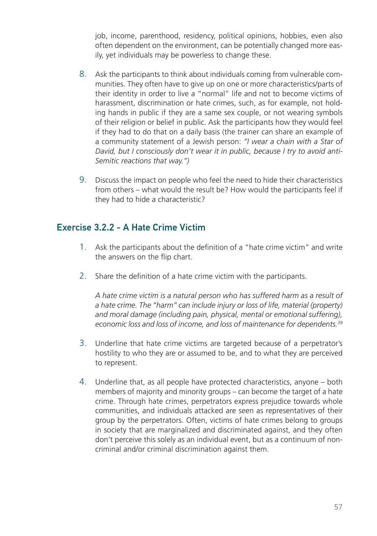job, income, parenthood, residency, political opinions, hobbies, even also often dependent on the environment, can be potentially changed more easily, yet individuals may be powerless to change these.

- 8. Ask the participants to think about individuals coming from vulnerable communities. They often have to give up on one or more characteristics/parts of their identity in order to live a "normal" life and not to become victims of harassment, discrimination or hate crimes, such, as for example, not holding hands in public if they are a same sex couple, or not wearing symbols of their religion or belief in public. Ask the participants how they would feel if they had to do that on a daily basis (the trainer can share an example of a community statement of a Jewish person: *"I wear a chain with a Star of David, but I consciously don't wear it in public, because I try to avoid anti-Semitic reactions that way.")*
- 9. Discuss the impact on people who feel the need to hide their characteristics from others – what would the result be? How would the participants feel if they had to hide a characteristic?

### Exercise 3.2.2 - A Hate Crime Victim

- 1. Ask the participants about the definition of a "hate crime victim" and write the answers on the flip chart.
- 2. Share the definition of a hate crime victim with the participants.

*A hate crime victim is a natural person who has suffered harm as a result of a hate crime. The "harm" can include injury or loss of life, material (property) and moral damage (including pain, physical, mental or emotional suffering), economic loss and loss of income, and loss of maintenance for dependents.39*

- 3. Underline that hate crime victims are targeted because of a perpetrator's hostility to who they are or assumed to be, and to what they are perceived to represent.
- 4. Underline that, as all people have protected characteristics, anyone both members of majority and minority groups – can become the target of a hate crime. Through hate crimes, perpetrators express prejudice towards whole communities, and individuals attacked are seen as representatives of their group by the perpetrators. Often, victims of hate crimes belong to groups in society that are marginalized and discriminated against, and they often don't perceive this solely as an individual event, but as a continuum of noncriminal and/or criminal discrimination against them.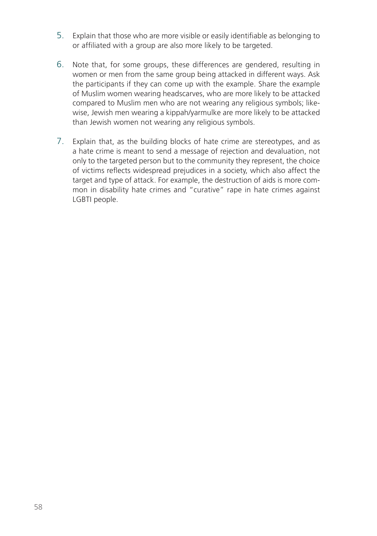- 5. Explain that those who are more visible or easily identifiable as belonging to or affiliated with a group are also more likely to be targeted.
- 6. Note that, for some groups, these differences are gendered, resulting in women or men from the same group being attacked in different ways. Ask the participants if they can come up with the example. Share the example of Muslim women wearing headscarves, who are more likely to be attacked compared to Muslim men who are not wearing any religious symbols; likewise, Jewish men wearing a kippah/yarmulke are more likely to be attacked than Jewish women not wearing any religious symbols.
- 7. Explain that, as the building blocks of hate crime are stereotypes, and as a hate crime is meant to send a message of rejection and devaluation, not only to the targeted person but to the community they represent, the choice of victims reflects widespread prejudices in a society, which also affect the target and type of attack. For example, the destruction of aids is more common in disability hate crimes and "curative" rape in hate crimes against LGBTI people.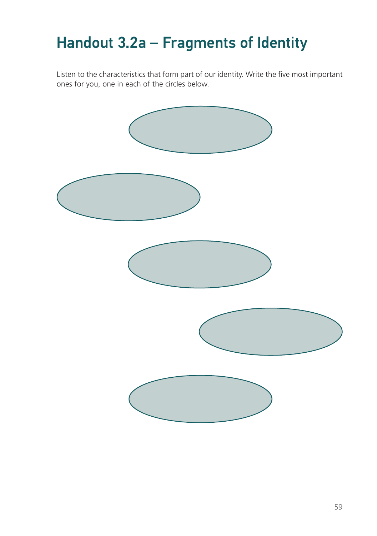## Handout 3.2a – Fragments of Identity

Listen to the characteristics that form part of our identity. Write the five most important ones for you, one in each of the circles below.

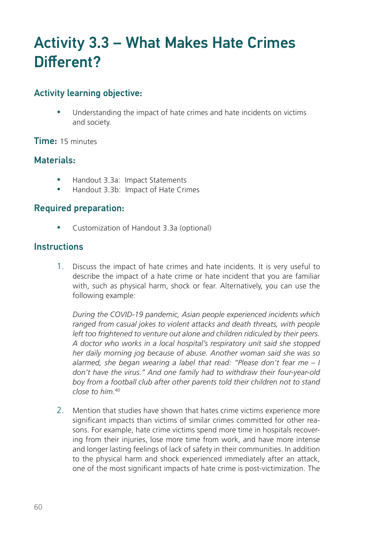## Activity 3.3 – What Makes Hate Crimes Different?

### Activity learning objective:

Understanding the impact of hate crimes and hate incidents on victims and society.

Time: 15 minutes

### Materials:

- Handout 3.3a: Impact Statements
- y Handout 3.3b: Impact of Hate Crimes

### Required preparation:

• Customization of Handout 3.3a (optional)

#### **Instructions**

1. Discuss the impact of hate crimes and hate incidents. It is very useful to describe the impact of a hate crime or hate incident that you are familiar with, such as physical harm, shock or fear. Alternatively, you can use the following example:

*During the COVID-19 pandemic, Asian people experienced incidents which ranged from casual jokes to violent attacks and death threats, with people*  left too frightened to venture out alone and children ridiculed by their peers. *A doctor who works in a local hospital's respiratory unit said she stopped her daily morning jog because of abuse. Another woman said she was so alarmed, she began wearing a label that read: "Please don't fear me – I don't have the virus." And one family had to withdraw their four-year-old boy from a football club after other parents told their children not to stand close to him.40*

2. Mention that studies have shown that hates crime victims experience more significant impacts than victims of similar crimes committed for other reasons. For example, hate crime victims spend more time in hospitals recovering from their injuries, lose more time from work, and have more intense and longer lasting feelings of lack of safety in their communities. In addition to the physical harm and shock experienced immediately after an attack, one of the most significant impacts of hate crime is post-victimization. The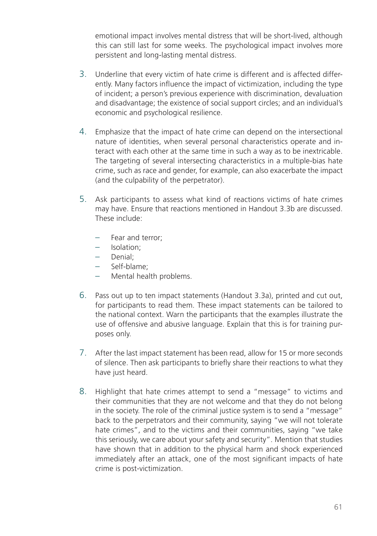emotional impact involves mental distress that will be short-lived, although this can still last for some weeks. The psychological impact involves more persistent and long-lasting mental distress.

- 3. Underline that every victim of hate crime is different and is affected differently. Many factors influence the impact of victimization, including the type of incident; a person's previous experience with discrimination, devaluation and disadvantage; the existence of social support circles; and an individual's economic and psychological resilience.
- 4. Emphasize that the impact of hate crime can depend on the intersectional nature of identities, when several personal characteristics operate and interact with each other at the same time in such a way as to be inextricable. The targeting of several intersecting characteristics in a multiple-bias hate crime, such as race and gender, for example, can also exacerbate the impact (and the culpability of the perpetrator).
- 5. Ask participants to assess what kind of reactions victims of hate crimes may have. Ensure that reactions mentioned in Handout 3.3b are discussed. These include:
	- Fear and terror;
	- Isolation;
	- Denial;
	- Self-blame;
	- Mental health problems.
- 6. Pass out up to ten impact statements (Handout 3.3a), printed and cut out, for participants to read them. These impact statements can be tailored to the national context. Warn the participants that the examples illustrate the use of offensive and abusive language. Explain that this is for training purposes only.
- 7. After the last impact statement has been read, allow for 15 or more seconds of silence. Then ask participants to briefly share their reactions to what they have just heard.
- 8. Highlight that hate crimes attempt to send a "message" to victims and their communities that they are not welcome and that they do not belong in the society. The role of the criminal justice system is to send a "message" back to the perpetrators and their community, saying "we will not tolerate hate crimes", and to the victims and their communities, saying "we take this seriously, we care about your safety and security". Mention that studies have shown that in addition to the physical harm and shock experienced immediately after an attack, one of the most significant impacts of hate crime is post-victimization.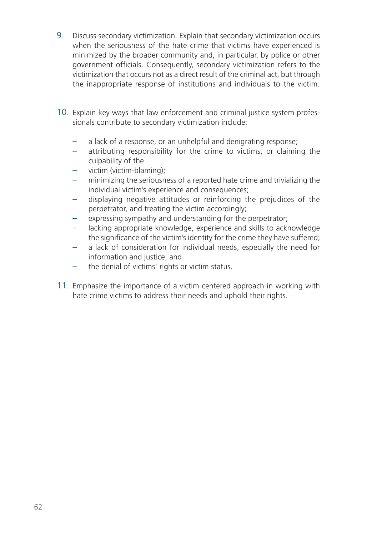- 9. Discuss secondary victimization. Explain that secondary victimization occurs when the seriousness of the hate crime that victims have experienced is minimized by the broader community and, in particular, by police or other government officials. Consequently, secondary victimization refers to the victimization that occurs not as a direct result of the criminal act, but through the inappropriate response of institutions and individuals to the victim.
- 10. Explain key ways that law enforcement and criminal justice system professionals contribute to secondary victimization include:
	- a lack of a response, or an unhelpful and denigrating response;
	- attributing responsibility for the crime to victims, or claiming the culpability of the
	- victim (victim-blaming);
	- minimizing the seriousness of a reported hate crime and trivializing the individual victim's experience and consequences;
	- displaying negative attitudes or reinforcing the prejudices of the perpetrator, and treating the victim accordingly;
	- expressing sympathy and understanding for the perpetrator;
	- lacking appropriate knowledge, experience and skills to acknowledge the significance of the victim's identity for the crime they have suffered;
	- a lack of consideration for individual needs, especially the need for information and justice; and
	- the denial of victims' rights or victim status.
- 11. Emphasize the importance of a victim centered approach in working with hate crime victims to address their needs and uphold their rights.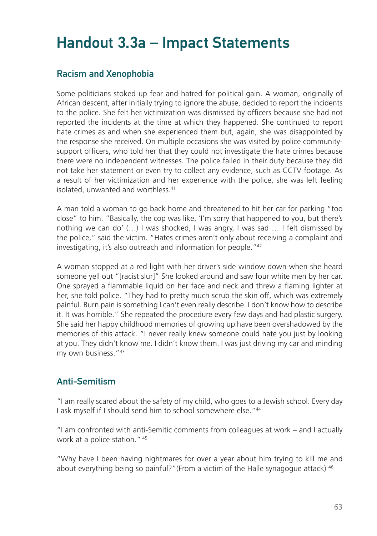## Handout 3.3a – Impact Statements

### Racism and Xenophobia

Some politicians stoked up fear and hatred for political gain. A woman, originally of African descent, after initially trying to ignore the abuse, decided to report the incidents to the police. She felt her victimization was dismissed by officers because she had not reported the incidents at the time at which they happened. She continued to report hate crimes as and when she experienced them but, again, she was disappointed by the response she received. On multiple occasions she was visited by police communitysupport officers, who told her that they could not investigate the hate crimes because there were no independent witnesses. The police failed in their duty because they did not take her statement or even try to collect any evidence, such as CCTV footage. As a result of her victimization and her experience with the police, she was left feeling isolated, unwanted and worthless.41

A man told a woman to go back home and threatened to hit her car for parking "too close" to him. "Basically, the cop was like, 'I'm sorry that happened to you, but there's nothing we can do' (…) I was shocked, I was angry, I was sad … I felt dismissed by the police," said the victim. "Hates crimes aren't only about receiving a complaint and investigating, it's also outreach and information for people."42

A woman stopped at a red light with her driver's side window down when she heard someone yell out "[racist slur]" She looked around and saw four white men by her car. One sprayed a flammable liquid on her face and neck and threw a flaming lighter at her, she told police. "They had to pretty much scrub the skin off, which was extremely painful. Burn pain is something I can't even really describe. I don't know how to describe it. It was horrible." She repeated the procedure every few days and had plastic surgery. She said her happy childhood memories of growing up have been overshadowed by the memories of this attack. "I never really knew someone could hate you just by looking at you. They didn't know me. I didn't know them. I was just driving my car and minding my own business."43

### Anti-Semitism

"I am really scared about the safety of my child, who goes to a Jewish school. Every day I ask myself if I should send him to school somewhere else."44

"I am confronted with anti-Semitic comments from colleagues at work – and I actually work at a police station." 45

"Why have I been having nightmares for over a year about him trying to kill me and about everything being so painful?"(From a victim of the Halle synagogue attack) <sup>46</sup>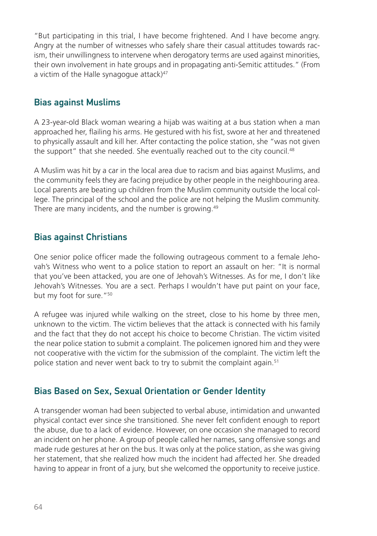"But participating in this trial, I have become frightened. And I have become angry. Angry at the number of witnesses who safely share their casual attitudes towards racism, their unwillingness to intervene when derogatory terms are used against minorities, their own involvement in hate groups and in propagating anti-Semitic attitudes." (From a victim of the Halle synagogue attack) $47$ 

#### Bias against Muslims

A 23-year-old Black woman wearing a hijab was waiting at a bus station when a man approached her, flailing his arms. He gestured with his fist, swore at her and threatened to physically assault and kill her. After contacting the police station, she "was not given the support" that she needed. She eventually reached out to the city council.<sup>48</sup>

A Muslim was hit by a car in the local area due to racism and bias against Muslims, and the community feels they are facing prejudice by other people in the neighbouring area. Local parents are beating up children from the Muslim community outside the local college. The principal of the school and the police are not helping the Muslim community. There are many incidents, and the number is growing.<sup>49</sup>

#### Bias against Christians

One senior police officer made the following outrageous comment to a female Jehovah's Witness who went to a police station to report an assault on her: "It is normal that you've been attacked, you are one of Jehovah's Witnesses. As for me, I don't like Jehovah's Witnesses. You are a sect. Perhaps I wouldn't have put paint on your face, but my foot for sure."50

A refugee was injured while walking on the street, close to his home by three men, unknown to the victim. The victim believes that the attack is connected with his family and the fact that they do not accept his choice to become Christian. The victim visited the near police station to submit a complaint. The policemen ignored him and they were not cooperative with the victim for the submission of the complaint. The victim left the police station and never went back to try to submit the complaint again.<sup>51</sup>

### Bias Based on Sex, Sexual Orientation or Gender Identity

A transgender woman had been subjected to verbal abuse, intimidation and unwanted physical contact ever since she transitioned. She never felt confident enough to report the abuse, due to a lack of evidence. However, on one occasion she managed to record an incident on her phone. A group of people called her names, sang offensive songs and made rude gestures at her on the bus. It was only at the police station, as she was giving her statement, that she realized how much the incident had affected her. She dreaded having to appear in front of a jury, but she welcomed the opportunity to receive justice.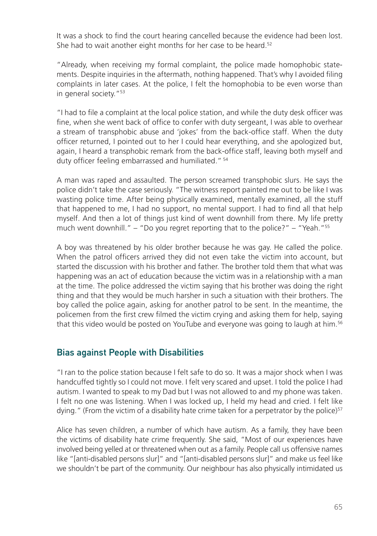It was a shock to find the court hearing cancelled because the evidence had been lost. She had to wait another eight months for her case to be heard.<sup>52</sup>

"Already, when receiving my formal complaint, the police made homophobic statements. Despite inquiries in the aftermath, nothing happened. That's why I avoided filing complaints in later cases. At the police, I felt the homophobia to be even worse than in general society."53

"I had to file a complaint at the local police station, and while the duty desk officer was fine, when she went back of office to confer with duty sergeant, I was able to overhear a stream of transphobic abuse and 'jokes' from the back-office staff. When the duty officer returned, I pointed out to her I could hear everything, and she apologized but, again, I heard a transphobic remark from the back-office staff, leaving both myself and duty officer feeling embarrassed and humiliated." 54

A man was raped and assaulted. The person screamed transphobic slurs. He says the police didn't take the case seriously. "The witness report painted me out to be like I was wasting police time. After being physically examined, mentally examined, all the stuff that happened to me, I had no support, no mental support. I had to find all that help myself. And then a lot of things just kind of went downhill from there. My life pretty much went downhill." – "Do you regret reporting that to the police?" – "Yeah."55

A boy was threatened by his older brother because he was gay. He called the police. When the patrol officers arrived they did not even take the victim into account, but started the discussion with his brother and father. The brother told them that what was happening was an act of education because the victim was in a relationship with a man at the time. The police addressed the victim saying that his brother was doing the right thing and that they would be much harsher in such a situation with their brothers. The boy called the police again, asking for another patrol to be sent. In the meantime, the policemen from the first crew filmed the victim crying and asking them for help, saying that this video would be posted on YouTube and everyone was going to laugh at him.56

#### Bias against People with Disabilities

"I ran to the police station because I felt safe to do so. It was a major shock when I was handcuffed tightly so I could not move. I felt very scared and upset. I told the police I had autism. I wanted to speak to my Dad but I was not allowed to and my phone was taken. I felt no one was listening. When I was locked up, I held my head and cried. I felt like dying." (From the victim of a disability hate crime taken for a perpetrator by the police) $57$ 

Alice has seven children, a number of which have autism. As a family, they have been the victims of disability hate crime frequently. She said, "Most of our experiences have involved being yelled at or threatened when out as a family. People call us offensive names like "[anti-disabled persons slur]" and "[anti-disabled persons slur]" and make us feel like we shouldn't be part of the community. Our neighbour has also physically intimidated us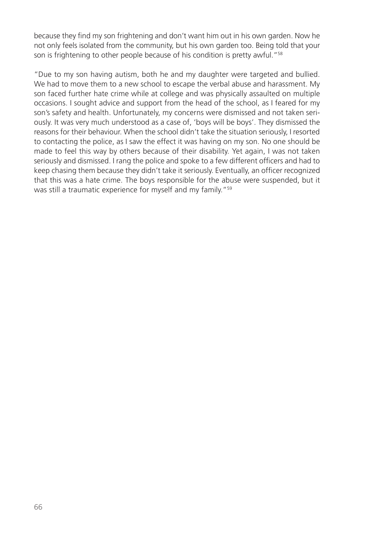because they find my son frightening and don't want him out in his own garden. Now he not only feels isolated from the community, but his own garden too. Being told that your son is frightening to other people because of his condition is pretty awful."<sup>58</sup>

"Due to my son having autism, both he and my daughter were targeted and bullied. We had to move them to a new school to escape the verbal abuse and harassment. My son faced further hate crime while at college and was physically assaulted on multiple occasions. I sought advice and support from the head of the school, as I feared for my son's safety and health. Unfortunately, my concerns were dismissed and not taken seriously. It was very much understood as a case of, 'boys will be boys'. They dismissed the reasons for their behaviour. When the school didn't take the situation seriously, I resorted to contacting the police, as I saw the effect it was having on my son. No one should be made to feel this way by others because of their disability. Yet again, I was not taken seriously and dismissed. I rang the police and spoke to a few different officers and had to keep chasing them because they didn't take it seriously. Eventually, an officer recognized that this was a hate crime. The boys responsible for the abuse were suspended, but it was still a traumatic experience for myself and my family."<sup>59</sup>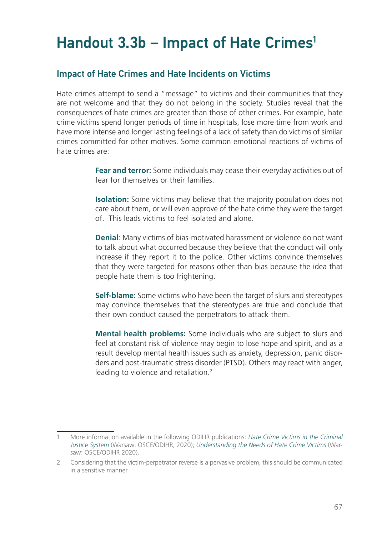## Handout 3.3b – Impact of Hate Crimes<sup>1</sup>

#### Impact of Hate Crimes and Hate Incidents on Victims

Hate crimes attempt to send a "message" to victims and their communities that they are not welcome and that they do not belong in the society. Studies reveal that the consequences of hate crimes are greater than those of other crimes. For example, hate crime victims spend longer periods of time in hospitals, lose more time from work and have more intense and longer lasting feelings of a lack of safety than do victims of similar crimes committed for other motives. Some common emotional reactions of victims of hate crimes are:

> **Fear and terror:** Some individuals may cease their everyday activities out of fear for themselves or their families.

> **Isolation:** Some victims may believe that the majority population does not care about them, or will even approve of the hate crime they were the target of. This leads victims to feel isolated and alone.

> **Denial**: Many victims of bias-motivated harassment or violence do not want to talk about what occurred because they believe that the conduct will only increase if they report it to the police. Other victims convince themselves that they were targeted for reasons other than bias because the idea that people hate them is too frightening.

> **Self-blame:** Some victims who have been the target of slurs and stereotypes may convince themselves that the stereotypes are true and conclude that their own conduct caused the perpetrators to attack them.

> **Mental health problems:** Some individuals who are subject to slurs and feel at constant risk of violence may begin to lose hope and spirit, and as a result develop mental health issues such as anxiety, depression, panic disorders and post-traumatic stress disorder (PTSD). Others may react with anger, leading to violence and retaliation.2

<sup>1</sup> More information available in the following ODIHR publications: *Hate Crime Victims in the Criminal Justice System* (Warsaw: OSCE/ODIHR, 2020); *Understanding the Needs of Hate Crime Victims* (Warsaw: OSCE/ODIHR 2020).

<sup>2</sup> Considering that the victim-perpetrator reverse is a pervasive problem, this should be communicated in a sensitive manner.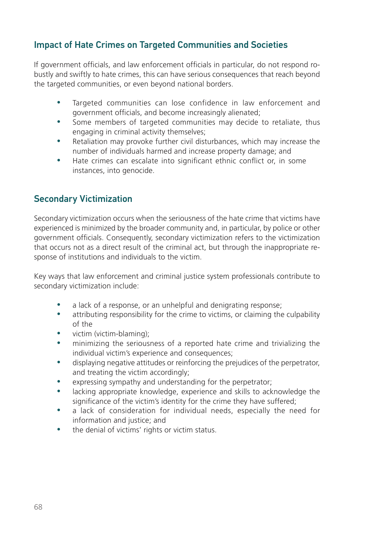## Impact of Hate Crimes on Targeted Communities and Societies

If government officials, and law enforcement officials in particular, do not respond robustly and swiftly to hate crimes, this can have serious consequences that reach beyond the targeted communities, or even beyond national borders.

- Targeted communities can lose confidence in law enforcement and government officials, and become increasingly alienated;
- Some members of targeted communities may decide to retaliate, thus engaging in criminal activity themselves;
- Retaliation may provoke further civil disturbances, which may increase the number of individuals harmed and increase property damage; and
- Hate crimes can escalate into significant ethnic conflict or, in some instances, into genocide.

## Secondary Victimization

Secondary victimization occurs when the seriousness of the hate crime that victims have experienced is minimized by the broader community and, in particular, by police or other government officials. Consequently, secondary victimization refers to the victimization that occurs not as a direct result of the criminal act, but through the inappropriate response of institutions and individuals to the victim.

Key ways that law enforcement and criminal justice system professionals contribute to secondary victimization include:

- a lack of a response, or an unhelpful and denigrating response;
- attributing responsibility for the crime to victims, or claiming the culpability of the
- victim (victim-blaming);
- minimizing the seriousness of a reported hate crime and trivializing the individual victim's experience and consequences;
- displaying negative attitudes or reinforcing the prejudices of the perpetrator, and treating the victim accordingly;
- expressing sympathy and understanding for the perpetrator;
- lacking appropriate knowledge, experience and skills to acknowledge the significance of the victim's identity for the crime they have suffered;
- a lack of consideration for individual needs, especially the need for information and justice; and
- the denial of victims' rights or victim status.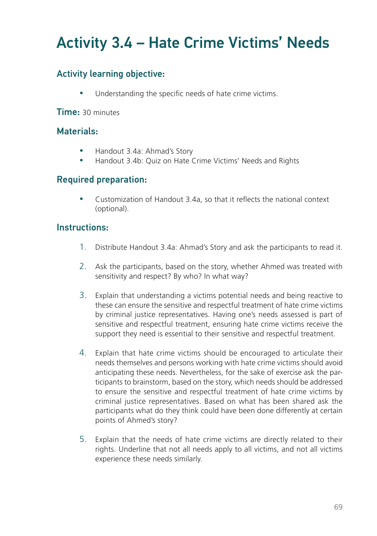## Activity 3.4 – Hate Crime Victims' Needs

## Activity learning objective:

Understanding the specific needs of hate crime victims.

Time: 30 minutes

### Materials:

- Handout 3.4a: Ahmad's Story
- Handout 3.4b: Quiz on Hate Crime Victims' Needs and Rights

### Required preparation:

y Customization of Handout 3.4a, so that it reflects the national context (optional).

#### Instructions:

- 1. Distribute Handout 3.4a: Ahmad's Story and ask the participants to read it.
- 2. Ask the participants, based on the story, whether Ahmed was treated with sensitivity and respect? By who? In what way?
- 3. Explain that understanding a victims potential needs and being reactive to these can ensure the sensitive and respectful treatment of hate crime victims by criminal justice representatives. Having one's needs assessed is part of sensitive and respectful treatment, ensuring hate crime victims receive the support they need is essential to their sensitive and respectful treatment.
- 4. Explain that hate crime victims should be encouraged to articulate their needs themselves and persons working with hate crime victims should avoid anticipating these needs. Nevertheless, for the sake of exercise ask the participants to brainstorm, based on the story, which needs should be addressed to ensure the sensitive and respectful treatment of hate crime victims by criminal justice representatives. Based on what has been shared ask the participants what do they think could have been done differently at certain points of Ahmed's story?
- 5. Explain that the needs of hate crime victims are directly related to their rights. Underline that not all needs apply to all victims, and not all victims experience these needs similarly.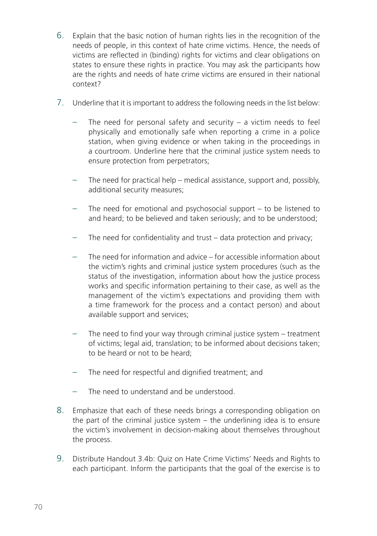- 6. Explain that the basic notion of human rights lies in the recognition of the needs of people, in this context of hate crime victims. Hence, the needs of victims are reflected in (binding) rights for victims and clear obligations on states to ensure these rights in practice. You may ask the participants how are the rights and needs of hate crime victims are ensured in their national context?
- 7. Underline that it is important to address the following needs in the list below:
	- The need for personal safety and security  $-$  a victim needs to feel physically and emotionally safe when reporting a crime in a police station, when giving evidence or when taking in the proceedings in a courtroom. Underline here that the criminal justice system needs to ensure protection from perpetrators;
	- The need for practical help medical assistance, support and, possibly, additional security measures;
	- The need for emotional and psychosocial support  $-$  to be listened to and heard; to be believed and taken seriously; and to be understood;
	- The need for confidentiality and trust data protection and privacy;
	- The need for information and advice for accessible information about the victim's rights and criminal justice system procedures (such as the status of the investigation, information about how the justice process works and specific information pertaining to their case, as well as the management of the victim's expectations and providing them with a time framework for the process and a contact person) and about available support and services;
	- The need to find your way through criminal justice system treatment of victims; legal aid, translation; to be informed about decisions taken; to be heard or not to be heard;
	- The need for respectful and dignified treatment; and
	- The need to understand and be understood.
- 8. Emphasize that each of these needs brings a corresponding obligation on the part of the criminal justice system – the underlining idea is to ensure the victim's involvement in decision-making about themselves throughout the process.
- 9. Distribute Handout 3.4b: Quiz on Hate Crime Victims' Needs and Rights to each participant. Inform the participants that the goal of the exercise is to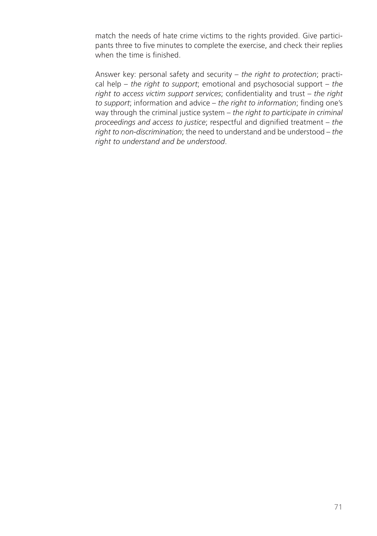match the needs of hate crime victims to the rights provided. Give participants three to five minutes to complete the exercise, and check their replies when the time is finished.

Answer key: personal safety and security – *the right to protection*; practical help – *the right to support*; emotional and psychosocial support – *the right to access victim support services*; confidentiality and trust – *the right to support*; information and advice – *the right to information*; finding one's way through the criminal justice system – *the right to participate in criminal proceedings and access to justice*; respectful and dignified treatment – *the right to non-discrimination*; the need to understand and be understood – *the right to understand and be understood*.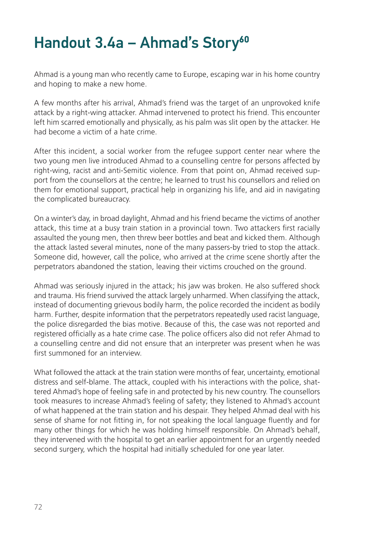## Handout 3.4a – Ahmad's Story**<sup>60</sup>**

Ahmad is a young man who recently came to Europe, escaping war in his home country and hoping to make a new home.

A few months after his arrival, Ahmad's friend was the target of an unprovoked knife attack by a right-wing attacker. Ahmad intervened to protect his friend. This encounter left him scarred emotionally and physically, as his palm was slit open by the attacker. He had become a victim of a hate crime.

After this incident, a social worker from the refugee support center near where the two young men live introduced Ahmad to a counselling centre for persons affected by right-wing, racist and anti-Semitic violence. From that point on, Ahmad received support from the counsellors at the centre; he learned to trust his counsellors and relied on them for emotional support, practical help in organizing his life, and aid in navigating the complicated bureaucracy.

On a winter's day, in broad daylight, Ahmad and his friend became the victims of another attack, this time at a busy train station in a provincial town. Two attackers first racially assaulted the young men, then threw beer bottles and beat and kicked them. Although the attack lasted several minutes, none of the many passers-by tried to stop the attack. Someone did, however, call the police, who arrived at the crime scene shortly after the perpetrators abandoned the station, leaving their victims crouched on the ground.

Ahmad was seriously injured in the attack; his jaw was broken. He also suffered shock and trauma. His friend survived the attack largely unharmed. When classifying the attack, instead of documenting grievous bodily harm, the police recorded the incident as bodily harm. Further, despite information that the perpetrators repeatedly used racist language, the police disregarded the bias motive. Because of this, the case was not reported and registered officially as a hate crime case. The police officers also did not refer Ahmad to a counselling centre and did not ensure that an interpreter was present when he was first summoned for an interview.

What followed the attack at the train station were months of fear, uncertainty, emotional distress and self-blame. The attack, coupled with his interactions with the police, shattered Ahmad's hope of feeling safe in and protected by his new country. The counsellors took measures to increase Ahmad's feeling of safety; they listened to Ahmad's account of what happened at the train station and his despair. They helped Ahmad deal with his sense of shame for not fitting in, for not speaking the local language fluently and for many other things for which he was holding himself responsible. On Ahmad's behalf, they intervened with the hospital to get an earlier appointment for an urgently needed second surgery, which the hospital had initially scheduled for one year later.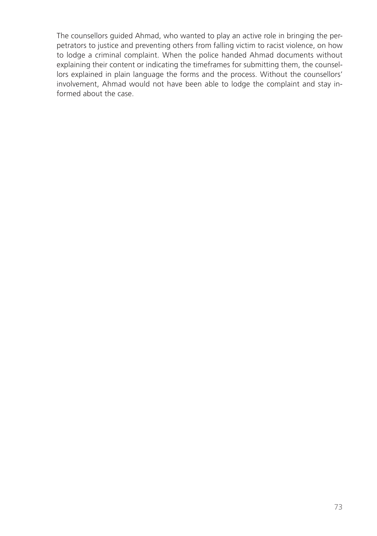The counsellors guided Ahmad, who wanted to play an active role in bringing the perpetrators to justice and preventing others from falling victim to racist violence, on how to lodge a criminal complaint. When the police handed Ahmad documents without explaining their content or indicating the timeframes for submitting them, the counsellors explained in plain language the forms and the process. Without the counsellors' involvement, Ahmad would not have been able to lodge the complaint and stay informed about the case.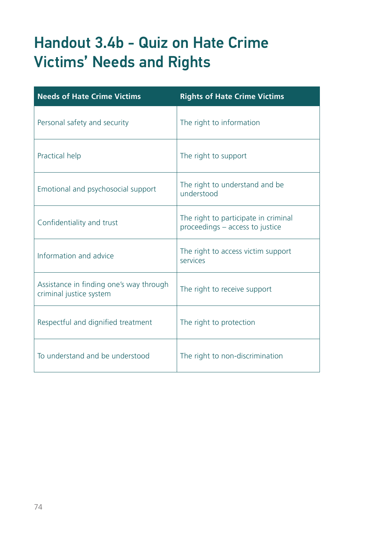## Handout 3.4b - Quiz on Hate Crime Victims' Needs and Rights

| <b>Needs of Hate Crime Victims</b>                                 | <b>Rights of Hate Crime Victims</b>                                     |
|--------------------------------------------------------------------|-------------------------------------------------------------------------|
| Personal safety and security                                       | The right to information                                                |
| Practical help                                                     | The right to support                                                    |
| Emotional and psychosocial support                                 | The right to understand and be<br>understood                            |
| Confidentiality and trust                                          | The right to participate in criminal<br>proceedings - access to justice |
| Information and advice                                             | The right to access victim support<br>services                          |
| Assistance in finding one's way through<br>criminal justice system | The right to receive support                                            |
| Respectful and dignified treatment                                 | The right to protection                                                 |
| To understand and be understood                                    | The right to non-discrimination                                         |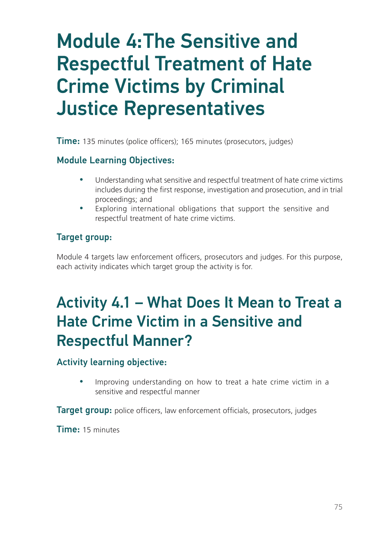# Module 4:The Sensitive and Respectful Treatment of Hate Crime Victims by Criminal Justice Representatives

**Time:** 135 minutes (police officers); 165 minutes (prosecutors, judges)

### Module Learning Objectives:

- Understanding what sensitive and respectful treatment of hate crime victims includes during the first response, investigation and prosecution, and in trial proceedings; and
- Exploring international obligations that support the sensitive and respectful treatment of hate crime victims.

## Target group:

Module 4 targets law enforcement officers, prosecutors and judges. For this purpose, each activity indicates which target group the activity is for.

## Activity 4.1 – What Does It Mean to Treat a Hate Crime Victim in a Sensitive and Respectful Manner?

#### Activity learning objective:

Improving understanding on how to treat a hate crime victim in a sensitive and respectful manner

Target group: police officers, law enforcement officials, prosecutors, judges

Time: 15 minutes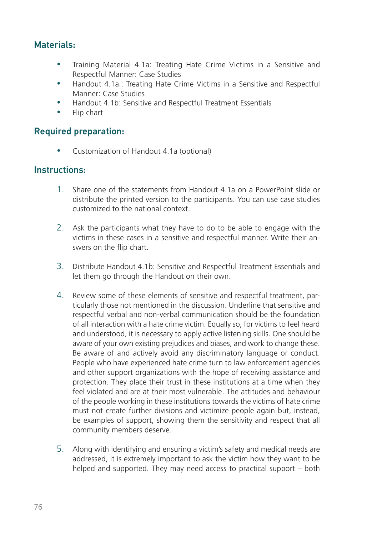## Materials:

- Training Material 4.1a: Treating Hate Crime Victims in a Sensitive and Respectful Manner: Case Studies
- y Handout 4.1a.: Treating Hate Crime Victims in a Sensitive and Respectful Manner: Case Studies
- Handout 4.1b: Sensitive and Respectful Treatment Essentials
- Flip chart

#### Required preparation:

Customization of Handout 4.1a (optional)

#### Instructions:

- 1. Share one of the statements from Handout 4.1a on a PowerPoint slide or distribute the printed version to the participants. You can use case studies customized to the national context.
- 2. Ask the participants what they have to do to be able to engage with the victims in these cases in a sensitive and respectful manner. Write their answers on the flip chart.
- 3. Distribute Handout 4.1b: Sensitive and Respectful Treatment Essentials and let them go through the Handout on their own.
- 4. Review some of these elements of sensitive and respectful treatment, particularly those not mentioned in the discussion. Underline that sensitive and respectful verbal and non-verbal communication should be the foundation of all interaction with a hate crime victim. Equally so, for victims to feel heard and understood, it is necessary to apply active listening skills. One should be aware of your own existing prejudices and biases, and work to change these. Be aware of and actively avoid any discriminatory language or conduct. People who have experienced hate crime turn to law enforcement agencies and other support organizations with the hope of receiving assistance and protection. They place their trust in these institutions at a time when they feel violated and are at their most vulnerable. The attitudes and behaviour of the people working in these institutions towards the victims of hate crime must not create further divisions and victimize people again but, instead, be examples of support, showing them the sensitivity and respect that all community members deserve.
- 5. Along with identifying and ensuring a victim's safety and medical needs are addressed, it is extremely important to ask the victim how they want to be helped and supported. They may need access to practical support – both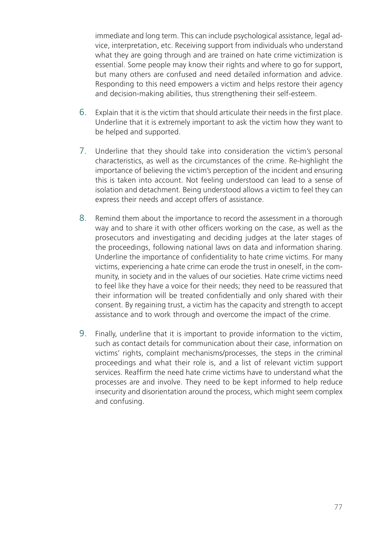immediate and long term. This can include psychological assistance, legal advice, interpretation, etc. Receiving support from individuals who understand what they are going through and are trained on hate crime victimization is essential. Some people may know their rights and where to go for support, but many others are confused and need detailed information and advice. Responding to this need empowers a victim and helps restore their agency and decision-making abilities, thus strengthening their self-esteem.

- 6. Explain that it is the victim that should articulate their needs in the first place. Underline that it is extremely important to ask the victim how they want to be helped and supported.
- 7. Underline that they should take into consideration the victim's personal characteristics, as well as the circumstances of the crime. Re-highlight the importance of believing the victim's perception of the incident and ensuring this is taken into account. Not feeling understood can lead to a sense of isolation and detachment. Being understood allows a victim to feel they can express their needs and accept offers of assistance.
- 8. Remind them about the importance to record the assessment in a thorough way and to share it with other officers working on the case, as well as the prosecutors and investigating and deciding judges at the later stages of the proceedings, following national laws on data and information sharing. Underline the importance of confidentiality to hate crime victims. For many victims, experiencing a hate crime can erode the trust in oneself, in the community, in society and in the values of our societies. Hate crime victims need to feel like they have a voice for their needs; they need to be reassured that their information will be treated confidentially and only shared with their consent. By regaining trust, a victim has the capacity and strength to accept assistance and to work through and overcome the impact of the crime.
- 9. Finally, underline that it is important to provide information to the victim, such as contact details for communication about their case, information on victims' rights, complaint mechanisms/processes, the steps in the criminal proceedings and what their role is, and a list of relevant victim support services. Reaffirm the need hate crime victims have to understand what the processes are and involve. They need to be kept informed to help reduce insecurity and disorientation around the process, which might seem complex and confusing.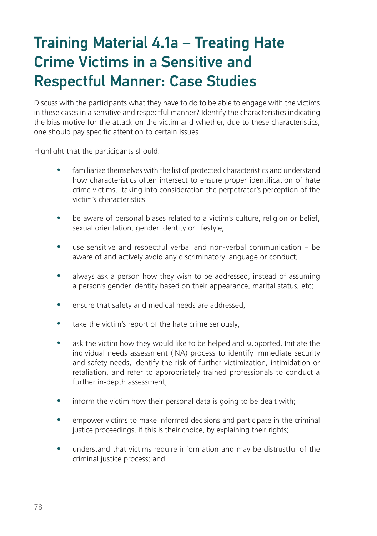## Training Material 4.1a – Treating Hate Crime Victims in a Sensitive and Respectful Manner: Case Studies

Discuss with the participants what they have to do to be able to engage with the victims in these cases in a sensitive and respectful manner? Identify the characteristics indicating the bias motive for the attack on the victim and whether, due to these characteristics, one should pay specific attention to certain issues.

Highlight that the participants should:

- familiarize themselves with the list of protected characteristics and understand how characteristics often intersect to ensure proper identification of hate crime victims, taking into consideration the perpetrator's perception of the victim's characteristics.
- be aware of personal biases related to a victim's culture, religion or belief, sexual orientation, gender identity or lifestyle;
- use sensitive and respectful verbal and non-verbal communication be aware of and actively avoid any discriminatory language or conduct;
- always ask a person how they wish to be addressed, instead of assuming a person's gender identity based on their appearance, marital status, etc;
- ensure that safety and medical needs are addressed;
- take the victim's report of the hate crime seriously;
- ask the victim how they would like to be helped and supported. Initiate the individual needs assessment (INA) process to identify immediate security and safety needs, identify the risk of further victimization, intimidation or retaliation, and refer to appropriately trained professionals to conduct a further in-depth assessment;
- inform the victim how their personal data is going to be dealt with;
- empower victims to make informed decisions and participate in the criminal justice proceedings, if this is their choice, by explaining their rights;
- understand that victims require information and may be distrustful of the criminal justice process; and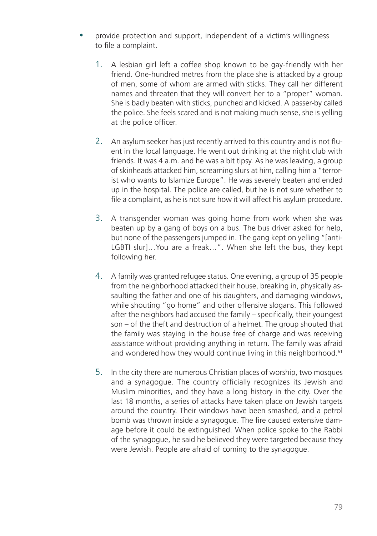- y provide protection and support, independent of a victim's willingness to file a complaint.
	- 1. A lesbian girl left a coffee shop known to be gay-friendly with her friend. One-hundred metres from the place she is attacked by a group of men, some of whom are armed with sticks. They call her different names and threaten that they will convert her to a "proper" woman. She is badly beaten with sticks, punched and kicked. A passer-by called the police. She feels scared and is not making much sense, she is yelling at the police officer.
	- 2. An asylum seeker has just recently arrived to this country and is not fluent in the local language. He went out drinking at the night club with friends. It was 4 a.m. and he was a bit tipsy. As he was leaving, a group of skinheads attacked him, screaming slurs at him, calling him a "terrorist who wants to Islamize Europe". He was severely beaten and ended up in the hospital. The police are called, but he is not sure whether to file a complaint, as he is not sure how it will affect his asylum procedure.
	- 3. A transgender woman was going home from work when she was beaten up by a gang of boys on a bus. The bus driver asked for help, but none of the passengers jumped in. The gang kept on yelling "[anti-LGBTI slur]…You are a freak…". When she left the bus, they kept following her.
	- 4. A family was granted refugee status. One evening, a group of 35 people from the neighborhood attacked their house, breaking in, physically assaulting the father and one of his daughters, and damaging windows, while shouting "go home" and other offensive slogans. This followed after the neighbors had accused the family – specifically, their youngest son – of the theft and destruction of a helmet. The group shouted that the family was staying in the house free of charge and was receiving assistance without providing anything in return. The family was afraid and wondered how they would continue living in this neighborhood.<sup>61</sup>
	- 5. In the city there are numerous Christian places of worship, two mosques and a synagogue. The country officially recognizes its Jewish and Muslim minorities, and they have a long history in the city. Over the last 18 months, a series of attacks have taken place on Jewish targets around the country. Their windows have been smashed, and a petrol bomb was thrown inside a synagogue. The fire caused extensive damage before it could be extinguished. When police spoke to the Rabbi of the synagogue, he said he believed they were targeted because they were Jewish. People are afraid of coming to the synagogue.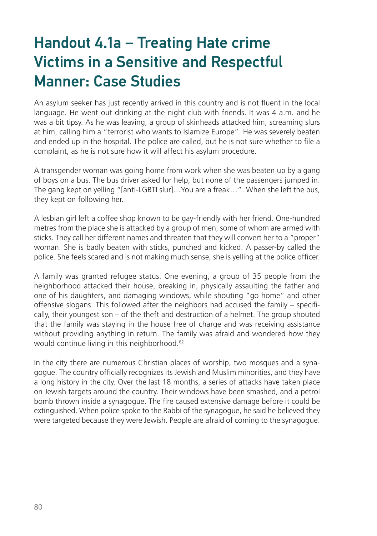## Handout 4.1a – Treating Hate crime Victims in a Sensitive and Respectful Manner: Case Studies

An asylum seeker has just recently arrived in this country and is not fluent in the local language. He went out drinking at the night club with friends. It was 4 a.m. and he was a bit tipsy. As he was leaving, a group of skinheads attacked him, screaming slurs at him, calling him a "terrorist who wants to Islamize Europe". He was severely beaten and ended up in the hospital. The police are called, but he is not sure whether to file a complaint, as he is not sure how it will affect his asylum procedure.

A transgender woman was going home from work when she was beaten up by a gang of boys on a bus. The bus driver asked for help, but none of the passengers jumped in. The gang kept on yelling "[anti-LGBTI slur]…You are a freak…". When she left the bus, they kept on following her.

A lesbian girl left a coffee shop known to be gay-friendly with her friend. One-hundred metres from the place she is attacked by a group of men, some of whom are armed with sticks. They call her different names and threaten that they will convert her to a "proper" woman. She is badly beaten with sticks, punched and kicked. A passer-by called the police. She feels scared and is not making much sense, she is yelling at the police officer.

A family was granted refugee status. One evening, a group of 35 people from the neighborhood attacked their house, breaking in, physically assaulting the father and one of his daughters, and damaging windows, while shouting "go home" and other offensive slogans. This followed after the neighbors had accused the family – specifically, their youngest son – of the theft and destruction of a helmet. The group shouted that the family was staying in the house free of charge and was receiving assistance without providing anything in return. The family was afraid and wondered how they would continue living in this neighborhood.<sup>62</sup>

In the city there are numerous Christian places of worship, two mosques and a synagogue. The country officially recognizes its Jewish and Muslim minorities, and they have a long history in the city. Over the last 18 months, a series of attacks have taken place on Jewish targets around the country. Their windows have been smashed, and a petrol bomb thrown inside a synagogue. The fire caused extensive damage before it could be extinguished. When police spoke to the Rabbi of the synagogue, he said he believed they were targeted because they were Jewish. People are afraid of coming to the synagogue.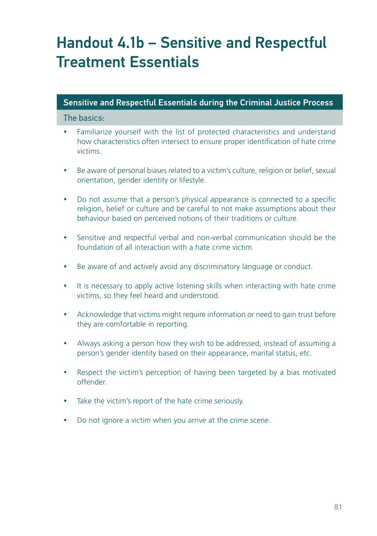## Handout 4.1b – Sensitive and Respectful Treatment Essentials

### Sensitive and Respectful Essentials during the Criminal Justice Process

#### The basics:

- Familiarize yourself with the list of protected characteristics and understand how characteristics often intersect to ensure proper identification of hate crime victims.
- Be aware of personal biases related to a victim's culture, religion or belief, sexual orientation, gender identity or lifestyle.
- Do not assume that a person's physical appearance is connected to a specific religion, belief or culture and be careful to not make assumptions about their behaviour based on perceived notions of their traditions or culture.
- Sensitive and respectful verbal and non-verbal communication should be the foundation of all interaction with a hate crime victim.
- Be aware of and actively avoid any discriminatory language or conduct.
- It is necessary to apply active listening skills when interacting with hate crime victims, so they feel heard and understood.
- Acknowledge that victims might require information or need to gain trust before they are comfortable in reporting.
- Always asking a person how they wish to be addressed, instead of assuming a person's gender identity based on their appearance, marital status, etc.
- Respect the victim's perception of having been targeted by a bias motivated offender.
- Take the victim's report of the hate crime seriously.
- Do not ignore a victim when you arrive at the crime scene.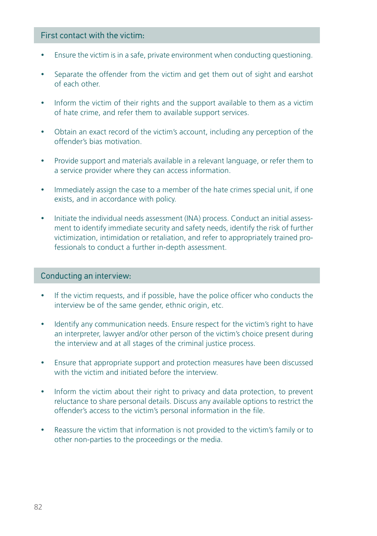#### First contact with the victim:

- Ensure the victim is in a safe, private environment when conducting questioning.
- Separate the offender from the victim and get them out of sight and earshot of each other.
- Inform the victim of their rights and the support available to them as a victim of hate crime, and refer them to available support services.
- Obtain an exact record of the victim's account, including any perception of the offender's bias motivation.
- Provide support and materials available in a relevant language, or refer them to a service provider where they can access information.
- Immediately assign the case to a member of the hate crimes special unit, if one exists, and in accordance with policy.
- Initiate the individual needs assessment (INA) process. Conduct an initial assessment to identify immediate security and safety needs, identify the risk of further victimization, intimidation or retaliation, and refer to appropriately trained professionals to conduct a further in-depth assessment.

#### Conducting an interview:

- If the victim requests, and if possible, have the police officer who conducts the interview be of the same gender, ethnic origin, etc.
- Identify any communication needs. Ensure respect for the victim's right to have an interpreter, lawyer and/or other person of the victim's choice present during the interview and at all stages of the criminal justice process.
- Ensure that appropriate support and protection measures have been discussed with the victim and initiated before the interview.
- Inform the victim about their right to privacy and data protection, to prevent reluctance to share personal details. Discuss any available options to restrict the offender's access to the victim's personal information in the file.
- Reassure the victim that information is not provided to the victim's family or to other non-parties to the proceedings or the media.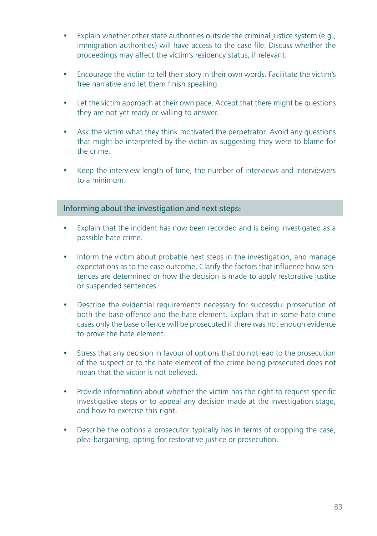- Explain whether other state authorities outside the criminal justice system (e.g., immigration authorities) will have access to the case file. Discuss whether the proceedings may affect the victim's residency status, if relevant.
- Encourage the victim to tell their story in their own words. Facilitate the victim's free narrative and let them finish speaking.
- Let the victim approach at their own pace. Accept that there might be questions they are not yet ready or willing to answer.
- Ask the victim what they think motivated the perpetrator. Avoid any questions that might be interpreted by the victim as suggesting they were to blame for the crime.
- Keep the interview length of time, the number of interviews and interviewers to a minimum.

#### Informing about the investigation and next steps:

- Explain that the incident has now been recorded and is being investigated as a possible hate crime.
- Inform the victim about probable next steps in the investigation, and manage expectations as to the case outcome. Clarify the factors that influence how sentences are determined or how the decision is made to apply restorative justice or suspended sentences.
- Describe the evidential requirements necessary for successful prosecution of both the base offence and the hate element. Explain that in some hate crime cases only the base offence will be prosecuted if there was not enough evidence to prove the hate element.
- Stress that any decision in favour of options that do not lead to the prosecution of the suspect or to the hate element of the crime being prosecuted does not mean that the victim is not believed.
- Provide information about whether the victim has the right to request specific investigative steps or to appeal any decision made at the investigation stage, and how to exercise this right.
- Describe the options a prosecutor typically has in terms of dropping the case, plea-bargaining, opting for restorative justice or prosecution.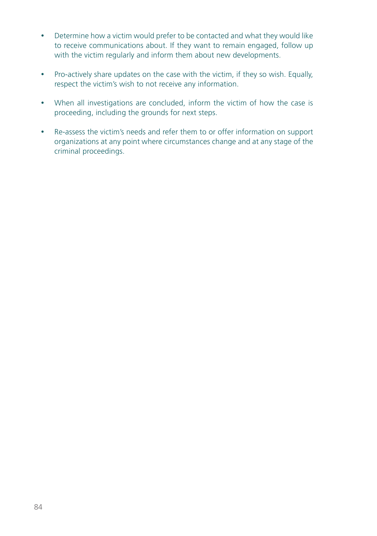- Determine how a victim would prefer to be contacted and what they would like to receive communications about. If they want to remain engaged, follow up with the victim regularly and inform them about new developments.
- Pro-actively share updates on the case with the victim, if they so wish. Equally, respect the victim's wish to not receive any information.
- When all investigations are concluded, inform the victim of how the case is proceeding, including the grounds for next steps.
- Re-assess the victim's needs and refer them to or offer information on support organizations at any point where circumstances change and at any stage of the criminal proceedings.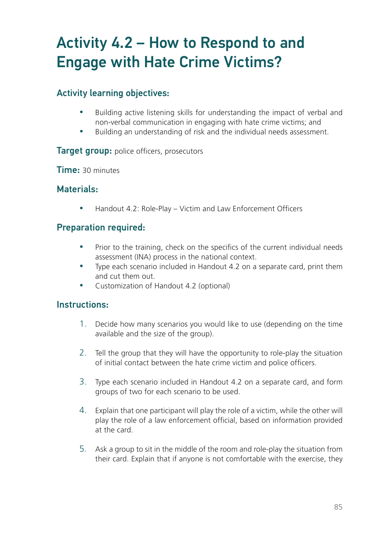## Activity 4.2 – How to Respond to and Engage with Hate Crime Victims?

## Activity learning objectives:

- Building active listening skills for understanding the impact of verbal and non-verbal communication in engaging with hate crime victims; and
- y Building an understanding of risk and the individual needs assessment.

#### **Target group:** police officers, prosecutors

Time: 30 minutes

### Materials:

Handout 4.2: Role-Play – Victim and Law Enforcement Officers

### Preparation required:

- Prior to the training, check on the specifics of the current individual needs assessment (INA) process in the national context.
- Type each scenario included in Handout 4.2 on a separate card, print them and cut them out.
- Customization of Handout 4.2 (optional)

#### Instructions:

- 1. Decide how many scenarios you would like to use (depending on the time available and the size of the group).
- 2. Tell the group that they will have the opportunity to role-play the situation of initial contact between the hate crime victim and police officers.
- 3. Type each scenario included in Handout 4.2 on a separate card, and form groups of two for each scenario to be used.
- 4. Explain that one participant will play the role of a victim, while the other will play the role of a law enforcement official, based on information provided at the card.
- 5. Ask a group to sit in the middle of the room and role-play the situation from their card. Explain that if anyone is not comfortable with the exercise, they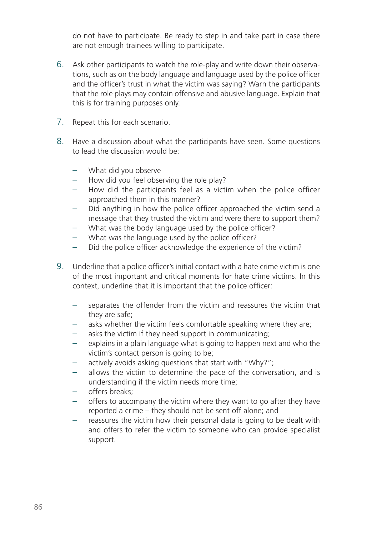do not have to participate. Be ready to step in and take part in case there are not enough trainees willing to participate.

- 6. Ask other participants to watch the role-play and write down their observations, such as on the body language and language used by the police officer and the officer's trust in what the victim was saying? Warn the participants that the role plays may contain offensive and abusive language. Explain that this is for training purposes only.
- 7. Repeat this for each scenario.
- 8. Have a discussion about what the participants have seen. Some questions to lead the discussion would be:
	- What did you observe
	- How did you feel observing the role play?
	- How did the participants feel as a victim when the police officer approached them in this manner?
	- Did anything in how the police officer approached the victim send a message that they trusted the victim and were there to support them?
	- What was the body language used by the police officer?
	- What was the language used by the police officer?
	- Did the police officer acknowledge the experience of the victim?
- 9. Underline that a police officer's initial contact with a hate crime victim is one of the most important and critical moments for hate crime victims. In this context, underline that it is important that the police officer:
	- separates the offender from the victim and reassures the victim that they are safe;
	- asks whether the victim feels comfortable speaking where they are;
	- asks the victim if they need support in communicating;
	- explains in a plain language what is going to happen next and who the victim's contact person is going to be;
	- actively avoids asking questions that start with "Why?";
	- allows the victim to determine the pace of the conversation, and is understanding if the victim needs more time;
	- offers breaks;
	- offers to accompany the victim where they want to go after they have reported a crime – they should not be sent off alone; and
	- reassures the victim how their personal data is going to be dealt with and offers to refer the victim to someone who can provide specialist support.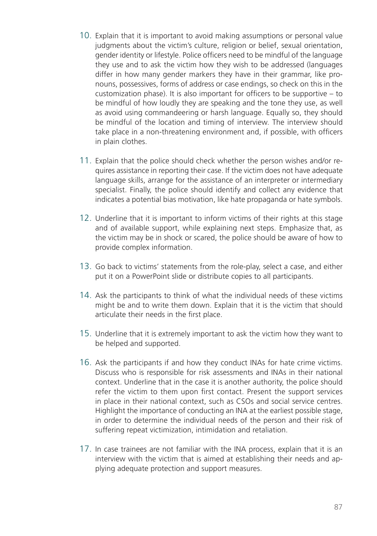- 10. Explain that it is important to avoid making assumptions or personal value judgments about the victim's culture, religion or belief, sexual orientation, gender identity or lifestyle. Police officers need to be mindful of the language they use and to ask the victim how they wish to be addressed (languages differ in how many gender markers they have in their grammar, like pronouns, possessives, forms of address or case endings, so check on this in the customization phase). It is also important for officers to be supportive – to be mindful of how loudly they are speaking and the tone they use, as well as avoid using commandeering or harsh language. Equally so, they should be mindful of the location and timing of interview. The interview should take place in a non-threatening environment and, if possible, with officers in plain clothes.
- 11. Explain that the police should check whether the person wishes and/or requires assistance in reporting their case. If the victim does not have adequate language skills, arrange for the assistance of an interpreter or intermediary specialist. Finally, the police should identify and collect any evidence that indicates a potential bias motivation, like hate propaganda or hate symbols.
- 12. Underline that it is important to inform victims of their rights at this stage and of available support, while explaining next steps. Emphasize that, as the victim may be in shock or scared, the police should be aware of how to provide complex information.
- 13. Go back to victims' statements from the role-play, select a case, and either put it on a PowerPoint slide or distribute copies to all participants.
- 14. Ask the participants to think of what the individual needs of these victims might be and to write them down. Explain that it is the victim that should articulate their needs in the first place.
- 15. Underline that it is extremely important to ask the victim how they want to be helped and supported.
- 16. Ask the participants if and how they conduct INAs for hate crime victims. Discuss who is responsible for risk assessments and INAs in their national context. Underline that in the case it is another authority, the police should refer the victim to them upon first contact. Present the support services in place in their national context, such as CSOs and social service centres. Highlight the importance of conducting an INA at the earliest possible stage, in order to determine the individual needs of the person and their risk of suffering repeat victimization, intimidation and retaliation.
- 17. In case trainees are not familiar with the INA process, explain that it is an interview with the victim that is aimed at establishing their needs and applying adequate protection and support measures.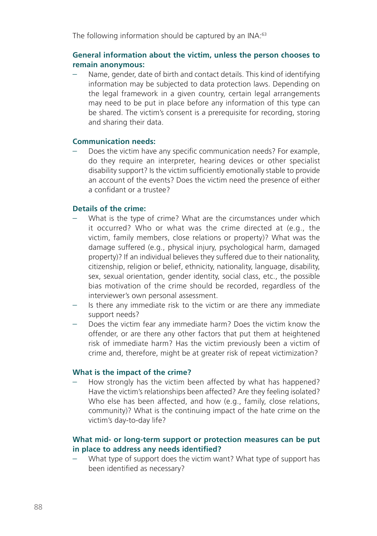The following information should be captured by an INA:<sup>63</sup>

#### **General information about the victim, unless the person chooses to remain anonymous:**

Name, gender, date of birth and contact details. This kind of identifying information may be subjected to data protection laws. Depending on the legal framework in a given country, certain legal arrangements may need to be put in place before any information of this type can be shared. The victim's consent is a prerequisite for recording, storing and sharing their data.

#### **Communication needs:**

– Does the victim have any specific communication needs? For example, do they require an interpreter, hearing devices or other specialist disability support? Is the victim sufficiently emotionally stable to provide an account of the events? Does the victim need the presence of either a confidant or a trustee?

#### **Details of the crime:**

- What is the type of crime? What are the circumstances under which it occurred? Who or what was the crime directed at (e.g., the victim, family members, close relations or property)? What was the damage suffered (e.g., physical injury, psychological harm, damaged property)? If an individual believes they suffered due to their nationality, citizenship, religion or belief, ethnicity, nationality, language, disability, sex, sexual orientation, gender identity, social class, etc., the possible bias motivation of the crime should be recorded, regardless of the interviewer's own personal assessment.
- Is there any immediate risk to the victim or are there any immediate support needs?
- Does the victim fear any immediate harm? Does the victim know the offender, or are there any other factors that put them at heightened risk of immediate harm? Has the victim previously been a victim of crime and, therefore, might be at greater risk of repeat victimization?

#### **What is the impact of the crime?**

How strongly has the victim been affected by what has happened? Have the victim's relationships been affected? Are they feeling isolated? Who else has been affected, and how (e.g., family, close relations, community)? What is the continuing impact of the hate crime on the victim's day-to-day life?

#### **What mid- or long-term support or protection measures can be put in place to address any needs identified?**

– What type of support does the victim want? What type of support has been identified as necessary?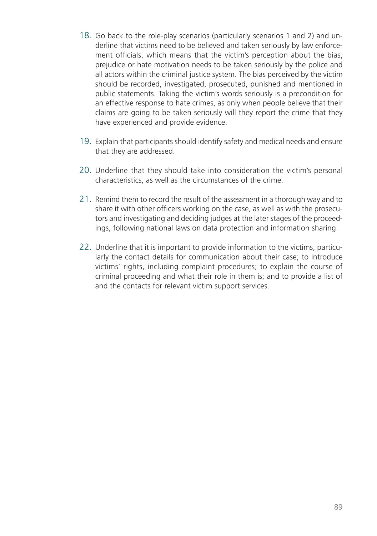- 18. Go back to the role-play scenarios (particularly scenarios 1 and 2) and underline that victims need to be believed and taken seriously by law enforcement officials, which means that the victim's perception about the bias, prejudice or hate motivation needs to be taken seriously by the police and all actors within the criminal justice system. The bias perceived by the victim should be recorded, investigated, prosecuted, punished and mentioned in public statements. Taking the victim's words seriously is a precondition for an effective response to hate crimes, as only when people believe that their claims are going to be taken seriously will they report the crime that they have experienced and provide evidence.
- 19. Explain that participants should identify safety and medical needs and ensure that they are addressed.
- 20. Underline that they should take into consideration the victim's personal characteristics, as well as the circumstances of the crime.
- 21. Remind them to record the result of the assessment in a thorough way and to share it with other officers working on the case, as well as with the prosecutors and investigating and deciding judges at the later stages of the proceedings, following national laws on data protection and information sharing.
- 22. Underline that it is important to provide information to the victims, particularly the contact details for communication about their case; to introduce victims' rights, including complaint procedures; to explain the course of criminal proceeding and what their role in them is; and to provide a list of and the contacts for relevant victim support services.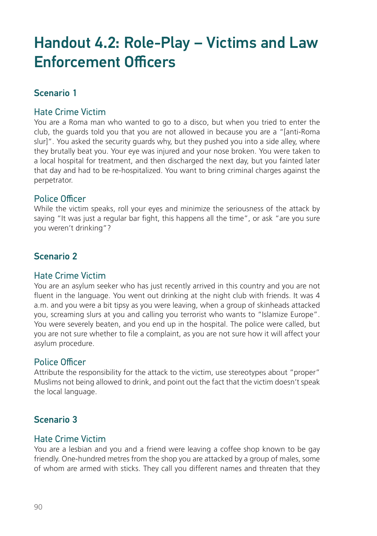## Handout 4.2: Role-Play – Victims and Law Enforcement Officers

## Scenario 1

#### Hate Crime Victim

You are a Roma man who wanted to go to a disco, but when you tried to enter the club, the guards told you that you are not allowed in because you are a "[anti-Roma slur]". You asked the security guards why, but they pushed you into a side alley, where they brutally beat you. Your eye was injured and your nose broken. You were taken to a local hospital for treatment, and then discharged the next day, but you fainted later that day and had to be re-hospitalized. You want to bring criminal charges against the perpetrator.

#### Police Officer

While the victim speaks, roll your eyes and minimize the seriousness of the attack by saying "It was just a regular bar fight, this happens all the time", or ask "are you sure you weren't drinking"?

## Scenario 2

#### Hate Crime Victim

You are an asylum seeker who has just recently arrived in this country and you are not fluent in the language. You went out drinking at the night club with friends. It was 4 a.m. and you were a bit tipsy as you were leaving, when a group of skinheads attacked you, screaming slurs at you and calling you terrorist who wants to "Islamize Europe". You were severely beaten, and you end up in the hospital. The police were called, but you are not sure whether to file a complaint, as you are not sure how it will affect your asylum procedure.

#### Police Officer

Attribute the responsibility for the attack to the victim, use stereotypes about "proper" Muslims not being allowed to drink, and point out the fact that the victim doesn't speak the local language.

## Scenario 3

#### Hate Crime Victim

You are a lesbian and you and a friend were leaving a coffee shop known to be gay friendly. One-hundred metres from the shop you are attacked by a group of males, some of whom are armed with sticks. They call you different names and threaten that they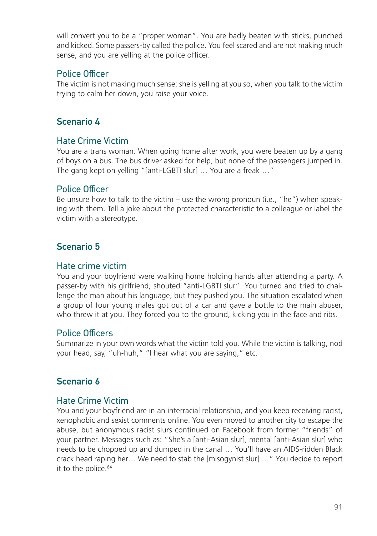will convert you to be a "proper woman". You are badly beaten with sticks, punched and kicked. Some passers-by called the police. You feel scared and are not making much sense, and you are yelling at the police officer.

### Police Officer

The victim is not making much sense; she is yelling at you so, when you talk to the victim trying to calm her down, you raise your voice.

## Scenario 4

### Hate Crime Victim

You are a trans woman. When going home after work, you were beaten up by a gang of boys on a bus. The bus driver asked for help, but none of the passengers jumped in. The gang kept on yelling "[anti-LGBTI slur] … You are a freak …"

#### Police Officer

Be unsure how to talk to the victim – use the wrong pronoun (i.e., "he") when speaking with them. Tell a joke about the protected characteristic to a colleague or label the victim with a stereotype.

## Scenario 5

#### Hate crime victim

You and your boyfriend were walking home holding hands after attending a party. A passer-by with his girlfriend, shouted "anti-LGBTI slur". You turned and tried to challenge the man about his language, but they pushed you. The situation escalated when a group of four young males got out of a car and gave a bottle to the main abuser, who threw it at you. They forced you to the ground, kicking you in the face and ribs.

#### Police Officers

Summarize in your own words what the victim told you. While the victim is talking, nod your head, say, "uh-huh," "I hear what you are saying," etc.

## Scenario 6

#### Hate Crime Victim

You and your boyfriend are in an interracial relationship, and you keep receiving racist, xenophobic and sexist comments online. You even moved to another city to escape the abuse, but anonymous racist slurs continued on Facebook from former "friends" of your partner. Messages such as: "She's a [anti-Asian slur], mental [anti-Asian slur] who needs to be chopped up and dumped in the canal … You'll have an AIDS-ridden Black crack head raping her… We need to stab the [misogynist slur] …" You decide to report it to the police.<sup>64</sup>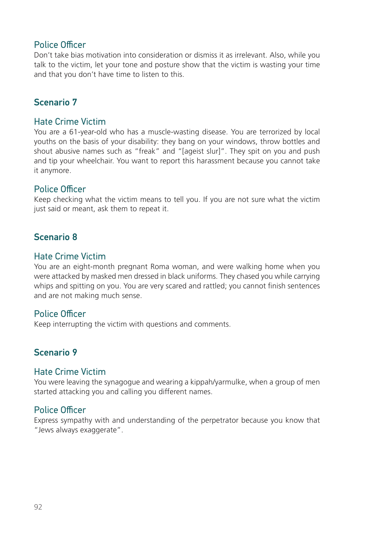#### Police Officer

Don't take bias motivation into consideration or dismiss it as irrelevant. Also, while you talk to the victim, let your tone and posture show that the victim is wasting your time and that you don't have time to listen to this.

### Scenario 7

#### Hate Crime Victim

You are a 61-year-old who has a muscle-wasting disease. You are terrorized by local youths on the basis of your disability: they bang on your windows, throw bottles and shout abusive names such as "freak" and "[ageist slur]". They spit on you and push and tip your wheelchair. You want to report this harassment because you cannot take it anymore.

#### Police Officer

Keep checking what the victim means to tell you. If you are not sure what the victim just said or meant, ask them to repeat it.

### Scenario 8

#### Hate Crime Victim

You are an eight-month pregnant Roma woman, and were walking home when you were attacked by masked men dressed in black uniforms. They chased you while carrying whips and spitting on you. You are very scared and rattled; you cannot finish sentences and are not making much sense.

#### Police Officer

Keep interrupting the victim with questions and comments.

## Scenario 9

#### Hate Crime Victim

You were leaving the synagogue and wearing a kippah/yarmulke, when a group of men started attacking you and calling you different names.

#### Police Officer

Express sympathy with and understanding of the perpetrator because you know that "Jews always exaggerate".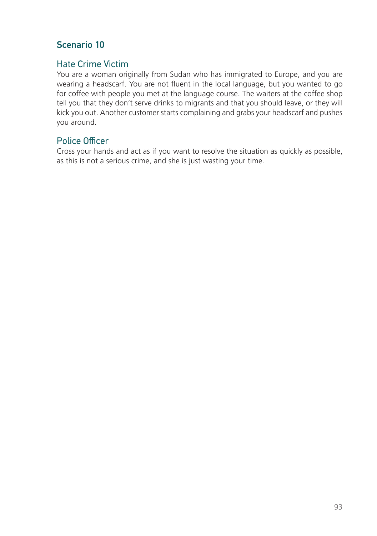## Scenario 10

## Hate Crime Victim

You are a woman originally from Sudan who has immigrated to Europe, and you are wearing a headscarf. You are not fluent in the local language, but you wanted to go for coffee with people you met at the language course. The waiters at the coffee shop tell you that they don't serve drinks to migrants and that you should leave, or they will kick you out. Another customer starts complaining and grabs your headscarf and pushes you around.

## Police Officer

Cross your hands and act as if you want to resolve the situation as quickly as possible, as this is not a serious crime, and she is just wasting your time.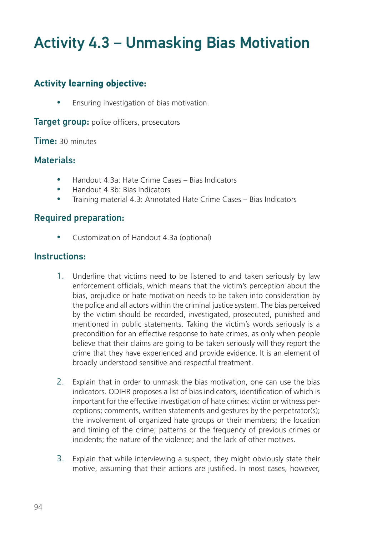## Activity 4.3 – Unmasking Bias Motivation

## **Activity learning objective**:

**•** Ensuring investigation of bias motivation.

**Target group:** police officers, prosecutors

#### Time: 30 minutes

#### Materials:

- Handout 4.3a: Hate Crime Cases Bias Indicators
- Handout 4.3b: Bias Indicators
- Training material 4.3: Annotated Hate Crime Cases Bias Indicators

### Required preparation:

Customization of Handout 4.3a (optional)

### Instructions:

- 1. Underline that victims need to be listened to and taken seriously by law enforcement officials, which means that the victim's perception about the bias, prejudice or hate motivation needs to be taken into consideration by the police and all actors within the criminal justice system. The bias perceived by the victim should be recorded, investigated, prosecuted, punished and mentioned in public statements. Taking the victim's words seriously is a precondition for an effective response to hate crimes, as only when people believe that their claims are going to be taken seriously will they report the crime that they have experienced and provide evidence. It is an element of broadly understood sensitive and respectful treatment.
- 2. Explain that in order to unmask the bias motivation, one can use the bias indicators. ODIHR proposes a list of bias indicators, identification of which is important for the effective investigation of hate crimes: victim or witness perceptions; comments, written statements and gestures by the perpetrator(s); the involvement of organized hate groups or their members; the location and timing of the crime; patterns or the frequency of previous crimes or incidents; the nature of the violence; and the lack of other motives.
- 3. Explain that while interviewing a suspect, they might obviously state their motive, assuming that their actions are justified. In most cases, however,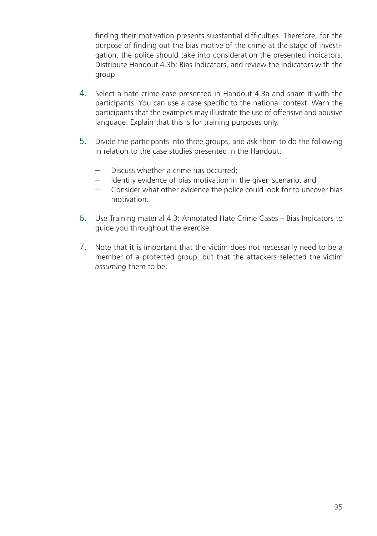finding their motivation presents substantial difficulties. Therefore, for the purpose of finding out the bias motive of the crime at the stage of investigation, the police should take into consideration the presented indicators. Distribute Handout 4.3b: Bias Indicators, and review the indicators with the group.

- 4. Select a hate crime case presented in Handout 4.3a and share it with the participants. You can use a case specific to the national context. Warn the participants that the examples may illustrate the use of offensive and abusive language. Explain that this is for training purposes only.
- 5. Divide the participants into three groups, and ask them to do the following in relation to the case studies presented in the Handout:
	- Discuss whether a crime has occurred;
	- Identify evidence of bias motivation in the given scenario; and
	- Consider what other evidence the police could look for to uncover bias motivation.
- 6. Use Training material 4.3: Annotated Hate Crime Cases Bias Indicators to guide you throughout the exercise.
- 7. Note that it is important that the victim does not necessarily need to be a member of a protected group, but that the attackers selected the victim *assuming* them to be.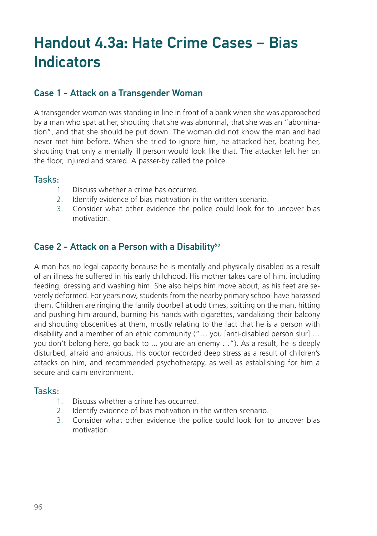## Handout 4.3a: Hate Crime Cases – Bias Indicators

## Case 1 - Attack on a Transgender Woman

A transgender woman was standing in line in front of a bank when she was approached by a man who spat at her, shouting that she was abnormal, that she was an "abomination", and that she should be put down. The woman did not know the man and had never met him before. When she tried to ignore him, he attacked her, beating her, shouting that only a mentally ill person would look like that. The attacker left her on the floor, injured and scared. A passer-by called the police.

#### Tasks:

- 1. Discuss whether a crime has occurred.
- 2. Identify evidence of bias motivation in the written scenario.
- 3. Consider what other evidence the police could look for to uncover bias motivation.

## Case 2 - Attack on a Person with a Disability $65$

A man has no legal capacity because he is mentally and physically disabled as a result of an illness he suffered in his early childhood. His mother takes care of him, including feeding, dressing and washing him. She also helps him move about, as his feet are severely deformed. For years now, students from the nearby primary school have harassed them. Children are ringing the family doorbell at odd times, spitting on the man, hitting and pushing him around, burning his hands with cigarettes, vandalizing their balcony and shouting obscenities at them, mostly relating to the fact that he is a person with disability and a member of an ethic community ("… you [anti-disabled person slur] … you don't belong here, go back to ... you are an enemy …"). As a result, he is deeply disturbed, afraid and anxious. His doctor recorded deep stress as a result of children's attacks on him, and recommended psychotherapy, as well as establishing for him a secure and calm environment.

#### Tasks:

- 1. Discuss whether a crime has occurred.
- 2. Identify evidence of bias motivation in the written scenario.
- 3. Consider what other evidence the police could look for to uncover bias motivation.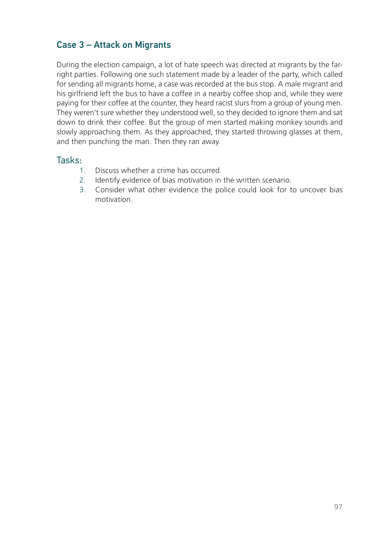## Case 3 – Attack on Migrants

During the election campaign, a lot of hate speech was directed at migrants by the farright parties. Following one such statement made by a leader of the party, which called for sending all migrants home, a case was recorded at the bus stop. A male migrant and his girlfriend left the bus to have a coffee in a nearby coffee shop and, while they were paying for their coffee at the counter, they heard racist slurs from a group of young men. They weren't sure whether they understood well, so they decided to ignore them and sat down to drink their coffee. But the group of men started making monkey sounds and slowly approaching them. As they approached, they started throwing glasses at them, and then punching the man. Then they ran away.

#### Tasks:

- 1. Discuss whether a crime has occurred.
- 2. Identify evidence of bias motivation in the written scenario.
- 3. Consider what other evidence the police could look for to uncover bias motivation.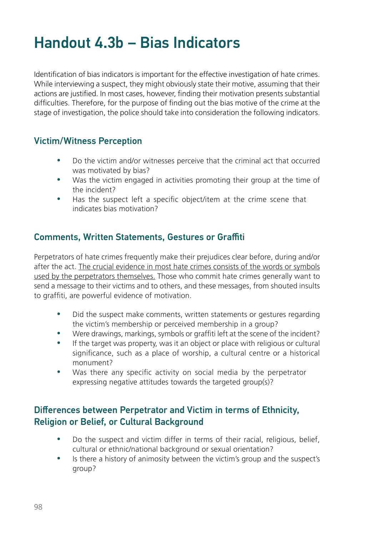## Handout 4.3b – Bias Indicators

Identification of bias indicators is important for the effective investigation of hate crimes. While interviewing a suspect, they might obviously state their motive, assuming that their actions are justified. In most cases, however, finding their motivation presents substantial difficulties. Therefore, for the purpose of finding out the bias motive of the crime at the stage of investigation, the police should take into consideration the following indicators.

## Victim/Witness Perception

- Do the victim and/or witnesses perceive that the criminal act that occurred was motivated by bias?
- Was the victim engaged in activities promoting their group at the time of the incident?
- Has the suspect left a specific object/item at the crime scene that indicates bias motivation?

## Comments, Written Statements, Gestures or Graffiti

Perpetrators of hate crimes frequently make their prejudices clear before, during and/or after the act. The crucial evidence in most hate crimes consists of the words or symbols used by the perpetrators themselves. Those who commit hate crimes generally want to send a message to their victims and to others, and these messages, from shouted insults to graffiti, are powerful evidence of motivation.

- Did the suspect make comments, written statements or gestures regarding the victim's membership or perceived membership in a group?
- Were drawings, markings, symbols or graffiti left at the scene of the incident?
- If the target was property, was it an object or place with religious or cultural significance, such as a place of worship, a cultural centre or a historical monument?
- Was there any specific activity on social media by the perpetrator expressing negative attitudes towards the targeted group(s)?

## Differences between Perpetrator and Victim in terms of Ethnicity, Religion or Belief, or Cultural Background

- Do the suspect and victim differ in terms of their racial, religious, belief, cultural or ethnic/national background or sexual orientation?
- Is there a history of animosity between the victim's group and the suspect's group?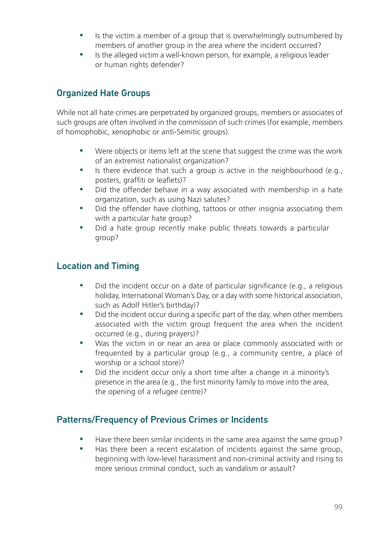- Is the victim a member of a group that is overwhelmingly outnumbered by members of another group in the area where the incident occurred?
- y Is the alleged victim a well-known person, for example, a religious leader or human rights defender?

## Organized Hate Groups

While not all hate crimes are perpetrated by organized groups, members or associates of such groups are often involved in the commission of such crimes (for example, members of homophobic, xenophobic or anti-Semitic groups).

- Were objects or items left at the scene that suggest the crime was the work of an extremist nationalist organization?
- $\bullet$  Is there evidence that such a group is active in the neighbourhood (e.g., posters, graffiti or leaflets)?
- Did the offender behave in a way associated with membership in a hate organization, such as using Nazi salutes?
- Did the offender have clothing, tattoos or other insignia associating them with a particular hate group?
- Did a hate group recently make public threats towards a particular group?

## Location and Timing

- Did the incident occur on a date of particular significance (e.g., a religious holiday, International Woman's Day, or a day with some historical association, such as Adolf Hitler's birthday)?
- Did the incident occur during a specific part of the day, when other members associated with the victim group frequent the area when the incident occurred (e.g., during prayers)?
- Was the victim in or near an area or place commonly associated with or frequented by a particular group (e.g., a community centre, a place of worship or a school store)?
- Did the incident occur only a short time after a change in a minority's presence in the area (e.g., the first minority family to move into the area, the opening of a refugee centre)?

## Patterns/Frequency of Previous Crimes or Incidents

- Have there been similar incidents in the same area against the same group?
- Has there been a recent escalation of incidents against the same group, beginning with low-level harassment and non-criminal activity and rising to more serious criminal conduct, such as vandalism or assault?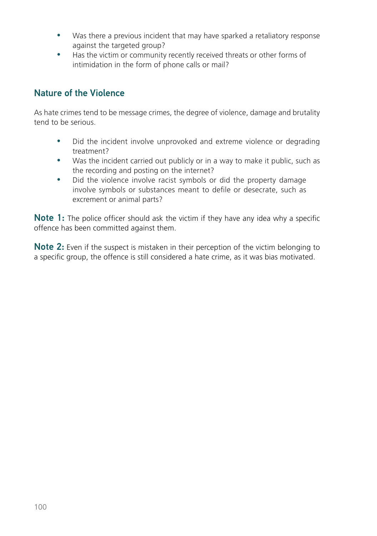- Was there a previous incident that may have sparked a retaliatory response against the targeted group?
- Has the victim or community recently received threats or other forms of intimidation in the form of phone calls or mail?

## Nature of the Violence

As hate crimes tend to be message crimes, the degree of violence, damage and brutality tend to be serious.

- Did the incident involve unprovoked and extreme violence or degrading treatment?
- Was the incident carried out publicly or in a way to make it public, such as the recording and posting on the internet?
- Did the violence involve racist symbols or did the property damage involve symbols or substances meant to defile or desecrate, such as excrement or animal parts?

Note 1: The police officer should ask the victim if they have any idea why a specific offence has been committed against them.

Note 2: Even if the suspect is mistaken in their perception of the victim belonging to a specific group, the offence is still considered a hate crime, as it was bias motivated.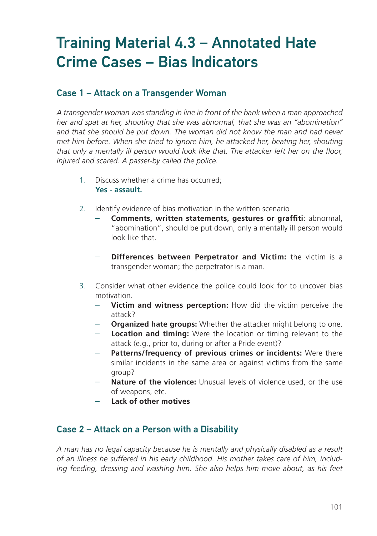## Training Material 4.3 – Annotated Hate Crime Cases – Bias Indicators

## Case 1 – Attack on a Transgender Woman

*A transgender woman was standing in line in front of the bank when a man approached her and spat at her, shouting that she was abnormal, that she was an "abomination" and that she should be put down. The woman did not know the man and had never met him before. When she tried to ignore him, he attacked her, beating her, shouting that only a mentally ill person would look like that. The attacker left her on the floor, injured and scared. A passer-by called the police.*

- 1. Discuss whether a crime has occurred; **Yes - assault.**
- 2. Identify evidence of bias motivation in the written scenario
	- **Comments, written statements, gestures or graffiti**: abnormal, "abomination", should be put down, only a mentally ill person would look like that.
	- **Differences between Perpetrator and Victim:** the victim is a transgender woman; the perpetrator is a man.
- 3. Consider what other evidence the police could look for to uncover bias motivation.
	- **Victim and witness perception:** How did the victim perceive the attack?
	- **Organized hate groups:** Whether the attacker might belong to one.
	- **Location and timing:** Were the location or timing relevant to the attack (e.g., prior to, during or after a Pride event)?
	- Patterns/frequency of previous crimes or incidents: Were there similar incidents in the same area or against victims from the same group?
	- Nature of the violence: Unusual levels of violence used, or the use of weapons, etc.
	- **Lack of other motives**

#### Case 2 – Attack on a Person with a Disability

*A man has no legal capacity because he is mentally and physically disabled as a result of an illness he suffered in his early childhood. His mother takes care of him, including feeding, dressing and washing him. She also helps him move about, as his feet*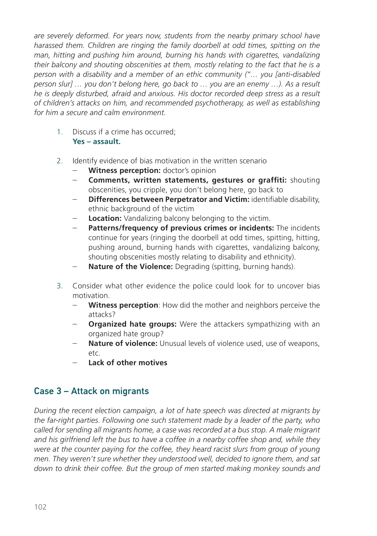*are severely deformed. For years now, students from the nearby primary school have harassed them. Children are ringing the family doorbell at odd times, spitting on the man, hitting and pushing him around, burning his hands with cigarettes, vandalizing their balcony and shouting obscenities at them, mostly relating to the fact that he is a person with a disability and a member of an ethic community ("… you [anti-disabled person slur] … you don't belong here, go back to … you are an enemy …). As a result he is deeply disturbed, afraid and anxious. His doctor recorded deep stress as a result of children's attacks on him, and recommended psychotherapy, as well as establishing for him a secure and calm environment.* 

- 1. Discuss if a crime has occurred; **Yes – assault.**
- 2. Identify evidence of bias motivation in the written scenario
	- **Witness perception:** doctor's opinion
	- **Comments, written statements, gestures or graffiti:** shouting obscenities, you cripple, you don't belong here, go back to
	- **Differences between Perpetrator and Victim:** identifiable disability, ethnic background of the victim
	- **Location:** Vandalizing balcony belonging to the victim.
	- **Patterns/frequency of previous crimes or incidents:** The incidents continue for years (ringing the doorbell at odd times, spitting, hitting, pushing around, burning hands with cigarettes, vandalizing balcony, shouting obscenities mostly relating to disability and ethnicity).
	- **Nature of the Violence:** Degrading (spitting, burning hands).
- 3. Consider what other evidence the police could look for to uncover bias motivation.
	- **Witness perception**: How did the mother and neighbors perceive the attacks?
	- **Organized hate groups:** Were the attackers sympathizing with an organized hate group?
	- **Nature of violence:** Unusual levels of violence used, use of weapons, etc.
	- **Lack of other motives**

## Case 3 – Attack on migrants

*During the recent election campaign, a lot of hate speech was directed at migrants by the far-right parties. Following one such statement made by a leader of the party, who called for sending all migrants home, a case was recorded at a bus stop. A male migrant and his girlfriend left the bus to have a coffee in a nearby coffee shop and, while they were at the counter paying for the coffee, they heard racist slurs from group of young men. They weren't sure whether they understood well, decided to ignore them, and sat down to drink their coffee. But the group of men started making monkey sounds and*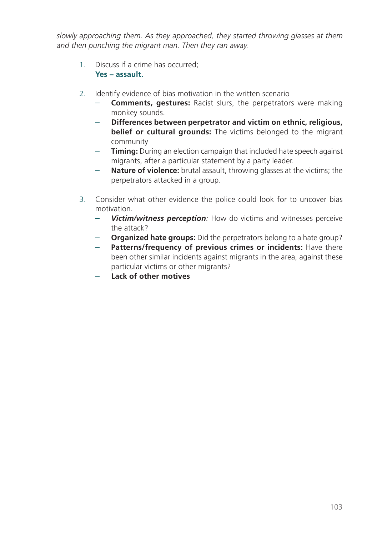*slowly approaching them. As they approached, they started throwing glasses at them and then punching the migrant man. Then they ran away.* 

- 1. Discuss if a crime has occurred; **Yes – assault.**
- 2. Identify evidence of bias motivation in the written scenario
	- **Comments, gestures:** Racist slurs, the perpetrators were making monkey sounds.
	- **Differences between perpetrator and victim on ethnic, religious, belief or cultural grounds:** The victims belonged to the migrant community
	- **Timing:** During an election campaign that included hate speech against migrants, after a particular statement by a party leader.
	- **Nature of violence:** brutal assault, throwing glasses at the victims; the perpetrators attacked in a group.
- 3. Consider what other evidence the police could look for to uncover bias motivation.
	- *Victim/witness perception:* How do victims and witnesses perceive the attack?
	- **Organized hate groups:** Did the perpetrators belong to a hate group?
	- Patterns/frequency of previous crimes or incidents: Have there been other similar incidents against migrants in the area, against these particular victims or other migrants?
	- **Lack of other motives**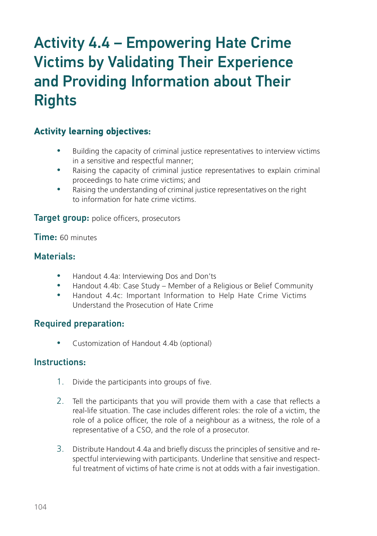## Activity 4.4 – Empowering Hate Crime Victims by Validating Their Experience and Providing Information about Their **Rights**

## **Activity learning objectives**:

- Building the capacity of criminal justice representatives to interview victims in a sensitive and respectful manner;
- Raising the capacity of criminal justice representatives to explain criminal proceedings to hate crime victims; and
- Raising the understanding of criminal justice representatives on the right to information for hate crime victims.

**Target group:** police officers, prosecutors

Time: 60 minutes

## Materials:

- Handout 4.4a: Interviewing Dos and Don'ts
- Handout 4.4b: Case Study Member of a Religious or Belief Community
- Handout 4.4c: Important Information to Help Hate Crime Victims Understand the Prosecution of Hate Crime

## Required preparation:

• Customization of Handout 4.4b (optional)

#### Instructions:

- 1. Divide the participants into groups of five.
- 2. Tell the participants that you will provide them with a case that reflects a real-life situation. The case includes different roles: the role of a victim, the role of a police officer, the role of a neighbour as a witness, the role of a representative of a CSO, and the role of a prosecutor.
- 3. Distribute Handout 4.4a and briefly discuss the principles of sensitive and respectful interviewing with participants. Underline that sensitive and respectful treatment of victims of hate crime is not at odds with a fair investigation.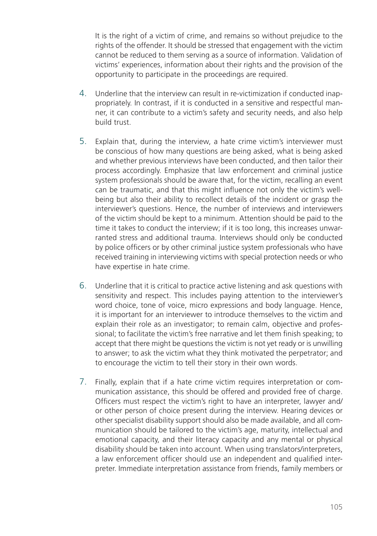It is the right of a victim of crime, and remains so without prejudice to the rights of the offender. It should be stressed that engagement with the victim cannot be reduced to them serving as a source of information. Validation of victims' experiences, information about their rights and the provision of the opportunity to participate in the proceedings are required.

- 4. Underline that the interview can result in re-victimization if conducted inappropriately. In contrast, if it is conducted in a sensitive and respectful manner, it can contribute to a victim's safety and security needs, and also help build trust.
- 5. Explain that, during the interview, a hate crime victim's interviewer must be conscious of how many questions are being asked, what is being asked and whether previous interviews have been conducted, and then tailor their process accordingly. Emphasize that law enforcement and criminal justice system professionals should be aware that, for the victim, recalling an event can be traumatic, and that this might influence not only the victim's wellbeing but also their ability to recollect details of the incident or grasp the interviewer's questions. Hence, the number of interviews and interviewers of the victim should be kept to a minimum. Attention should be paid to the time it takes to conduct the interview; if it is too long, this increases unwarranted stress and additional trauma. Interviews should only be conducted by police officers or by other criminal justice system professionals who have received training in interviewing victims with special protection needs or who have expertise in hate crime.
- 6. Underline that it is critical to practice active listening and ask questions with sensitivity and respect. This includes paying attention to the interviewer's word choice, tone of voice, micro expressions and body language. Hence, it is important for an interviewer to introduce themselves to the victim and explain their role as an investigator; to remain calm, objective and professional; to facilitate the victim's free narrative and let them finish speaking; to accept that there might be questions the victim is not yet ready or is unwilling to answer; to ask the victim what they think motivated the perpetrator; and to encourage the victim to tell their story in their own words.
- 7. Finally, explain that if a hate crime victim requires interpretation or communication assistance, this should be offered and provided free of charge. Officers must respect the victim's right to have an interpreter, lawyer and/ or other person of choice present during the interview. Hearing devices or other specialist disability support should also be made available, and all communication should be tailored to the victim's age, maturity, intellectual and emotional capacity, and their literacy capacity and any mental or physical disability should be taken into account. When using translators/interpreters, a law enforcement officer should use an independent and qualified interpreter. Immediate interpretation assistance from friends, family members or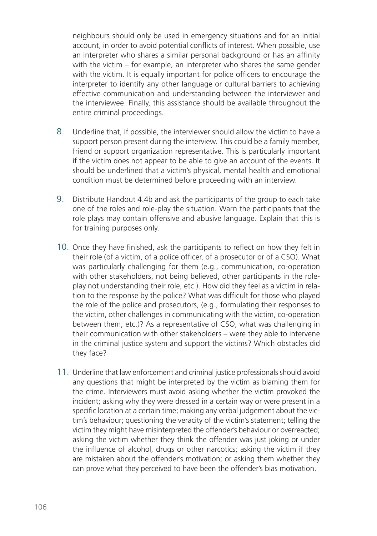neighbours should only be used in emergency situations and for an initial account, in order to avoid potential conflicts of interest. When possible, use an interpreter who shares a similar personal background or has an affinity with the victim – for example, an interpreter who shares the same gender with the victim. It is equally important for police officers to encourage the interpreter to identify any other language or cultural barriers to achieving effective communication and understanding between the interviewer and the interviewee. Finally, this assistance should be available throughout the entire criminal proceedings.

- 8. Underline that, if possible, the interviewer should allow the victim to have a support person present during the interview. This could be a family member, friend or support organization representative. This is particularly important if the victim does not appear to be able to give an account of the events. It should be underlined that a victim's physical, mental health and emotional condition must be determined before proceeding with an interview.
- 9. Distribute Handout 4.4b and ask the participants of the group to each take one of the roles and role-play the situation. Warn the participants that the role plays may contain offensive and abusive language. Explain that this is for training purposes only.
- 10. Once they have finished, ask the participants to reflect on how they felt in their role (of a victim, of a police officer, of a prosecutor or of a CSO). What was particularly challenging for them (e.g., communication, co-operation with other stakeholders, not being believed, other participants in the roleplay not understanding their role, etc.). How did they feel as a victim in relation to the response by the police? What was difficult for those who played the role of the police and prosecutors, (e.g., formulating their responses to the victim, other challenges in communicating with the victim, co-operation between them, etc.)? As a representative of CSO, what was challenging in their communication with other stakeholders – were they able to intervene in the criminal justice system and support the victims? Which obstacles did they face?
- 11. Underline that law enforcement and criminal justice professionals should avoid any questions that might be interpreted by the victim as blaming them for the crime. Interviewers must avoid asking whether the victim provoked the incident; asking why they were dressed in a certain way or were present in a specific location at a certain time; making any verbal judgement about the victim's behaviour; questioning the veracity of the victim's statement; telling the victim they might have misinterpreted the offender's behaviour or overreacted; asking the victim whether they think the offender was just joking or under the influence of alcohol, drugs or other narcotics; asking the victim if they are mistaken about the offender's motivation; or asking them whether they can prove what they perceived to have been the offender's bias motivation.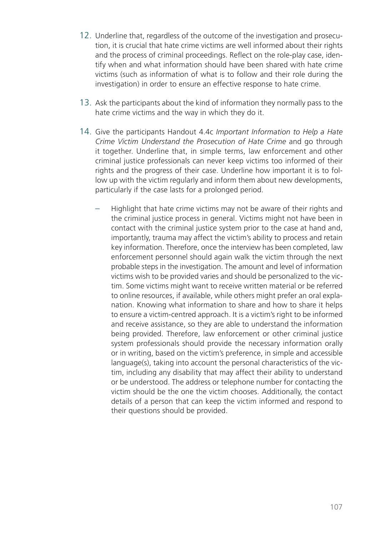- 12. Underline that, regardless of the outcome of the investigation and prosecution, it is crucial that hate crime victims are well informed about their rights and the process of criminal proceedings. Reflect on the role-play case, identify when and what information should have been shared with hate crime victims (such as information of what is to follow and their role during the investigation) in order to ensure an effective response to hate crime.
- 13. Ask the participants about the kind of information they normally pass to the hate crime victims and the way in which they do it.
- 14. Give the participants Handout 4.4c *Important Information to Help a Hate Crime Victim Understand the Prosecution of Hate Crime* and go through it together. Underline that, in simple terms, law enforcement and other criminal justice professionals can never keep victims too informed of their rights and the progress of their case. Underline how important it is to follow up with the victim regularly and inform them about new developments, particularly if the case lasts for a prolonged period.
	- Highlight that hate crime victims may not be aware of their rights and the criminal justice process in general. Victims might not have been in contact with the criminal justice system prior to the case at hand and, importantly, trauma may affect the victim's ability to process and retain key information. Therefore, once the interview has been completed, law enforcement personnel should again walk the victim through the next probable steps in the investigation. The amount and level of information victims wish to be provided varies and should be personalized to the victim. Some victims might want to receive written material or be referred to online resources, if available, while others might prefer an oral explanation. Knowing what information to share and how to share it helps to ensure a victim-centred approach. It is a victim's right to be informed and receive assistance, so they are able to understand the information being provided. Therefore, law enforcement or other criminal justice system professionals should provide the necessary information orally or in writing, based on the victim's preference, in simple and accessible language(s), taking into account the personal characteristics of the victim, including any disability that may affect their ability to understand or be understood. The address or telephone number for contacting the victim should be the one the victim chooses. Additionally, the contact details of a person that can keep the victim informed and respond to their questions should be provided.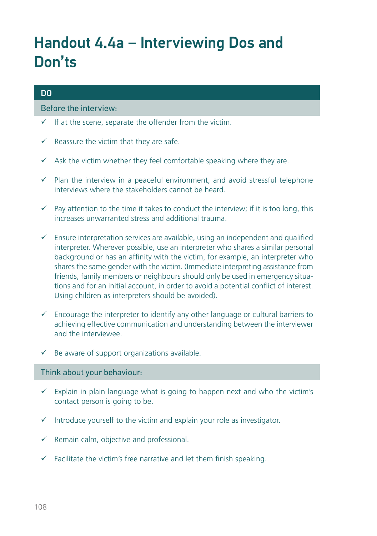## Handout 4.4a – Interviewing Dos and Don'ts

#### DO

#### Before the interview:

- $\checkmark$  If at the scene, separate the offender from the victim.
- $\checkmark$  Reassure the victim that they are safe.
- $\checkmark$  Ask the victim whether they feel comfortable speaking where they are.
- $\checkmark$  Plan the interview in a peaceful environment, and avoid stressful telephone interviews where the stakeholders cannot be heard.
- $\checkmark$  Pay attention to the time it takes to conduct the interview; if it is too long, this increases unwarranted stress and additional trauma.
- $\checkmark$  Ensure interpretation services are available, using an independent and qualified interpreter. Wherever possible, use an interpreter who shares a similar personal background or has an affinity with the victim, for example, an interpreter who shares the same gender with the victim. (Immediate interpreting assistance from friends, family members or neighbours should only be used in emergency situations and for an initial account, in order to avoid a potential conflict of interest. Using children as interpreters should be avoided).
- $\checkmark$  Encourage the interpreter to identify any other language or cultural barriers to achieving effective communication and understanding between the interviewer and the interviewee.
- $\checkmark$  Be aware of support organizations available.

#### Think about your behaviour:

- $\checkmark$  Explain in plain language what is going to happen next and who the victim's contact person is going to be.
- $\checkmark$  Introduce yourself to the victim and explain your role as investigator.
- $\checkmark$  Remain calm, objective and professional.
- $\checkmark$  Facilitate the victim's free narrative and let them finish speaking.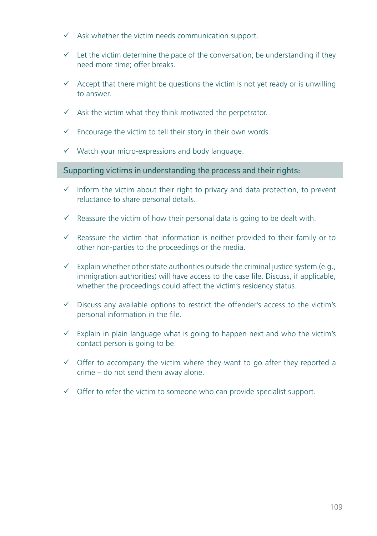- $\checkmark$  Ask whether the victim needs communication support.
- $\checkmark$  Let the victim determine the pace of the conversation; be understanding if they need more time; offer breaks.
- $\checkmark$  Accept that there might be questions the victim is not vet ready or is unwilling to answer.
- $\checkmark$  Ask the victim what they think motivated the perpetrator.
- $\checkmark$  Encourage the victim to tell their story in their own words.
- $\checkmark$  Watch your micro-expressions and body language.

#### Supporting victims in understanding the process and their rights:

- $\checkmark$  Inform the victim about their right to privacy and data protection, to prevent reluctance to share personal details.
- $\checkmark$  Reassure the victim of how their personal data is going to be dealt with.
- $\checkmark$  Reassure the victim that information is neither provided to their family or to other non-parties to the proceedings or the media.
- $\checkmark$  Explain whether other state authorities outside the criminal justice system (e.g., immigration authorities) will have access to the case file. Discuss, if applicable, whether the proceedings could affect the victim's residency status.
- $\checkmark$  Discuss any available options to restrict the offender's access to the victim's personal information in the file.
- $\checkmark$  Explain in plain language what is going to happen next and who the victim's contact person is going to be.
- $\checkmark$  Offer to accompany the victim where they want to go after they reported a crime – do not send them away alone.
- $\checkmark$  Offer to refer the victim to someone who can provide specialist support.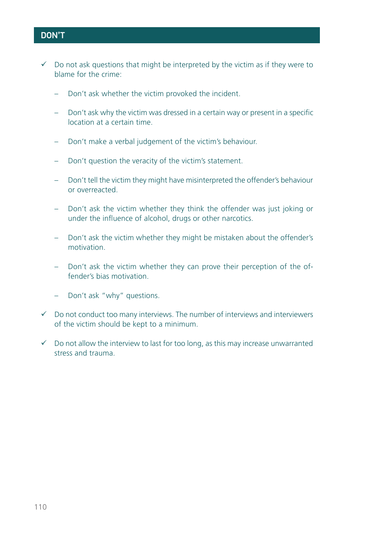### DON'T

- $\checkmark$  Do not ask questions that might be interpreted by the victim as if they were to blame for the crime:
	- Don't ask whether the victim provoked the incident.
	- Don't ask why the victim was dressed in a certain way or present in a specific location at a certain time.
	- Don't make a verbal judgement of the victim's behaviour.
	- Don't question the veracity of the victim's statement.
	- Don't tell the victim they might have misinterpreted the offender's behaviour or overreacted.
	- Don't ask the victim whether they think the offender was just joking or under the influence of alcohol, drugs or other narcotics.
	- Don't ask the victim whether they might be mistaken about the offender's motivation.
	- Don't ask the victim whether they can prove their perception of the offender's bias motivation.
	- Don't ask "why" questions.
- $\checkmark$  Do not conduct too many interviews. The number of interviews and interviewers of the victim should be kept to a minimum.
- $\checkmark$  Do not allow the interview to last for too long, as this may increase unwarranted stress and trauma.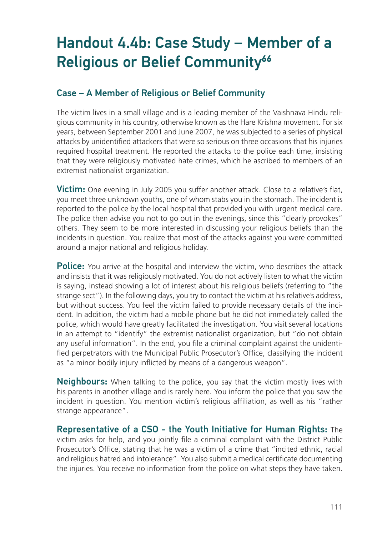# Handout 4.4b: Case Study – Member of a Religious or Belief Community**<sup>66</sup>**

### Case – A Member of Religious or Belief Community

The victim lives in a small village and is a leading member of the Vaishnava Hindu religious community in his country, otherwise known as the Hare Krishna movement. For six years, between September 2001 and June 2007, he was subjected to a series of physical attacks by unidentified attackers that were so serious on three occasions that his injuries required hospital treatment. He reported the attacks to the police each time, insisting that they were religiously motivated hate crimes, which he ascribed to members of an extremist nationalist organization.

Victim: One evening in July 2005 you suffer another attack. Close to a relative's flat, you meet three unknown youths, one of whom stabs you in the stomach. The incident is reported to the police by the local hospital that provided you with urgent medical care. The police then advise you not to go out in the evenings, since this "clearly provokes" others. They seem to be more interested in discussing your religious beliefs than the incidents in question. You realize that most of the attacks against you were committed around a major national and religious holiday.

**Police:** You arrive at the hospital and interview the victim, who describes the attack and insists that it was religiously motivated. You do not actively listen to what the victim is saying, instead showing a lot of interest about his religious beliefs (referring to "the strange sect"). In the following days, you try to contact the victim at his relative's address, but without success. You feel the victim failed to provide necessary details of the incident. In addition, the victim had a mobile phone but he did not immediately called the police, which would have greatly facilitated the investigation. You visit several locations in an attempt to "identify" the extremist nationalist organization, but "do not obtain any useful information". In the end, you file a criminal complaint against the unidentified perpetrators with the Municipal Public Prosecutor's Office, classifying the incident as "a minor bodily injury inflicted by means of a dangerous weapon".

**Neighbours:** When talking to the police, you say that the victim mostly lives with his parents in another village and is rarely here. You inform the police that you saw the incident in question. You mention victim's religious affiliation, as well as his "rather strange appearance".

Representative of a CSO - the Youth Initiative for Human Rights: The victim asks for help, and you jointly file a criminal complaint with the District Public Prosecutor's Office, stating that he was a victim of a crime that "incited ethnic, racial and religious hatred and intolerance". You also submit a medical certificate documenting the injuries. You receive no information from the police on what steps they have taken.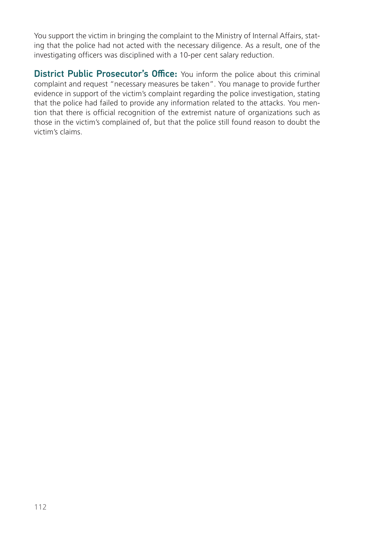You support the victim in bringing the complaint to the Ministry of Internal Affairs, stating that the police had not acted with the necessary diligence. As a result, one of the investigating officers was disciplined with a 10-per cent salary reduction.

**District Public Prosecutor's Office:** You inform the police about this criminal complaint and request "necessary measures be taken". You manage to provide further evidence in support of the victim's complaint regarding the police investigation, stating that the police had failed to provide any information related to the attacks. You mention that there is official recognition of the extremist nature of organizations such as those in the victim's complained of, but that the police still found reason to doubt the victim's claims.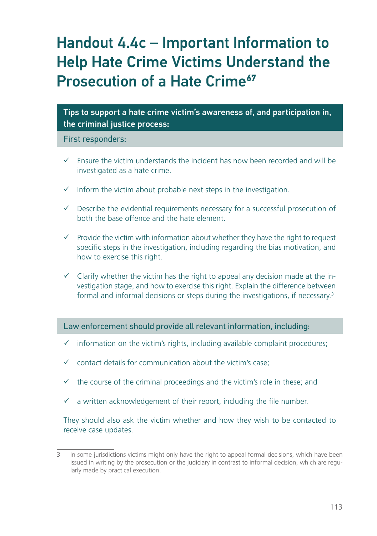# Handout 4.4c – Important Information to Help Hate Crime Victims Understand the **Prosecution of a Hate Crime<sup>67</sup>**

Tips to support a hate crime victim's awareness of, and participation in, the criminal justice process:

First responders:

- $\checkmark$  Ensure the victim understands the incident has now been recorded and will be investigated as a hate crime.
- $\checkmark$  Inform the victim about probable next steps in the investigation.
- $\checkmark$  Describe the evidential requirements necessary for a successful prosecution of both the base offence and the hate element.
- $\checkmark$  Provide the victim with information about whether they have the right to request specific steps in the investigation, including regarding the bias motivation, and how to exercise this right.
- $\checkmark$  Clarify whether the victim has the right to appeal any decision made at the investigation stage, and how to exercise this right. Explain the difference between formal and informal decisions or steps during the investigations, if necessary.3

Law enforcement should provide all relevant information, including:

- $\checkmark$  information on the victim's rights, including available complaint procedures;
- $\checkmark$  contact details for communication about the victim's case;
- $\checkmark$  the course of the criminal proceedings and the victim's role in these; and
- $\checkmark$  a written acknowledgement of their report, including the file number.

They should also ask the victim whether and how they wish to be contacted to receive case updates.

<sup>3</sup> In some jurisdictions victims might only have the right to appeal formal decisions, which have been issued in writing by the prosecution or the judiciary in contrast to informal decision, which are regularly made by practical execution.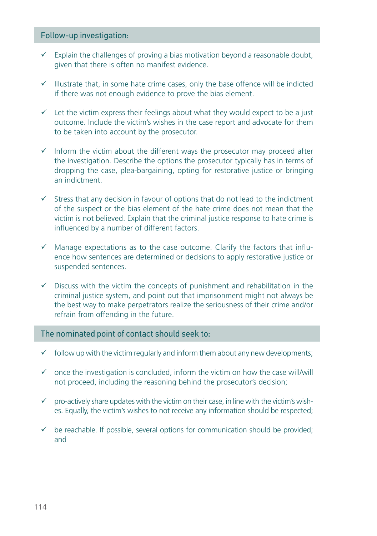#### Follow-up investigation:

- $\checkmark$  Explain the challenges of proving a bias motivation beyond a reasonable doubt, given that there is often no manifest evidence.
- $\checkmark$  Illustrate that, in some hate crime cases, only the base offence will be indicted if there was not enough evidence to prove the bias element.
- $\checkmark$  Let the victim express their feelings about what they would expect to be a just outcome. Include the victim's wishes in the case report and advocate for them to be taken into account by the prosecutor.
- $\checkmark$  Inform the victim about the different ways the prosecutor may proceed after the investigation. Describe the options the prosecutor typically has in terms of dropping the case, plea-bargaining, opting for restorative justice or bringing an indictment.
- $\checkmark$  Stress that any decision in favour of options that do not lead to the indictment of the suspect or the bias element of the hate crime does not mean that the victim is not believed. Explain that the criminal justice response to hate crime is influenced by a number of different factors.
- $\checkmark$  Manage expectations as to the case outcome. Clarify the factors that influence how sentences are determined or decisions to apply restorative justice or suspended sentences.
- $\checkmark$  Discuss with the victim the concepts of punishment and rehabilitation in the criminal justice system, and point out that imprisonment might not always be the best way to make perpetrators realize the seriousness of their crime and/or refrain from offending in the future.

#### The nominated point of contact should seek to:

- $\checkmark$  follow up with the victim regularly and inform them about any new developments;
- $\checkmark$  once the investigation is concluded, inform the victim on how the case will/will not proceed, including the reasoning behind the prosecutor's decision;
- $\checkmark$  pro-actively share updates with the victim on their case, in line with the victim's wishes. Equally, the victim's wishes to not receive any information should be respected;
- $\checkmark$  be reachable. If possible, several options for communication should be provided; and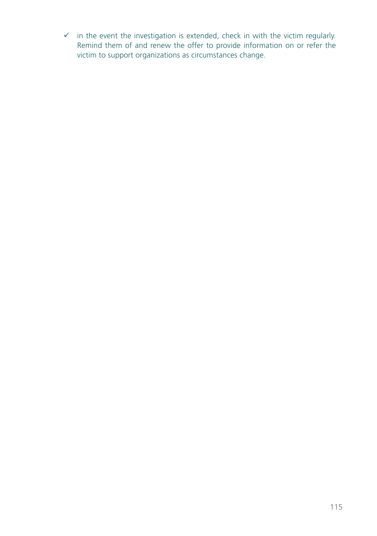$\checkmark$  in the event the investigation is extended, check in with the victim regularly. Remind them of and renew the offer to provide information on or refer the victim to support organizations as circumstances change.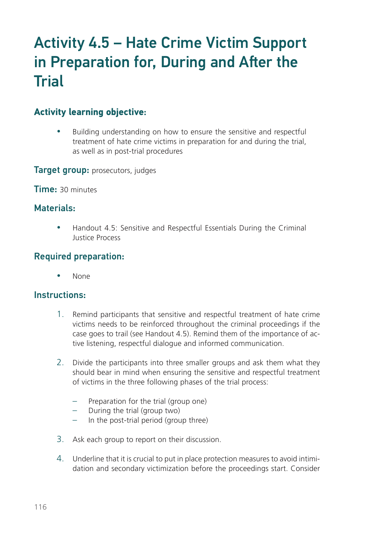# Activity 4.5 – Hate Crime Victim Support in Preparation for, During and After the **Trial**

### **Activity learning objective**:

• Building understanding on how to ensure the sensitive and respectful treatment of hate crime victims in preparation for and during the trial, as well as in post-trial procedures

**Target group:** prosecutors, judges

Time: 30 minutes

### Materials:

• Handout 4.5: Sensitive and Respectful Essentials During the Criminal Justice Process

### Required preparation:

None

### Instructions:

- 1. Remind participants that sensitive and respectful treatment of hate crime victims needs to be reinforced throughout the criminal proceedings if the case goes to trail (see Handout 4.5). Remind them of the importance of active listening, respectful dialogue and informed communication.
- 2. Divide the participants into three smaller groups and ask them what they should bear in mind when ensuring the sensitive and respectful treatment of victims in the three following phases of the trial process:
	- Preparation for the trial (group one)
	- During the trial (group two)
	- In the post-trial period (group three)
- 3. Ask each group to report on their discussion.
- 4. Underline that it is crucial to put in place protection measures to avoid intimidation and secondary victimization before the proceedings start. Consider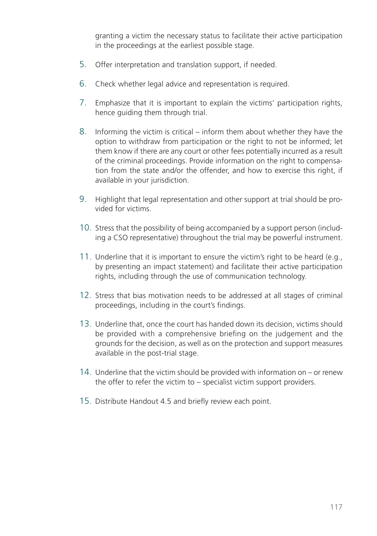granting a victim the necessary status to facilitate their active participation in the proceedings at the earliest possible stage.

- 5. Offer interpretation and translation support, if needed.
- 6. Check whether legal advice and representation is required.
- 7. Emphasize that it is important to explain the victims' participation rights, hence guiding them through trial.
- 8. Informing the victim is critical inform them about whether they have the option to withdraw from participation or the right to not be informed; let them know if there are any court or other fees potentially incurred as a result of the criminal proceedings. Provide information on the right to compensation from the state and/or the offender, and how to exercise this right, if available in your jurisdiction.
- 9. Highlight that legal representation and other support at trial should be provided for victims.
- 10. Stress that the possibility of being accompanied by a support person (including a CSO representative) throughout the trial may be powerful instrument.
- 11. Underline that it is important to ensure the victim's right to be heard (e.g., by presenting an impact statement) and facilitate their active participation rights, including through the use of communication technology.
- 12. Stress that bias motivation needs to be addressed at all stages of criminal proceedings, including in the court's findings.
- 13. Underline that, once the court has handed down its decision, victims should be provided with a comprehensive briefing on the judgement and the grounds for the decision, as well as on the protection and support measures available in the post-trial stage.
- 14. Underline that the victim should be provided with information on or renew the offer to refer the victim to – specialist victim support providers.
- 15. Distribute Handout 4.5 and briefly review each point.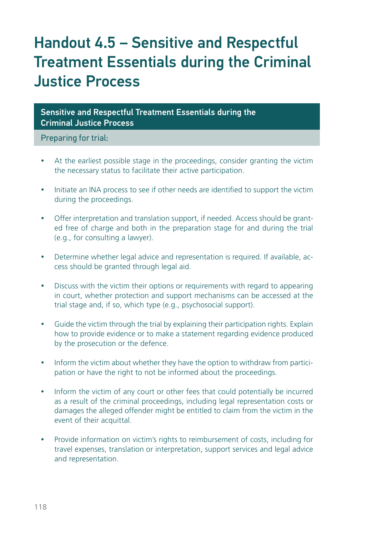# Handout 4.5 – Sensitive and Respectful Treatment Essentials during the Criminal Justice Process

Sensitive and Respectful Treatment Essentials during the Criminal Justice Process

Preparing for trial:

- At the earliest possible stage in the proceedings, consider granting the victim the necessary status to facilitate their active participation.
- Initiate an INA process to see if other needs are identified to support the victim during the proceedings.
- Offer interpretation and translation support, if needed. Access should be granted free of charge and both in the preparation stage for and during the trial (e.g., for consulting a lawyer).
- Determine whether legal advice and representation is required. If available, access should be granted through legal aid.
- Discuss with the victim their options or requirements with regard to appearing in court, whether protection and support mechanisms can be accessed at the trial stage and, if so, which type (e.g., psychosocial support).
- Guide the victim through the trial by explaining their participation rights. Explain how to provide evidence or to make a statement regarding evidence produced by the prosecution or the defence.
- Inform the victim about whether they have the option to withdraw from participation or have the right to not be informed about the proceedings.
- Inform the victim of any court or other fees that could potentially be incurred as a result of the criminal proceedings, including legal representation costs or damages the alleged offender might be entitled to claim from the victim in the event of their acquittal.
- Provide information on victim's rights to reimbursement of costs, including for travel expenses, translation or interpretation, support services and legal advice and representation.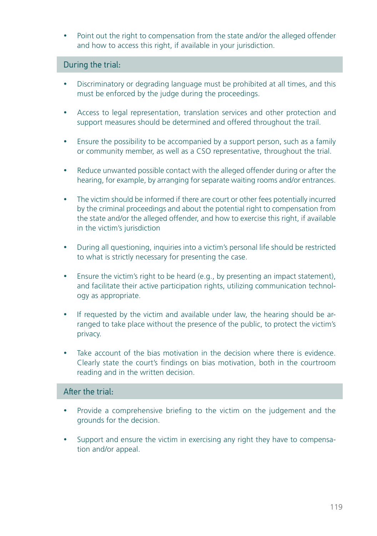• Point out the right to compensation from the state and/or the alleged offender and how to access this right, if available in your jurisdiction.

#### During the trial:

- Discriminatory or degrading language must be prohibited at all times, and this must be enforced by the judge during the proceedings.
- Access to legal representation, translation services and other protection and support measures should be determined and offered throughout the trail.
- Ensure the possibility to be accompanied by a support person, such as a family or community member, as well as a CSO representative, throughout the trial.
- Reduce unwanted possible contact with the alleged offender during or after the hearing, for example, by arranging for separate waiting rooms and/or entrances.
- The victim should be informed if there are court or other fees potentially incurred by the criminal proceedings and about the potential right to compensation from the state and/or the alleged offender, and how to exercise this right, if available in the victim's jurisdiction
- During all questioning, inquiries into a victim's personal life should be restricted to what is strictly necessary for presenting the case.
- Ensure the victim's right to be heard (e.g., by presenting an impact statement), and facilitate their active participation rights, utilizing communication technology as appropriate.
- If requested by the victim and available under law, the hearing should be arranged to take place without the presence of the public, to protect the victim's privacy.
- Take account of the bias motivation in the decision where there is evidence. Clearly state the court's findings on bias motivation, both in the courtroom reading and in the written decision.

### After the trial:

- Provide a comprehensive briefing to the victim on the judgement and the grounds for the decision.
- Support and ensure the victim in exercising any right they have to compensation and/or appeal.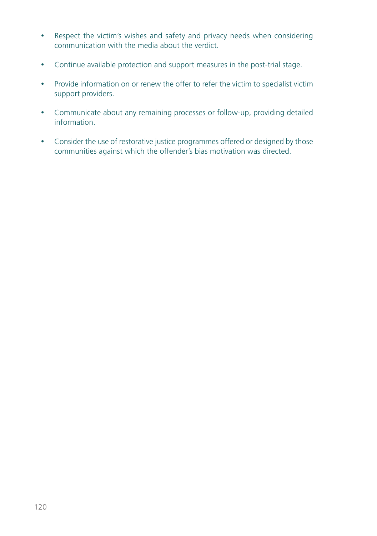- Respect the victim's wishes and safety and privacy needs when considering communication with the media about the verdict.
- Continue available protection and support measures in the post-trial stage.
- Provide information on or renew the offer to refer the victim to specialist victim support providers.
- Communicate about any remaining processes or follow-up, providing detailed information.
- Consider the use of restorative justice programmes offered or designed by those communities against which the offender's bias motivation was directed.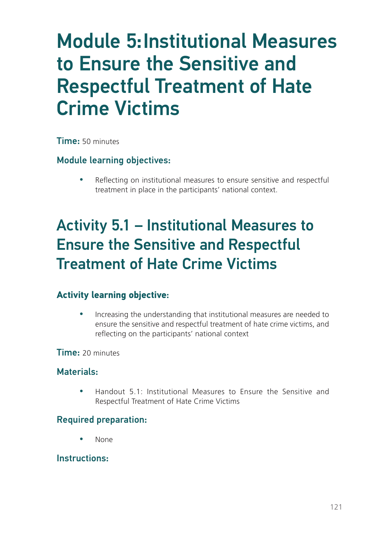# Module 5:Institutional Measures to Ensure the Sensitive and Respectful Treatment of Hate Crime Victims

Time: 50 minutes

### Module learning objectives:

Reflecting on institutional measures to ensure sensitive and respectful treatment in place in the participants' national context.

# Activity 5.1 – Institutional Measures to Ensure the Sensitive and Respectful Treatment of Hate Crime Victims

## **Activity learning objective**:

• Increasing the understanding that institutional measures are needed to ensure the sensitive and respectful treatment of hate crime victims, and reflecting on the participants' national context

### Time: 20 minutes

### Materials:

• Handout 5.1: Institutional Measures to Ensure the Sensitive and Respectful Treatment of Hate Crime Victims

## Required preparation:

None

### Instructions: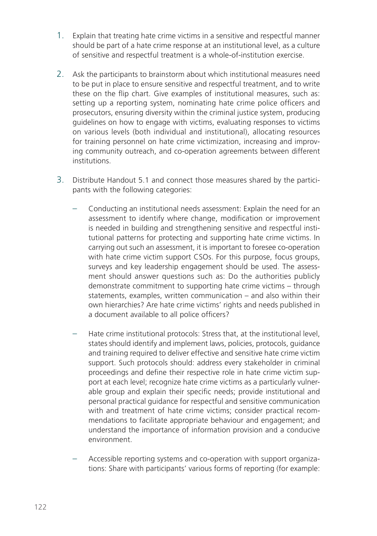- 1. Explain that treating hate crime victims in a sensitive and respectful manner should be part of a hate crime response at an institutional level, as a culture of sensitive and respectful treatment is a whole-of-institution exercise.
- 2. Ask the participants to brainstorm about which institutional measures need to be put in place to ensure sensitive and respectful treatment, and to write these on the flip chart. Give examples of institutional measures, such as: setting up a reporting system, nominating hate crime police officers and prosecutors, ensuring diversity within the criminal justice system, producing guidelines on how to engage with victims, evaluating responses to victims on various levels (both individual and institutional), allocating resources for training personnel on hate crime victimization, increasing and improving community outreach, and co-operation agreements between different institutions.
- 3. Distribute Handout 5.1 and connect those measures shared by the participants with the following categories:
	- Conducting an institutional needs assessment: Explain the need for an assessment to identify where change, modification or improvement is needed in building and strengthening sensitive and respectful institutional patterns for protecting and supporting hate crime victims. In carrying out such an assessment, it is important to foresee co-operation with hate crime victim support CSOs. For this purpose, focus groups, surveys and key leadership engagement should be used. The assessment should answer questions such as: Do the authorities publicly demonstrate commitment to supporting hate crime victims – through statements, examples, written communication – and also within their own hierarchies? Are hate crime victims' rights and needs published in a document available to all police officers?
	- Hate crime institutional protocols: Stress that, at the institutional level, states should identify and implement laws, policies, protocols, guidance and training required to deliver effective and sensitive hate crime victim support. Such protocols should: address every stakeholder in criminal proceedings and define their respective role in hate crime victim support at each level; recognize hate crime victims as a particularly vulnerable group and explain their specific needs; provide institutional and personal practical guidance for respectful and sensitive communication with and treatment of hate crime victims; consider practical recommendations to facilitate appropriate behaviour and engagement; and understand the importance of information provision and a conducive environment.
	- Accessible reporting systems and co-operation with support organizations: Share with participants' various forms of reporting (for example: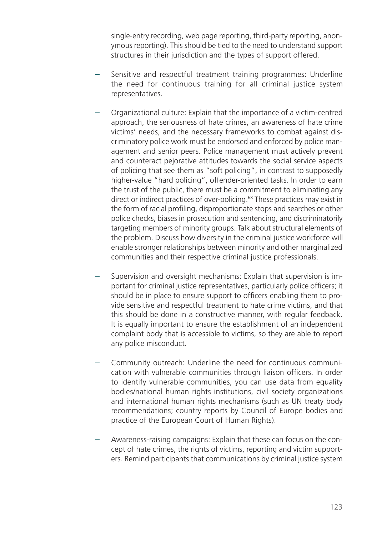single-entry recording, web page reporting, third-party reporting, anonymous reporting). This should be tied to the need to understand support structures in their jurisdiction and the types of support offered.

- Sensitive and respectful treatment training programmes: Underline the need for continuous training for all criminal justice system representatives.
- Organizational culture: Explain that the importance of a victim-centred approach, the seriousness of hate crimes, an awareness of hate crime victims' needs, and the necessary frameworks to combat against discriminatory police work must be endorsed and enforced by police management and senior peers. Police management must actively prevent and counteract pejorative attitudes towards the social service aspects of policing that see them as "soft policing", in contrast to supposedly higher-value "hard policing", offender-oriented tasks. In order to earn the trust of the public, there must be a commitment to eliminating any direct or indirect practices of over-policing.<sup>68</sup> These practices may exist in the form of racial profiling, disproportionate stops and searches or other police checks, biases in prosecution and sentencing, and discriminatorily targeting members of minority groups. Talk about structural elements of the problem. Discuss how diversity in the criminal justice workforce will enable stronger relationships between minority and other marginalized communities and their respective criminal justice professionals.
- Supervision and oversight mechanisms: Explain that supervision is important for criminal justice representatives, particularly police officers; it should be in place to ensure support to officers enabling them to provide sensitive and respectful treatment to hate crime victims, and that this should be done in a constructive manner, with regular feedback. It is equally important to ensure the establishment of an independent complaint body that is accessible to victims, so they are able to report any police misconduct.
- Community outreach: Underline the need for continuous communication with vulnerable communities through liaison officers. In order to identify vulnerable communities, you can use data from equality bodies/national human rights institutions, civil society organizations and international human rights mechanisms (such as UN treaty body recommendations; country reports by Council of Europe bodies and practice of the European Court of Human Rights).
- Awareness-raising campaigns: Explain that these can focus on the concept of hate crimes, the rights of victims, reporting and victim supporters. Remind participants that communications by criminal justice system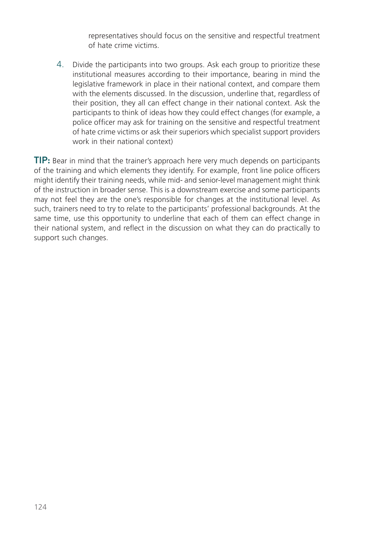representatives should focus on the sensitive and respectful treatment of hate crime victims.

4. Divide the participants into two groups. Ask each group to prioritize these institutional measures according to their importance, bearing in mind the legislative framework in place in their national context, and compare them with the elements discussed. In the discussion, underline that, regardless of their position, they all can effect change in their national context. Ask the participants to think of ideas how they could effect changes (for example, a police officer may ask for training on the sensitive and respectful treatment of hate crime victims or ask their superiors which specialist support providers work in their national context)

TIP: Bear in mind that the trainer's approach here very much depends on participants of the training and which elements they identify. For example, front line police officers might identify their training needs, while mid- and senior-level management might think of the instruction in broader sense. This is a downstream exercise and some participants may not feel they are the one's responsible for changes at the institutional level. As such, trainers need to try to relate to the participants' professional backgrounds. At the same time, use this opportunity to underline that each of them can effect change in their national system, and reflect in the discussion on what they can do practically to support such changes.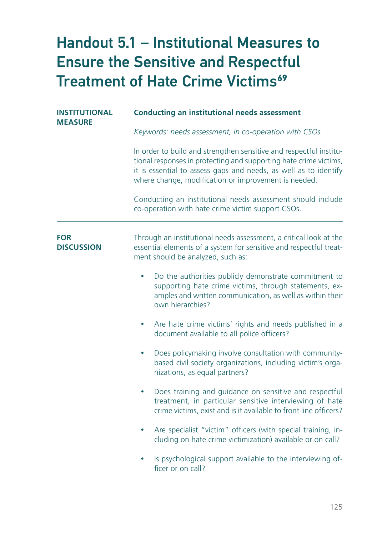# Handout 5.1 – Institutional Measures to Ensure the Sensitive and Respectful **Treatment of Hate Crime Victims<sup>69</sup>**

| <b>INSTITUTIONAL</b><br><b>MEASURE</b> | <b>Conducting an institutional needs assessment</b>                                                                                                                                                                                                                 |
|----------------------------------------|---------------------------------------------------------------------------------------------------------------------------------------------------------------------------------------------------------------------------------------------------------------------|
|                                        | Keywords: needs assessment, in co-operation with CSOs                                                                                                                                                                                                               |
|                                        | In order to build and strengthen sensitive and respectful institu-<br>tional responses in protecting and supporting hate crime victims,<br>it is essential to assess gaps and needs, as well as to identify<br>where change, modification or improvement is needed. |
|                                        | Conducting an institutional needs assessment should include<br>co-operation with hate crime victim support CSOs.                                                                                                                                                    |
| <b>FOR</b><br><b>DISCUSSION</b>        | Through an institutional needs assessment, a critical look at the<br>essential elements of a system for sensitive and respectful treat-<br>ment should be analyzed, such as:                                                                                        |
|                                        | Do the authorities publicly demonstrate commitment to<br>$\bullet$<br>supporting hate crime victims, through statements, ex-<br>amples and written communication, as well as within their<br>own hierarchies?                                                       |
|                                        | Are hate crime victims' rights and needs published in a<br>٠<br>document available to all police officers?                                                                                                                                                          |
|                                        | Does policymaking involve consultation with community-<br>٠<br>based civil society organizations, including victim's orga-<br>nizations, as equal partners?                                                                                                         |
|                                        | Does training and guidance on sensitive and respectful<br>٠<br>treatment, in particular sensitive interviewing of hate<br>crime victims, exist and is it available to front line officers?                                                                          |
|                                        | Are specialist "victim" officers (with special training, in-<br>۰<br>cluding on hate crime victimization) available or on call?                                                                                                                                     |
|                                        | Is psychological support available to the interviewing of-<br>ficer or on call?                                                                                                                                                                                     |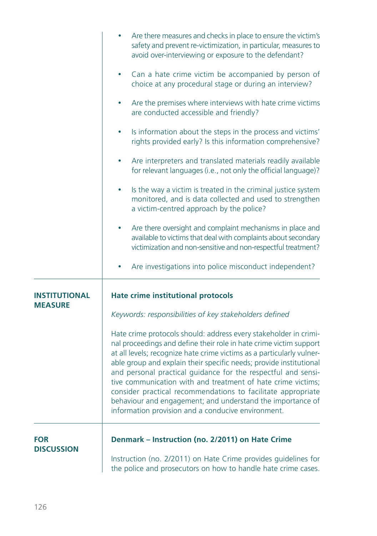|                                        | Are there measures and checks in place to ensure the victim's<br>safety and prevent re-victimization, in particular, measures to<br>avoid over-interviewing or exposure to the defendant?                                                                                                                                                                                                                                                                                                                                                                                                                  |
|----------------------------------------|------------------------------------------------------------------------------------------------------------------------------------------------------------------------------------------------------------------------------------------------------------------------------------------------------------------------------------------------------------------------------------------------------------------------------------------------------------------------------------------------------------------------------------------------------------------------------------------------------------|
|                                        | Can a hate crime victim be accompanied by person of<br>choice at any procedural stage or during an interview?                                                                                                                                                                                                                                                                                                                                                                                                                                                                                              |
|                                        | Are the premises where interviews with hate crime victims<br>are conducted accessible and friendly?                                                                                                                                                                                                                                                                                                                                                                                                                                                                                                        |
|                                        | Is information about the steps in the process and victims'<br>rights provided early? Is this information comprehensive?                                                                                                                                                                                                                                                                                                                                                                                                                                                                                    |
|                                        | Are interpreters and translated materials readily available<br>for relevant languages (i.e., not only the official language)?                                                                                                                                                                                                                                                                                                                                                                                                                                                                              |
|                                        | Is the way a victim is treated in the criminal justice system<br>monitored, and is data collected and used to strengthen<br>a victim-centred approach by the police?                                                                                                                                                                                                                                                                                                                                                                                                                                       |
|                                        | Are there oversight and complaint mechanisms in place and<br>available to victims that deal with complaints about secondary<br>victimization and non-sensitive and non-respectful treatment?                                                                                                                                                                                                                                                                                                                                                                                                               |
|                                        | Are investigations into police misconduct independent?                                                                                                                                                                                                                                                                                                                                                                                                                                                                                                                                                     |
| <b>INSTITUTIONAL</b><br><b>MEASURE</b> | <b>Hate crime institutional protocols</b>                                                                                                                                                                                                                                                                                                                                                                                                                                                                                                                                                                  |
|                                        | Keywords: responsibilities of key stakeholders defined                                                                                                                                                                                                                                                                                                                                                                                                                                                                                                                                                     |
|                                        | Hate crime protocols should: address every stakeholder in crimi-<br>nal proceedings and define their role in hate crime victim support<br>at all levels; recognize hate crime victims as a particularly vulner-<br>able group and explain their specific needs; provide institutional<br>and personal practical guidance for the respectful and sensi-<br>tive communication with and treatment of hate crime victims;<br>consider practical recommendations to facilitate appropriate<br>behaviour and engagement; and understand the importance of<br>information provision and a conducive environment. |
| <b>FOR</b>                             | Denmark - Instruction (no. 2/2011) on Hate Crime                                                                                                                                                                                                                                                                                                                                                                                                                                                                                                                                                           |
| <b>DISCUSSION</b>                      | Instruction (no. 2/2011) on Hate Crime provides guidelines for<br>the police and prosecutors on how to handle hate crime cases.                                                                                                                                                                                                                                                                                                                                                                                                                                                                            |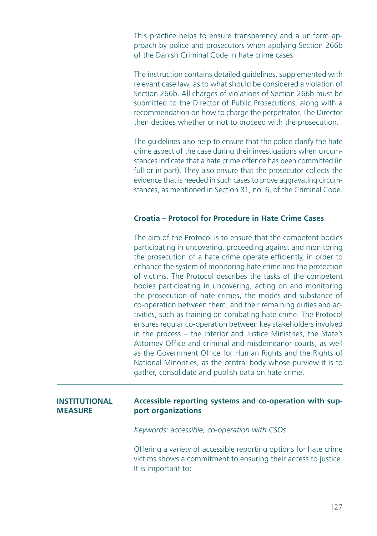This practice helps to ensure transparency and a uniform approach by police and prosecutors when applying Section 266b of the Danish Criminal Code in hate crime cases.

The instruction contains detailed guidelines, supplemented with relevant case law, as to what should be considered a violation of Section 266b. All charges of violations of Section 266b must be submitted to the Director of Public Prosecutions, along with a recommendation on how to charge the perpetrator. The Director then decides whether or not to proceed with the prosecution.

The guidelines also help to ensure that the police clarify the hate crime aspect of the case during their investigations when circumstances indicate that a hate crime offence has been committed (in full or in part). They also ensure that the prosecutor collects the evidence that is needed in such cases to prove aggravating circumstances, as mentioned in Section 81, no. 6, of the Criminal Code.

#### **Croatia – Protocol for Procedure in Hate Crime Cases**

The aim of the Protocol is to ensure that the competent bodies participating in uncovering, proceeding against and monitoring the prosecution of a hate crime operate efficiently, in order to enhance the system of monitoring hate crime and the protection of victims. The Protocol describes the tasks of the competent bodies participating in uncovering, acting on and monitoring the prosecution of hate crimes, the modes and substance of co-operation between them, and their remaining duties and activities, such as training on combating hate crime. The Protocol ensures regular co-operation between key stakeholders involved in the process – the Interior and Justice Ministries, the State's Attorney Office and criminal and misdemeanor courts, as well as the Government Office for Human Rights and the Rights of National Minorities, as the central body whose purview it is to gather, consolidate and publish data on hate crime.

#### **INSTITUTIONAL MEASURE**

#### **Accessible reporting systems and co-operation with support organizations**

*Keywords: accessible, co-operation with CSOs*

Offering a variety of accessible reporting options for hate crime victims shows a commitment to ensuring their access to justice. It is important to: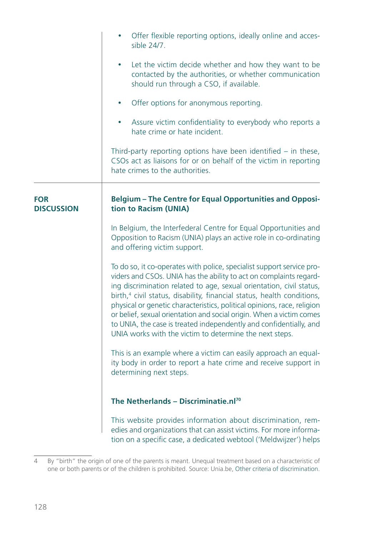|                                 | Offer flexible reporting options, ideally online and acces-<br>sible 24/7.                                                                                                                                                                                                                                                                                                                                                                                                                                                                                                                    |
|---------------------------------|-----------------------------------------------------------------------------------------------------------------------------------------------------------------------------------------------------------------------------------------------------------------------------------------------------------------------------------------------------------------------------------------------------------------------------------------------------------------------------------------------------------------------------------------------------------------------------------------------|
|                                 | Let the victim decide whether and how they want to be<br>$\bullet$<br>contacted by the authorities, or whether communication<br>should run through a CSO, if available.                                                                                                                                                                                                                                                                                                                                                                                                                       |
|                                 | Offer options for anonymous reporting.                                                                                                                                                                                                                                                                                                                                                                                                                                                                                                                                                        |
|                                 | Assure victim confidentiality to everybody who reports a<br>$\bullet$<br>hate crime or hate incident.                                                                                                                                                                                                                                                                                                                                                                                                                                                                                         |
|                                 | Third-party reporting options have been identified $-$ in these,<br>CSOs act as liaisons for or on behalf of the victim in reporting<br>hate crimes to the authorities.                                                                                                                                                                                                                                                                                                                                                                                                                       |
| <b>FOR</b><br><b>DISCUSSION</b> | <b>Belgium - The Centre for Equal Opportunities and Opposi-</b><br>tion to Racism (UNIA)                                                                                                                                                                                                                                                                                                                                                                                                                                                                                                      |
|                                 | In Belgium, the Interfederal Centre for Equal Opportunities and<br>Opposition to Racism (UNIA) plays an active role in co-ordinating<br>and offering victim support.                                                                                                                                                                                                                                                                                                                                                                                                                          |
|                                 | To do so, it co-operates with police, specialist support service pro-<br>viders and CSOs. UNIA has the ability to act on complaints regard-<br>ing discrimination related to age, sexual orientation, civil status,<br>birth, <sup>4</sup> civil status, disability, financial status, health conditions,<br>physical or genetic characteristics, political opinions, race, religion<br>or belief, sexual orientation and social origin. When a victim comes<br>to UNIA, the case is treated independently and confidentially, and<br>UNIA works with the victim to determine the next steps. |
|                                 | This is an example where a victim can easily approach an equal-<br>ity body in order to report a hate crime and receive support in<br>determining next steps.                                                                                                                                                                                                                                                                                                                                                                                                                                 |
|                                 | The Netherlands - Discriminatie.nl <sup>70</sup>                                                                                                                                                                                                                                                                                                                                                                                                                                                                                                                                              |
|                                 | This website provides information about discrimination, rem-<br>edies and organizations that can assist victims. For more informa-<br>tion on a specific case, a dedicated webtool ('Meldwijzer') helps                                                                                                                                                                                                                                                                                                                                                                                       |

<sup>4</sup> By "birth" the origin of one of the parents is meant. Unequal treatment based on a characteristic of one or both parents or of the children is prohibited. Source: Unia.be, Other criteria of discrimination.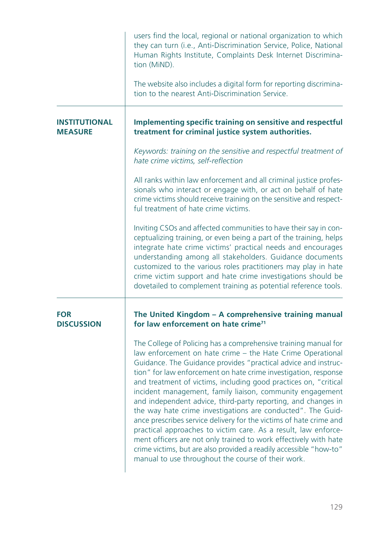|                                        | users find the local, regional or national organization to which<br>they can turn (i.e., Anti-Discrimination Service, Police, National<br>Human Rights Institute, Complaints Desk Internet Discrimina-<br>tion (MiND).<br>The website also includes a digital form for reporting discrimina-<br>tion to the nearest Anti-Discrimination Service.                                                                                                                                                                                                                                                                                                                                                                                                                                                                                                                            |
|----------------------------------------|-----------------------------------------------------------------------------------------------------------------------------------------------------------------------------------------------------------------------------------------------------------------------------------------------------------------------------------------------------------------------------------------------------------------------------------------------------------------------------------------------------------------------------------------------------------------------------------------------------------------------------------------------------------------------------------------------------------------------------------------------------------------------------------------------------------------------------------------------------------------------------|
| <b>INSTITUTIONAL</b><br><b>MEASURE</b> | Implementing specific training on sensitive and respectful<br>treatment for criminal justice system authorities.                                                                                                                                                                                                                                                                                                                                                                                                                                                                                                                                                                                                                                                                                                                                                            |
|                                        | Keywords: training on the sensitive and respectful treatment of<br>hate crime victims, self-reflection                                                                                                                                                                                                                                                                                                                                                                                                                                                                                                                                                                                                                                                                                                                                                                      |
|                                        | All ranks within law enforcement and all criminal justice profes-<br>sionals who interact or engage with, or act on behalf of hate<br>crime victims should receive training on the sensitive and respect-<br>ful treatment of hate crime victims.                                                                                                                                                                                                                                                                                                                                                                                                                                                                                                                                                                                                                           |
|                                        | Inviting CSOs and affected communities to have their say in con-<br>ceptualizing training, or even being a part of the training, helps<br>integrate hate crime victims' practical needs and encourages<br>understanding among all stakeholders. Guidance documents<br>customized to the various roles practitioners may play in hate<br>crime victim support and hate crime investigations should be<br>dovetailed to complement training as potential reference tools.                                                                                                                                                                                                                                                                                                                                                                                                     |
| <b>FOR</b><br><b>DISCUSSION</b>        | The United Kingdom - A comprehensive training manual<br>for law enforcement on hate crime <sup>71</sup>                                                                                                                                                                                                                                                                                                                                                                                                                                                                                                                                                                                                                                                                                                                                                                     |
|                                        | The College of Policing has a comprehensive training manual for<br>law enforcement on hate crime - the Hate Crime Operational<br>Guidance. The Guidance provides "practical advice and instruc-<br>tion" for law enforcement on hate crime investigation, response<br>and treatment of victims, including good practices on, "critical<br>incident management, family liaison, community engagement<br>and independent advice, third-party reporting, and changes in<br>the way hate crime investigations are conducted". The Guid-<br>ance prescribes service delivery for the victims of hate crime and<br>practical approaches to victim care. As a result, law enforce-<br>ment officers are not only trained to work effectively with hate<br>crime victims, but are also provided a readily accessible "how-to"<br>manual to use throughout the course of their work. |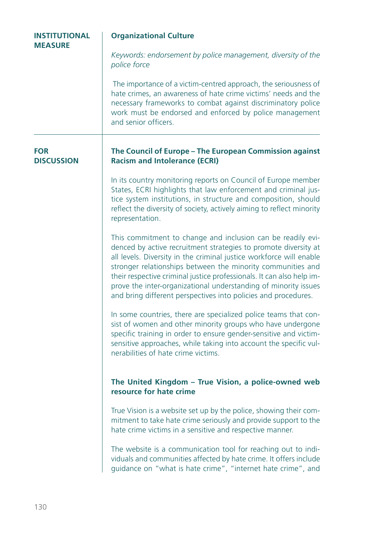| <b>INSTITUTIONAL</b><br><b>MEASURE</b> | <b>Organizational Culture</b>                                                                                                                                                                                                                                                                                                                                                                                                                                                      |  |
|----------------------------------------|------------------------------------------------------------------------------------------------------------------------------------------------------------------------------------------------------------------------------------------------------------------------------------------------------------------------------------------------------------------------------------------------------------------------------------------------------------------------------------|--|
|                                        | Keywords: endorsement by police management, diversity of the<br>police force                                                                                                                                                                                                                                                                                                                                                                                                       |  |
|                                        | The importance of a victim-centred approach, the seriousness of<br>hate crimes, an awareness of hate crime victims' needs and the<br>necessary frameworks to combat against discriminatory police<br>work must be endorsed and enforced by police management<br>and senior officers.                                                                                                                                                                                               |  |
| <b>FOR</b><br><b>DISCUSSION</b>        | The Council of Europe - The European Commission against<br><b>Racism and Intolerance (ECRI)</b>                                                                                                                                                                                                                                                                                                                                                                                    |  |
|                                        | In its country monitoring reports on Council of Europe member<br>States, ECRI highlights that law enforcement and criminal jus-<br>tice system institutions, in structure and composition, should<br>reflect the diversity of society, actively aiming to reflect minority<br>representation.                                                                                                                                                                                      |  |
|                                        | This commitment to change and inclusion can be readily evi-<br>denced by active recruitment strategies to promote diversity at<br>all levels. Diversity in the criminal justice workforce will enable<br>stronger relationships between the minority communities and<br>their respective criminal justice professionals. It can also help im-<br>prove the inter-organizational understanding of minority issues<br>and bring different perspectives into policies and procedures. |  |
|                                        | In some countries, there are specialized police teams that con-<br>sist of women and other minority groups who have undergone<br>specific training in order to ensure gender-sensitive and victim-<br>sensitive approaches, while taking into account the specific vul-<br>nerabilities of hate crime victims.                                                                                                                                                                     |  |
|                                        | The United Kingdom - True Vision, a police-owned web<br>resource for hate crime                                                                                                                                                                                                                                                                                                                                                                                                    |  |
|                                        | True Vision is a website set up by the police, showing their com-<br>mitment to take hate crime seriously and provide support to the<br>hate crime victims in a sensitive and respective manner.                                                                                                                                                                                                                                                                                   |  |
|                                        | The website is a communication tool for reaching out to indi-<br>viduals and communities affected by hate crime. It offers include<br>guidance on "what is hate crime", "internet hate crime", and                                                                                                                                                                                                                                                                                 |  |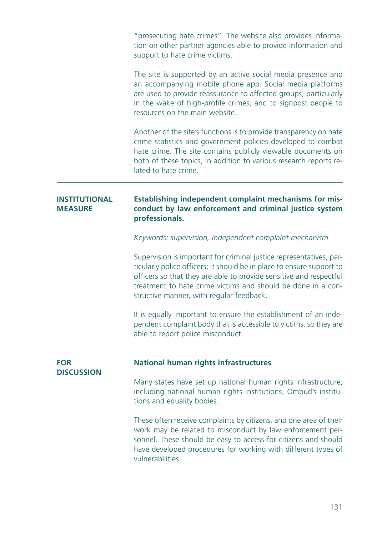|                                 | "prosecuting hate crimes". The website also provides informa-<br>tion on other partner agencies able to provide information and<br>support to hate crime victims.                                                                                                                                                              |
|---------------------------------|--------------------------------------------------------------------------------------------------------------------------------------------------------------------------------------------------------------------------------------------------------------------------------------------------------------------------------|
|                                 | The site is supported by an active social media presence and<br>an accompanying mobile phone app. Social media platforms<br>are used to provide reassurance to affected groups, particularly<br>in the wake of high-profile crimes, and to signpost people to<br>resources on the main website.                                |
|                                 | Another of the site's functions is to provide transparency on hate<br>crime statistics and government policies developed to combat<br>hate crime. The site contains publicly viewable documents on<br>both of these topics, in addition to various research reports re-<br>lated to hate crime.                                |
| INSTITUTIONAL<br><b>MEASURE</b> | Establishing independent complaint mechanisms for mis-<br>conduct by law enforcement and criminal justice system<br>professionals.                                                                                                                                                                                             |
|                                 | Keywords: supervision, independent complaint mechanism                                                                                                                                                                                                                                                                         |
|                                 | Supervision is important for criminal justice representatives, par-<br>ticularly police officers; it should be in place to ensure support to<br>officers so that they are able to provide sensitive and respectful<br>treatment to hate crime victims and should be done in a con-<br>structive manner, with regular feedback. |
|                                 | It is equally important to ensure the establishment of an inde-<br>pendent complaint body that is accessible to victims, so they are<br>able to report police misconduct.                                                                                                                                                      |
| <b>FOR</b><br><b>DISCUSSION</b> | <b>National human rights infrastructures</b>                                                                                                                                                                                                                                                                                   |
|                                 | Many states have set up national human rights infrastructure,<br>including national human rights institutions, Ombud's institu-<br>tions and equality bodies.                                                                                                                                                                  |
|                                 | These often receive complaints by citizens, and one area of their<br>work may be related to misconduct by law enforcement per-<br>sonnel. These should be easy to access for citizens and should<br>have developed procedures for working with different types of<br>vulnerabilities.                                          |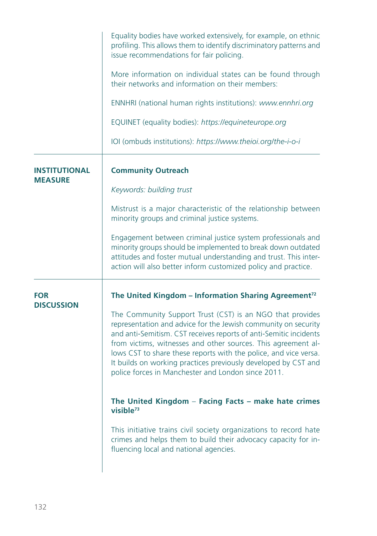|                                 | Equality bodies have worked extensively, for example, on ethnic<br>profiling. This allows them to identify discriminatory patterns and<br>issue recommendations for fair policing.                                                                                                                                                                                                                                                                            |
|---------------------------------|---------------------------------------------------------------------------------------------------------------------------------------------------------------------------------------------------------------------------------------------------------------------------------------------------------------------------------------------------------------------------------------------------------------------------------------------------------------|
|                                 | More information on individual states can be found through<br>their networks and information on their members:                                                                                                                                                                                                                                                                                                                                                |
|                                 | ENNHRI (national human rights institutions): www.ennhri.org                                                                                                                                                                                                                                                                                                                                                                                                   |
|                                 | EQUINET (equality bodies): https://equineteurope.org                                                                                                                                                                                                                                                                                                                                                                                                          |
|                                 | IOI (ombuds institutions): https://www.theioi.org/the-i-o-i                                                                                                                                                                                                                                                                                                                                                                                                   |
| INSTITUTIONAL<br><b>MEASURE</b> | <b>Community Outreach</b>                                                                                                                                                                                                                                                                                                                                                                                                                                     |
|                                 | Keywords: building trust                                                                                                                                                                                                                                                                                                                                                                                                                                      |
|                                 | Mistrust is a major characteristic of the relationship between<br>minority groups and criminal justice systems.                                                                                                                                                                                                                                                                                                                                               |
|                                 | Engagement between criminal justice system professionals and<br>minority groups should be implemented to break down outdated<br>attitudes and foster mutual understanding and trust. This inter-<br>action will also better inform customized policy and practice.                                                                                                                                                                                            |
| <b>FOR</b><br><b>DISCUSSION</b> | The United Kingdom - Information Sharing Agreement <sup>72</sup>                                                                                                                                                                                                                                                                                                                                                                                              |
|                                 | The Community Support Trust (CST) is an NGO that provides<br>representation and advice for the Jewish community on security<br>and anti-Semitism. CST receives reports of anti-Semitic incidents<br>from victims, witnesses and other sources. This agreement al-<br>lows CST to share these reports with the police, and vice versa.<br>It builds on working practices previously developed by CST and<br>police forces in Manchester and London since 2011. |
|                                 | The United Kingdom - Facing Facts - make hate crimes<br>visible <sup>73</sup>                                                                                                                                                                                                                                                                                                                                                                                 |
|                                 | This initiative trains civil society organizations to record hate<br>crimes and helps them to build their advocacy capacity for in-<br>fluencing local and national agencies.                                                                                                                                                                                                                                                                                 |
|                                 |                                                                                                                                                                                                                                                                                                                                                                                                                                                               |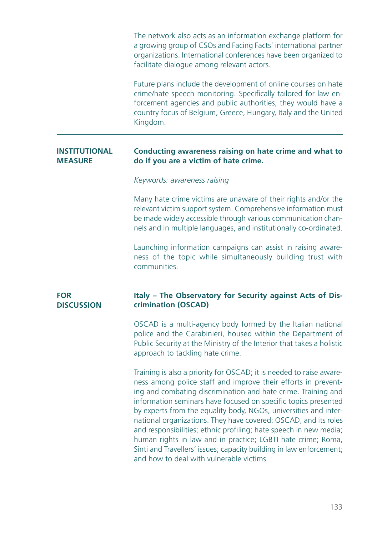|                                 | The network also acts as an information exchange platform for<br>a growing group of CSOs and Facing Facts' international partner<br>organizations. International conferences have been organized to<br>facilitate dialogue among relevant actors.                                                                                                                                                                                                                                                                                                                                                                                                                      |
|---------------------------------|------------------------------------------------------------------------------------------------------------------------------------------------------------------------------------------------------------------------------------------------------------------------------------------------------------------------------------------------------------------------------------------------------------------------------------------------------------------------------------------------------------------------------------------------------------------------------------------------------------------------------------------------------------------------|
|                                 | Future plans include the development of online courses on hate<br>crime/hate speech monitoring. Specifically tailored for law en-<br>forcement agencies and public authorities, they would have a<br>country focus of Belgium, Greece, Hungary, Italy and the United<br>Kingdom.                                                                                                                                                                                                                                                                                                                                                                                       |
| INSTITUTIONAL<br><b>MEASURE</b> | Conducting awareness raising on hate crime and what to<br>do if you are a victim of hate crime.                                                                                                                                                                                                                                                                                                                                                                                                                                                                                                                                                                        |
|                                 | Keywords: awareness raising                                                                                                                                                                                                                                                                                                                                                                                                                                                                                                                                                                                                                                            |
|                                 | Many hate crime victims are unaware of their rights and/or the<br>relevant victim support system. Comprehensive information must<br>be made widely accessible through various communication chan-<br>nels and in multiple languages, and institutionally co-ordinated.                                                                                                                                                                                                                                                                                                                                                                                                 |
|                                 | Launching information campaigns can assist in raising aware-<br>ness of the topic while simultaneously building trust with<br>communities.                                                                                                                                                                                                                                                                                                                                                                                                                                                                                                                             |
| <b>FOR</b><br><b>DISCUSSION</b> | Italy - The Observatory for Security against Acts of Dis-<br>crimination (OSCAD)                                                                                                                                                                                                                                                                                                                                                                                                                                                                                                                                                                                       |
|                                 | OSCAD is a multi-agency body formed by the Italian national<br>police and the Carabinieri, housed within the Department of<br>Public Security at the Ministry of the Interior that takes a holistic<br>approach to tackling hate crime.                                                                                                                                                                                                                                                                                                                                                                                                                                |
|                                 | Training is also a priority for OSCAD; it is needed to raise aware-<br>ness among police staff and improve their efforts in prevent-<br>ing and combating discrimination and hate crime. Training and<br>information seminars have focused on specific topics presented<br>by experts from the equality body, NGOs, universities and inter-<br>national organizations. They have covered: OSCAD, and its roles<br>and responsibilities; ethnic profiling; hate speech in new media;<br>human rights in law and in practice; LGBTI hate crime; Roma,<br>Sinti and Travellers' issues; capacity building in law enforcement;<br>and how to deal with vulnerable victims. |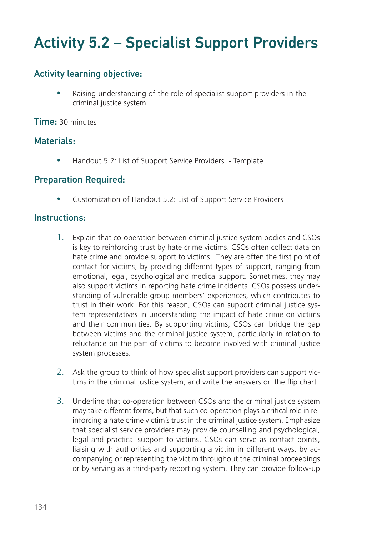# Activity 5.2 – Specialist Support Providers

## Activity learning objective:

Raising understanding of the role of specialist support providers in the criminal justice system.

Time: 30 minutes

### Materials:

• Handout 5.2: List of Support Service Providers - Template

### Preparation Required:

Customization of Handout 5.2: List of Support Service Providers

### Instructions:

- 1. Explain that co-operation between criminal justice system bodies and CSOs is key to reinforcing trust by hate crime victims. CSOs often collect data on hate crime and provide support to victims. They are often the first point of contact for victims, by providing different types of support, ranging from emotional, legal, psychological and medical support. Sometimes, they may also support victims in reporting hate crime incidents. CSOs possess understanding of vulnerable group members' experiences, which contributes to trust in their work. For this reason, CSOs can support criminal justice system representatives in understanding the impact of hate crime on victims and their communities. By supporting victims, CSOs can bridge the gap between victims and the criminal justice system, particularly in relation to reluctance on the part of victims to become involved with criminal justice system processes.
- 2. Ask the group to think of how specialist support providers can support victims in the criminal justice system, and write the answers on the flip chart.
- 3. Underline that co-operation between CSOs and the criminal justice system may take different forms, but that such co-operation plays a critical role in reinforcing a hate crime victim's trust in the criminal justice system. Emphasize that specialist service providers may provide counselling and psychological, legal and practical support to victims. CSOs can serve as contact points, liaising with authorities and supporting a victim in different ways: by accompanying or representing the victim throughout the criminal proceedings or by serving as a third-party reporting system. They can provide follow-up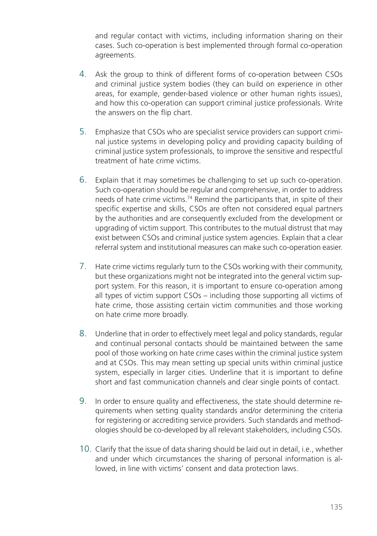and regular contact with victims, including information sharing on their cases. Such co-operation is best implemented through formal co-operation agreements.

- 4. Ask the group to think of different forms of co-operation between CSOs and criminal justice system bodies (they can build on experience in other areas, for example, gender-based violence or other human rights issues), and how this co-operation can support criminal justice professionals. Write the answers on the flip chart.
- 5. Emphasize that CSOs who are specialist service providers can support criminal justice systems in developing policy and providing capacity building of criminal justice system professionals, to improve the sensitive and respectful treatment of hate crime victims.
- 6. Explain that it may sometimes be challenging to set up such co-operation. Such co-operation should be regular and comprehensive, in order to address needs of hate crime victims.74 Remind the participants that, in spite of their specific expertise and skills, CSOs are often not considered equal partners by the authorities and are consequently excluded from the development or upgrading of victim support. This contributes to the mutual distrust that may exist between CSOs and criminal justice system agencies. Explain that a clear referral system and institutional measures can make such co-operation easier.
- 7. Hate crime victims regularly turn to the CSOs working with their community, but these organizations might not be integrated into the general victim support system. For this reason, it is important to ensure co-operation among all types of victim support CSOs – including those supporting all victims of hate crime, those assisting certain victim communities and those working on hate crime more broadly.
- 8. Underline that in order to effectively meet legal and policy standards, regular and continual personal contacts should be maintained between the same pool of those working on hate crime cases within the criminal justice system and at CSOs. This may mean setting up special units within criminal justice system, especially in larger cities. Underline that it is important to define short and fast communication channels and clear single points of contact.
- 9. In order to ensure quality and effectiveness, the state should determine requirements when setting quality standards and/or determining the criteria for registering or accrediting service providers. Such standards and methodologies should be co-developed by all relevant stakeholders, including CSOs.
- 10. Clarify that the issue of data sharing should be laid out in detail, i.e., whether and under which circumstances the sharing of personal information is allowed, in line with victims' consent and data protection laws.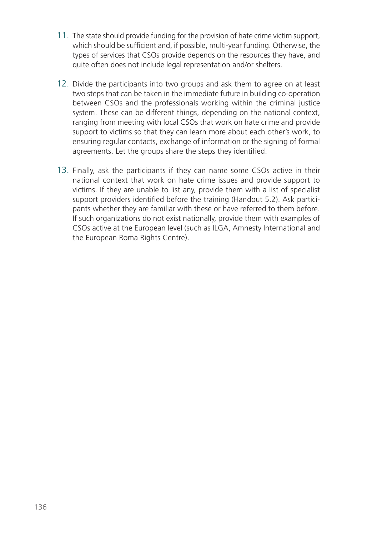- 11. The state should provide funding for the provision of hate crime victim support, which should be sufficient and, if possible, multi-year funding. Otherwise, the types of services that CSOs provide depends on the resources they have, and quite often does not include legal representation and/or shelters.
- 12. Divide the participants into two groups and ask them to agree on at least two steps that can be taken in the immediate future in building co-operation between CSOs and the professionals working within the criminal justice system. These can be different things, depending on the national context, ranging from meeting with local CSOs that work on hate crime and provide support to victims so that they can learn more about each other's work, to ensuring regular contacts, exchange of information or the signing of formal agreements. Let the groups share the steps they identified.
- 13. Finally, ask the participants if they can name some CSOs active in their national context that work on hate crime issues and provide support to victims. If they are unable to list any, provide them with a list of specialist support providers identified before the training (Handout 5.2). Ask participants whether they are familiar with these or have referred to them before. If such organizations do not exist nationally, provide them with examples of CSOs active at the European level (such as ILGA, Amnesty International and the European Roma Rights Centre).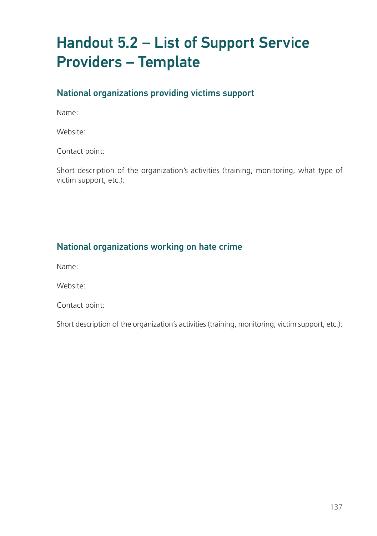# Handout 5.2 – List of Support Service Providers – Template

## National organizations providing victims support

Name:

Website:

Contact point:

Short description of the organization's activities (training, monitoring, what type of victim support, etc.):

# National organizations working on hate crime

Name:

Website:

Contact point:

Short description of the organization's activities (training, monitoring, victim support, etc.):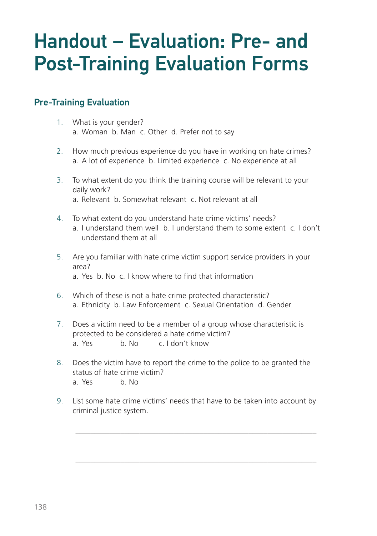# Handout – Evaluation: Pre- and Post-Training Evaluation Forms

### Pre-Training Evaluation

- 1. What is your gender? a. Woman b. Man c. Other d. Prefer not to say
- 2. How much previous experience do you have in working on hate crimes? a. A lot of experience b. Limited experience c. No experience at all
- 3. To what extent do you think the training course will be relevant to your daily work? a. Relevant b. Somewhat relevant c. Not relevant at all
- 4. To what extent do you understand hate crime victims' needs? a. I understand them well b. I understand them to some extent c. I don't understand them at all
- 5. Are you familiar with hate crime victim support service providers in your area? a. Yes b. No c. I know where to find that information
- 6. Which of these is not a hate crime protected characteristic? a. Ethnicity b. Law Enforcement c. Sexual Orientation d. Gender
- 7. Does a victim need to be a member of a group whose characteristic is protected to be considered a hate crime victim? a. Yes b. No c. I don't know
- 8. Does the victim have to report the crime to the police to be granted the status of hate crime victim? a. Yes b. No
- 9. List some hate crime victims' needs that have to be taken into account by criminal justice system.

\_\_\_\_\_\_\_\_\_\_\_\_\_\_\_\_\_\_\_\_\_\_\_\_\_\_\_\_\_\_\_\_\_\_\_\_\_\_\_\_\_\_\_\_\_\_\_\_\_\_\_\_\_\_\_\_\_\_\_\_\_\_\_\_

\_\_\_\_\_\_\_\_\_\_\_\_\_\_\_\_\_\_\_\_\_\_\_\_\_\_\_\_\_\_\_\_\_\_\_\_\_\_\_\_\_\_\_\_\_\_\_\_\_\_\_\_\_\_\_\_\_\_\_\_\_\_\_\_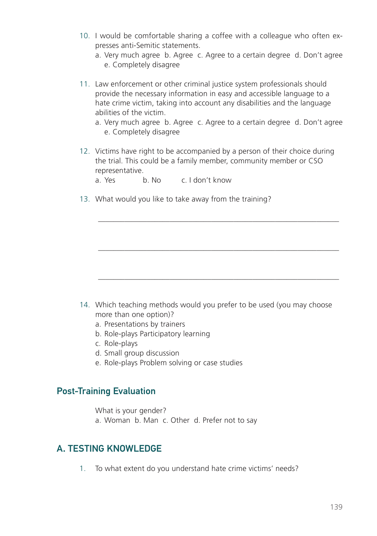- 10. I would be comfortable sharing a coffee with a colleague who often expresses anti-Semitic statements.
	- a. Very much agree b. Agree c. Agree to a certain degree d. Don't agree e. Completely disagree
- 11. Law enforcement or other criminal justice system professionals should provide the necessary information in easy and accessible language to a hate crime victim, taking into account any disabilities and the language abilities of the victim.
	- a. Very much agree b. Agree c. Agree to a certain degree d. Don't agree e. Completely disagree

\_\_\_\_\_\_\_\_\_\_\_\_\_\_\_\_\_\_\_\_\_\_\_\_\_\_\_\_\_\_\_\_\_\_\_\_\_\_\_\_\_\_\_\_\_\_\_\_\_\_\_\_\_\_\_\_\_\_\_\_\_\_\_\_

\_\_\_\_\_\_\_\_\_\_\_\_\_\_\_\_\_\_\_\_\_\_\_\_\_\_\_\_\_\_\_\_\_\_\_\_\_\_\_\_\_\_\_\_\_\_\_\_\_\_\_\_\_\_\_\_\_\_\_\_\_\_\_\_

\_\_\_\_\_\_\_\_\_\_\_\_\_\_\_\_\_\_\_\_\_\_\_\_\_\_\_\_\_\_\_\_\_\_\_\_\_\_\_\_\_\_\_\_\_\_\_\_\_\_\_\_\_\_\_\_\_\_\_\_\_\_\_\_

12. Victims have right to be accompanied by a person of their choice during the trial. This could be a family member, community member or CSO representative.

a. Yes b. No c. I don't know

13. What would you like to take away from the training?

- 14. Which teaching methods would you prefer to be used (you may choose more than one option)?
	- a. Presentations by trainers
	- b. Role-plays Participatory learning
	- c. Role-plays
	- d. Small group discussion
	- e. Role-plays Problem solving or case studies

### Post-Training Evaluation

What is your gender?

a. Woman b. Man c. Other d. Prefer not to say

### A. TESTING KNOWLEDGE

1. To what extent do you understand hate crime victims' needs?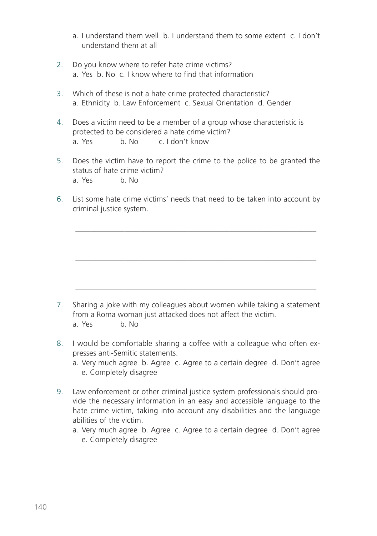- a. I understand them well b. I understand them to some extent c. I don't understand them at all
- 2. Do you know where to refer hate crime victims? a. Yes b. No c. I know where to find that information
- 3. Which of these is not a hate crime protected characteristic? a. Ethnicity b. Law Enforcement c. Sexual Orientation d. Gender
- 4. Does a victim need to be a member of a group whose characteristic is protected to be considered a hate crime victim? a. Yes b. No c. I don't know
- 5. Does the victim have to report the crime to the police to be granted the status of hate crime victim? a. Yes b. No
- 6. List some hate crime victims' needs that need to be taken into account by criminal justice system.

\_\_\_\_\_\_\_\_\_\_\_\_\_\_\_\_\_\_\_\_\_\_\_\_\_\_\_\_\_\_\_\_\_\_\_\_\_\_\_\_\_\_\_\_\_\_\_\_\_\_\_\_\_\_\_\_\_\_\_\_\_\_\_\_

\_\_\_\_\_\_\_\_\_\_\_\_\_\_\_\_\_\_\_\_\_\_\_\_\_\_\_\_\_\_\_\_\_\_\_\_\_\_\_\_\_\_\_\_\_\_\_\_\_\_\_\_\_\_\_\_\_\_\_\_\_\_\_\_

\_\_\_\_\_\_\_\_\_\_\_\_\_\_\_\_\_\_\_\_\_\_\_\_\_\_\_\_\_\_\_\_\_\_\_\_\_\_\_\_\_\_\_\_\_\_\_\_\_\_\_\_\_\_\_\_\_\_\_\_\_\_\_\_

- 7. Sharing a joke with my colleagues about women while taking a statement from a Roma woman just attacked does not affect the victim. a. Yes b. No
- 8. I would be comfortable sharing a coffee with a colleague who often expresses anti-Semitic statements.
	- a. Very much agree b. Agree c. Agree to a certain degree d. Don't agree e. Completely disagree
- 9. Law enforcement or other criminal justice system professionals should provide the necessary information in an easy and accessible language to the hate crime victim, taking into account any disabilities and the language abilities of the victim.
	- a. Very much agree b. Agree c. Agree to a certain degree d. Don't agree e. Completely disagree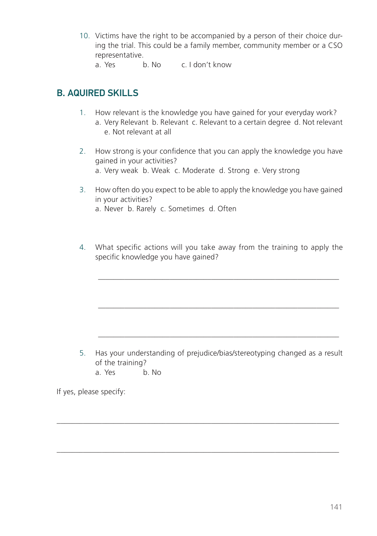- 10. Victims have the right to be accompanied by a person of their choice during the trial. This could be a family member, community member or a CSO representative.
	- a. Yes b. No c. I don't know

## B. AQUIRED SKILLS

- 1. How relevant is the knowledge you have gained for your everyday work? a. Very Relevant b. Relevant c. Relevant to a certain degree d. Not relevant e. Not relevant at all
- 2. How strong is your confidence that you can apply the knowledge you have gained in your activities? a. Very weak b. Weak c. Moderate d. Strong e. Very strong
- 3. How often do you expect to be able to apply the knowledge you have gained in your activities? a. Never b. Rarely c. Sometimes d. Often
- 4. What specific actions will you take away from the training to apply the specific knowledge you have gained?

\_\_\_\_\_\_\_\_\_\_\_\_\_\_\_\_\_\_\_\_\_\_\_\_\_\_\_\_\_\_\_\_\_\_\_\_\_\_\_\_\_\_\_\_\_\_\_\_\_\_\_\_\_\_\_\_\_\_\_\_\_\_\_\_

\_\_\_\_\_\_\_\_\_\_\_\_\_\_\_\_\_\_\_\_\_\_\_\_\_\_\_\_\_\_\_\_\_\_\_\_\_\_\_\_\_\_\_\_\_\_\_\_\_\_\_\_\_\_\_\_\_\_\_\_\_\_\_\_

\_\_\_\_\_\_\_\_\_\_\_\_\_\_\_\_\_\_\_\_\_\_\_\_\_\_\_\_\_\_\_\_\_\_\_\_\_\_\_\_\_\_\_\_\_\_\_\_\_\_\_\_\_\_\_\_\_\_\_\_\_\_\_\_

5. Has your understanding of prejudice/bias/stereotyping changed as a result of the training?

\_\_\_\_\_\_\_\_\_\_\_\_\_\_\_\_\_\_\_\_\_\_\_\_\_\_\_\_\_\_\_\_\_\_\_\_\_\_\_\_\_\_\_\_\_\_\_\_\_\_\_\_\_\_\_\_\_\_\_\_\_\_\_\_\_\_\_\_\_\_\_\_\_\_\_

\_\_\_\_\_\_\_\_\_\_\_\_\_\_\_\_\_\_\_\_\_\_\_\_\_\_\_\_\_\_\_\_\_\_\_\_\_\_\_\_\_\_\_\_\_\_\_\_\_\_\_\_\_\_\_\_\_\_\_\_\_\_\_\_\_\_\_\_\_\_\_\_\_\_\_

a. Yes b. No

If yes, please specify: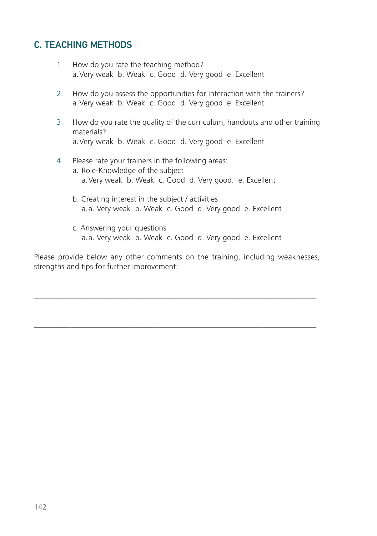### C. TEACHING METHODS

- 1. How do you rate the teaching method? a.Very weak b. Weak c. Good d. Very good e. Excellent
- 2. How do you assess the opportunities for interaction with the trainers? a.Very weak b. Weak c. Good d. Very good e. Excellent
- 3. How do you rate the quality of the curriculum, handouts and other training materials? a.Very weak b. Weak c. Good d. Very good e. Excellent

#### 4. Please rate your trainers in the following areas:

- a. Role-Knowledge of the subject a.Very weak b. Weak c. Good d. Very good. e. Excellent
- b. Creating interest in the subject / activities a.a. Very weak b. Weak c. Good d. Very good e. Excellent
- c. Answering your questions a.a. Very weak b. Weak c. Good d. Very good e. Excellent

Please provide below any other comments on the training, including weaknesses, strengths and tips for further improvement:

\_\_\_\_\_\_\_\_\_\_\_\_\_\_\_\_\_\_\_\_\_\_\_\_\_\_\_\_\_\_\_\_\_\_\_\_\_\_\_\_\_\_\_\_\_\_\_\_\_\_\_\_\_\_\_\_\_\_\_\_\_\_\_\_\_\_\_\_\_\_\_\_\_\_\_

\_\_\_\_\_\_\_\_\_\_\_\_\_\_\_\_\_\_\_\_\_\_\_\_\_\_\_\_\_\_\_\_\_\_\_\_\_\_\_\_\_\_\_\_\_\_\_\_\_\_\_\_\_\_\_\_\_\_\_\_\_\_\_\_\_\_\_\_\_\_\_\_\_\_\_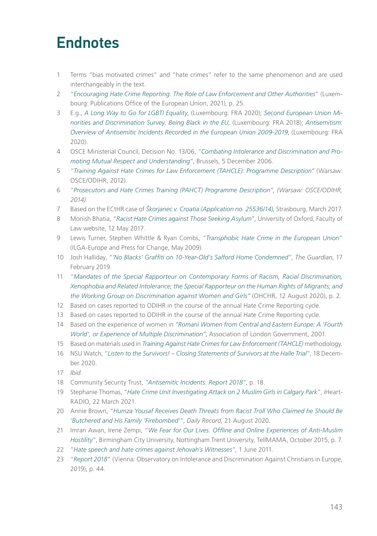# **Endnotes**

- 1 Terms "bias motivated crimes" and "hate crimes" refer to the same phenomenon and are used interchangeably in the text.
- 2 "*Encouraging Hate Crime Reporting. The Role of Law Enforcement and Other Authorities*" (Luxembourg: Publications Office of the European Union, 2021), p. 25.
- 3 E.g., *A Long Way to Go for LGBTI Equality*, (Luxembourg: FRA 2020); *Second European Union Minorities and Discrimination Survey. Being Black in the EU,* (Luxembourg: FRA 2018); *Antisemitism: Overview of Antisemitic Incidents Recorded in the European Union 2009-2019*, (Luxembourg: FRA 2020).
- 4 OSCE Ministerial Council, Decision No. 13/06, "*Combating Intolerance and Discrimination and Promoting Mutual Respect and Understanding*", Brussels, 5 December 2006.
- 5 "*Training Against Hate Crimes for Law Enforcement (TAHCLE): Programme Description"* (Warsaw: OSCE/ODIHR, 2012).
- 6 "*Prosecutors and Hate Crimes Training (PAHCT) Programme Description", (Warsaw: OSCE/ODIHR, 2014).*
- 7 Based on the ECtHR case of *Škorjanec v. Croatia (Application no. 25536/14),* Strasbourg, March 2017.
- 8 Monish Bhatia, "*Racist Hate Crimes against Those Seeking Asylum*", University of Oxford, Faculty of Law website, 12 May 2017.
- 9 Lewis Turner, Stephen Whittle & Ryan Combs, "*Transphobic Hate Crime in the European Union*" (ILGA-Europe and Press for Change, May 2009).
- 10 Josh Halliday, "*'No Blacks' Graffiti on 10-Year-Old's Salford Home Condemned*", *The Guardian*, 17 February 2019.
- 11 "*Mandates of the Special Rapporteur on Contemporary Forms of Racism, Racial Discrimination, Xenophobia and Related Intolerance; the Special Rapporteur on the Human Rights of Migrants; and the Working Group on Discrimination against Women and Girls"* (OHCHR, 12 August 2020), p. 2.
- 12 Based on cases reported to ODIHR in the course of the annual Hate Crime Reporting cycle.
- 13 Based on cases reported to ODIHR in the course of the annual Hate Crime Reporting cycle.
- 14 Based on the experience of women in *"Romani Women from Central and Eastern Europe: A 'Fourth World', or Experience of Multiple Discrimination"*, Association of London Government, 2001.
- 15 Based on materials used in *Training Against Hate Crimes for Law Enforcement (TAHCLE)* methodology.
- 16 NSU Watch, "*Listen to the Survivors! Closing Statements of Survivors at the Halle Trial*", 18 December 2020.
- 17 *Ibid*.
- 18 Community Security Trust, "*Antisemitic Incidents. Report 2018*", p. 18.
- 19 Stephanie Thomas, "*Hate Crime Unit Investigating Attack on 2 Muslim Girls in Calgary Park*", iHeart-RADIO, 22 March 2021.
- 20 Annie Brown, "*Humza Yousaf Receives Death Threats from Racist Troll Who Claimed he Should Be 'Butchered and His Family 'Firebombed'*", *Daily Record*, 21 August 2020.
- 21 Imran Awan, Irene Zempi, "*We Fear for Our Lives. Offline and Online Experiences of Anti-Muslim Hostility*", Birmingham City University, Nottingham Trent University, TellMAMA, October 2015, p. 7.
- 22 "*Hate speech and hate crimes against Jehovah's Witnesses*", 1 June 2011.
- 23 "*Report 2018*" (Vienna: Observatory on Intolerance and Discrimination Against Christians in Europe, 2019), p. 44.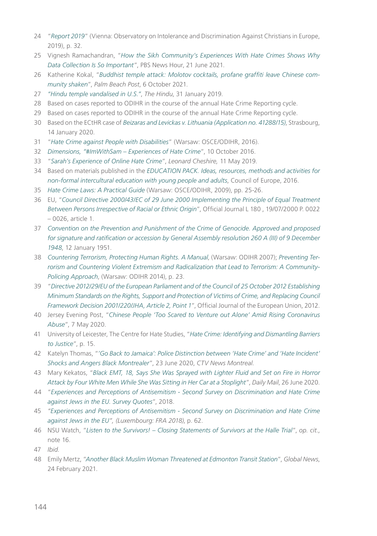- 24 "*Report 2019*" (Vienna: Observatory on Intolerance and Discrimination Against Christians in Europe, 2019), p. 32.
- 25 Vignesh Ramachandran, "*How the Sikh Community's Experiences With Hate Crimes Shows Why Data Collection Is So Important*", PBS News Hour, 21 June 2021.
- 26 Katherine Kokal, "*Buddhist temple attack: Molotov cocktails, profane graffiti leave Chinese community shaken*", *Palm Beach Post*, 6 October 2021.
- 27 *"Hindu temple vandalised in U.S."*, *The Hindu*, 31 January 2019.
- 28 Based on cases reported to ODIHR in the course of the annual Hate Crime Reporting cycle.
- 29 Based on cases reported to ODIHR in the course of the annual Hate Crime Reporting cycle.
- 30 Based on the ECtHR case of *Beizaras and Levickas v. Lithuania (Application no. 41288/15)*, Strasbourg, 14 January 2020.
- 31 "*Hate Crime against People with Disabilities*" (Warsaw: OSCE/ODIHR, 2016).
- 32 *Dimensions, "#ImWithSam Experiences of Hate Crime*", 10 October 2016.
- 33 "*Sarah's Experience of Online Hate Crime*", *Leonard Cheshire,* 11 May 2019.
- 34 Based on materials published in the *EDUCATION PACK. Ideas, resources, methods and activities for non-formal intercultural education with young people and adults*, Council of Europe, 2016.
- 35 *Hate Crime Laws: A Practical Guide* (Warsaw: OSCE/ODIHR, 2009), pp. 25-26.
- 36 EU, "*Council Directive 2000/43/EC of 29 June 2000 Implementing the Principle of Equal Treatment Between Persons Irrespective of Racial or Ethnic Origin*", Official Journal L 180 , 19/07/2000 P. 0022 – 0026, article 1.
- 37 *Convention on the Prevention and Punishment of the Crime of Genocide. Approved and proposed for signature and ratification or accession by General Assembly resolution 260 A (III) of 9 December 1948*, 12 January 1951.
- 38 *Countering Terrorism, Protecting Human Rights. A Manual*, (Warsaw: ODIHR 2007); *Preventing Terrorism and Countering Violent Extremism and Radicalization that Lead to Terrorism: A Community-Policing Approach*, (Warsaw: ODIHR 2014), p. 23.
- 39 "*Directive 2012/29/EU of the European Parliament and of the Council of 25 October 2012 Establishing Minimum Standards on the Rights, Support and Protection of Victims of Crime, and Replacing Council Framework Decision 2001/220/JHA, Article 2, Point 1*", Official Journal of the European Union, 2012.
- 40 Jersey Evening Post, "*Chinese People 'Too Scared to Venture out Alone' Amid Rising Coronavirus Abuse*", 7 May 2020.
- 41 University of Leicester, The Centre for Hate Studies, "*Hate Crime: Identifying and Dismantling Barriers to Justice*", p. 15.
- 42 Katelyn Thomas, "*'Go Back to Jamaica': Police Distinction between 'Hate Crime' and 'Hate Incident' Shocks and Angers Black Montrealer*", 23 June 2020, *CTV News Montreal*.
- 43 Mary Kekatos, "*Black EMT, 18, Says She Was Sprayed with Lighter Fluid and Set on Fire in Horror Attack by Four White Men While She Was Sitting in Her Car at a Stoplight*", *Daily Mail*, 26 June 2020.
- 44 "*Experiences and Perceptions of Antisemitism Second Survey on Discrimination and Hate Crime against Jews in the EU. Survey Quotes*", 2018.
- 45 *"Experiences and Perceptions of Antisemitism Second Survey on Discrimination and Hate Crime against Jews in the EU", (Luxembourg: FRA 2018)*, p. 62.
- 46 NSU Watch, "*Listen to the Survivors! Closing Statements of Survivors at the Halle Trial*", *op. cit*., note 16.
- 47 *Ibid*.
- 48 Emily Mertz, "*Another Black Muslim Woman Threatened at Edmonton Transit Station*", *Global News*, 24 February 2021.